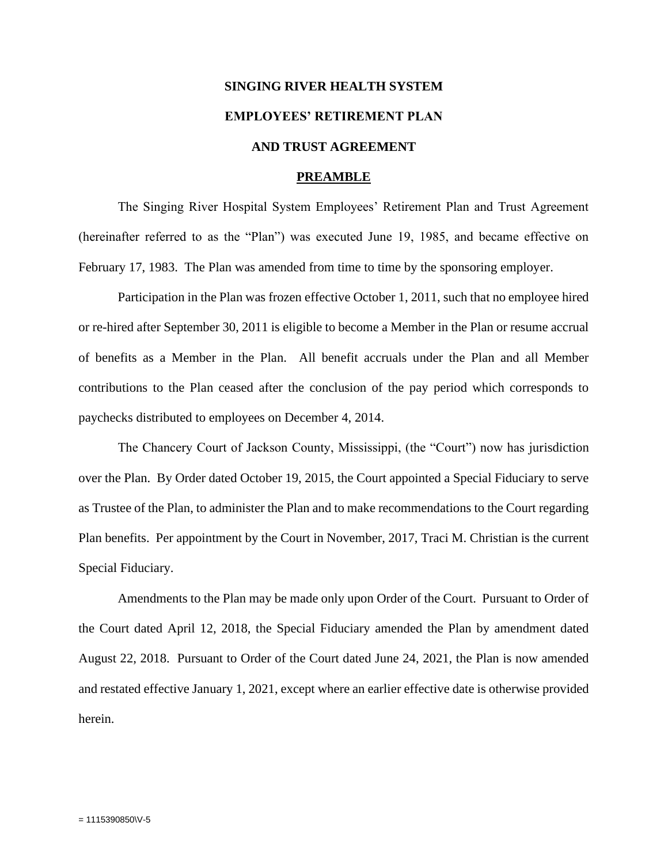# **SINGING RIVER HEALTH SYSTEM EMPLOYEES' RETIREMENT PLAN AND TRUST AGREEMENT**

# **PREAMBLE**

The Singing River Hospital System Employees' Retirement Plan and Trust Agreement (hereinafter referred to as the "Plan") was executed June 19, 1985, and became effective on February 17, 1983. The Plan was amended from time to time by the sponsoring employer.

Participation in the Plan was frozen effective October 1, 2011, such that no employee hired or re-hired after September 30, 2011 is eligible to become a Member in the Plan or resume accrual of benefits as a Member in the Plan. All benefit accruals under the Plan and all Member contributions to the Plan ceased after the conclusion of the pay period which corresponds to paychecks distributed to employees on December 4, 2014.

The Chancery Court of Jackson County, Mississippi, (the "Court") now has jurisdiction over the Plan. By Order dated October 19, 2015, the Court appointed a Special Fiduciary to serve as Trustee of the Plan, to administer the Plan and to make recommendations to the Court regarding Plan benefits. Per appointment by the Court in November, 2017, Traci M. Christian is the current Special Fiduciary.

Amendments to the Plan may be made only upon Order of the Court. Pursuant to Order of the Court dated April 12, 2018, the Special Fiduciary amended the Plan by amendment dated August 22, 2018. Pursuant to Order of the Court dated June 24, 2021, the Plan is now amended and restated effective January 1, 2021, except where an earlier effective date is otherwise provided herein.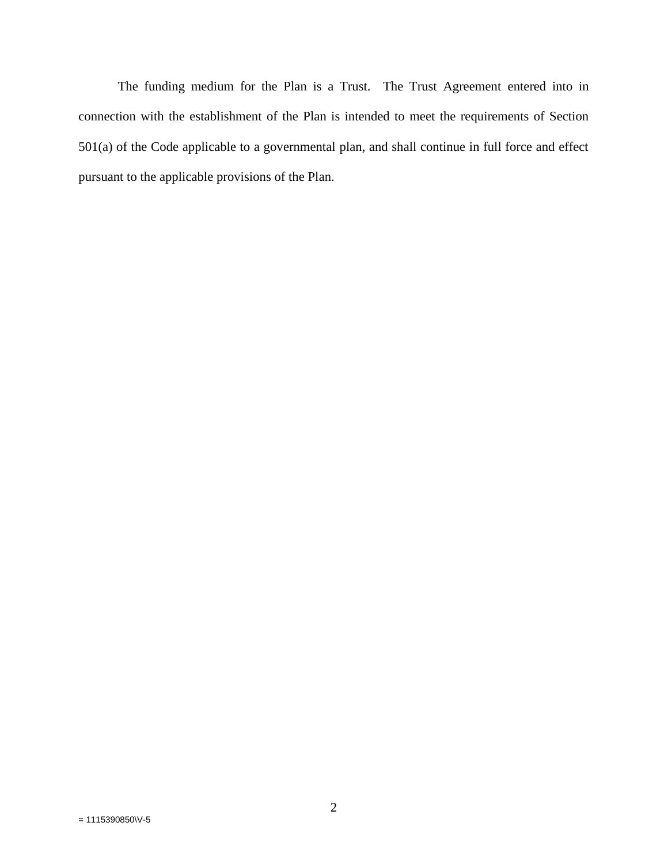The funding medium for the Plan is a Trust. The Trust Agreement entered into in connection with the establishment of the Plan is intended to meet the requirements of Section 501(a) of the Code applicable to a governmental plan, and shall continue in full force and effect pursuant to the applicable provisions of the Plan.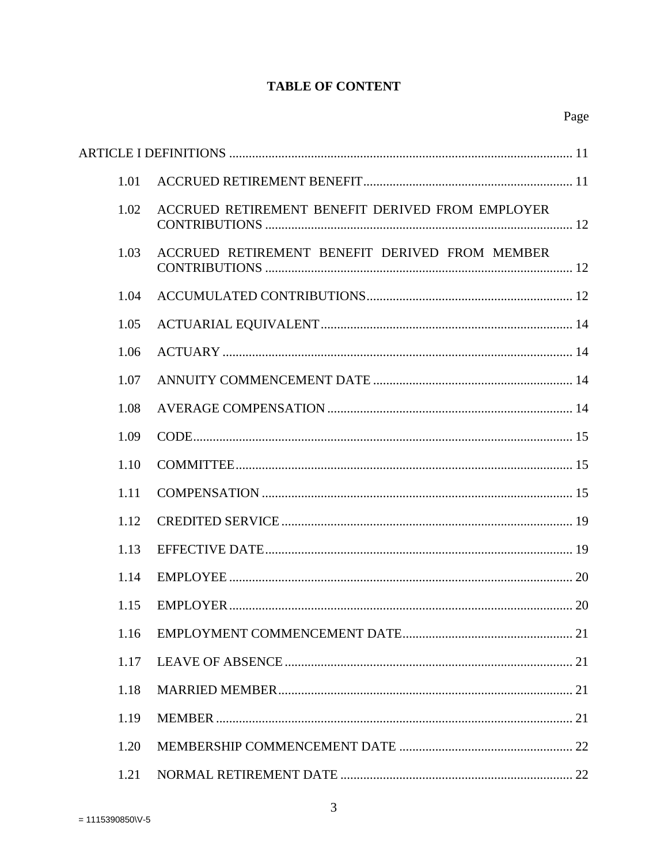# **TABLE OF CONTENT**

| 1.01 |                                                  |  |
|------|--------------------------------------------------|--|
| 1.02 | ACCRUED RETIREMENT BENEFIT DERIVED FROM EMPLOYER |  |
| 1.03 | ACCRUED RETIREMENT BENEFIT DERIVED FROM MEMBER   |  |
| 1.04 |                                                  |  |
| 1.05 |                                                  |  |
| 1.06 |                                                  |  |
| 1.07 |                                                  |  |
| 1.08 |                                                  |  |
| 1.09 |                                                  |  |
| 1.10 |                                                  |  |
| 1.11 |                                                  |  |
| 1.12 |                                                  |  |
| 1.13 |                                                  |  |
| 1.14 |                                                  |  |
| 1.15 |                                                  |  |
|      |                                                  |  |
| 1.17 |                                                  |  |
| 1.18 |                                                  |  |
| 1.19 |                                                  |  |
| 1.20 |                                                  |  |
| 1.21 |                                                  |  |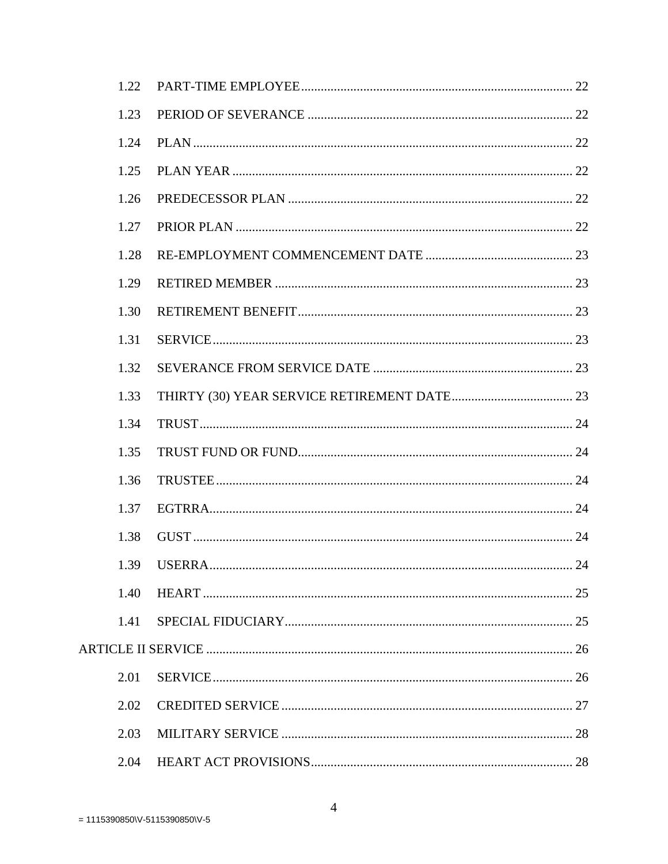| 1.22 |                |    |
|------|----------------|----|
| 1.23 |                |    |
| 1.24 |                |    |
| 1.25 |                |    |
| 1.26 |                |    |
| 1.27 |                |    |
| 1.28 |                |    |
| 1.29 |                |    |
| 1.30 |                |    |
| 1.31 |                |    |
| 1.32 |                |    |
| 1.33 |                |    |
| 1.34 |                |    |
| 1.35 |                |    |
| 1.36 |                |    |
| 1.37 |                |    |
| 1.38 |                |    |
| 1.39 | <b>IISERRA</b> | 24 |
| 1.40 |                |    |
| 1.41 |                |    |
|      |                |    |
| 2.01 |                |    |
| 2.02 |                |    |
| 2.03 |                |    |
| 2.04 |                |    |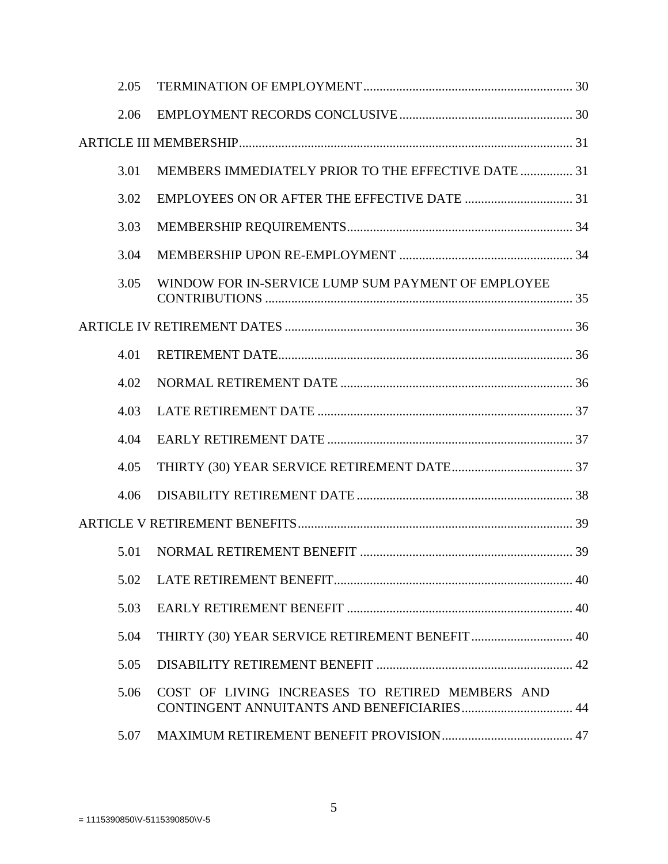|  | 2.05 |                                                                                               |  |
|--|------|-----------------------------------------------------------------------------------------------|--|
|  | 2.06 |                                                                                               |  |
|  |      |                                                                                               |  |
|  | 3.01 | MEMBERS IMMEDIATELY PRIOR TO THE EFFECTIVE DATE  31                                           |  |
|  | 3.02 |                                                                                               |  |
|  | 3.03 |                                                                                               |  |
|  | 3.04 |                                                                                               |  |
|  | 3.05 | WINDOW FOR IN-SERVICE LUMP SUM PAYMENT OF EMPLOYEE                                            |  |
|  |      |                                                                                               |  |
|  | 4.01 |                                                                                               |  |
|  | 4.02 |                                                                                               |  |
|  | 4.03 |                                                                                               |  |
|  | 4.04 |                                                                                               |  |
|  | 4.05 |                                                                                               |  |
|  | 4.06 |                                                                                               |  |
|  |      |                                                                                               |  |
|  | 5.01 |                                                                                               |  |
|  | 5.02 |                                                                                               |  |
|  | 5.03 |                                                                                               |  |
|  | 5.04 |                                                                                               |  |
|  | 5.05 |                                                                                               |  |
|  | 5.06 | COST OF LIVING INCREASES TO RETIRED MEMBERS AND<br>CONTINGENT ANNUITANTS AND BENEFICIARIES 44 |  |
|  | 5.07 |                                                                                               |  |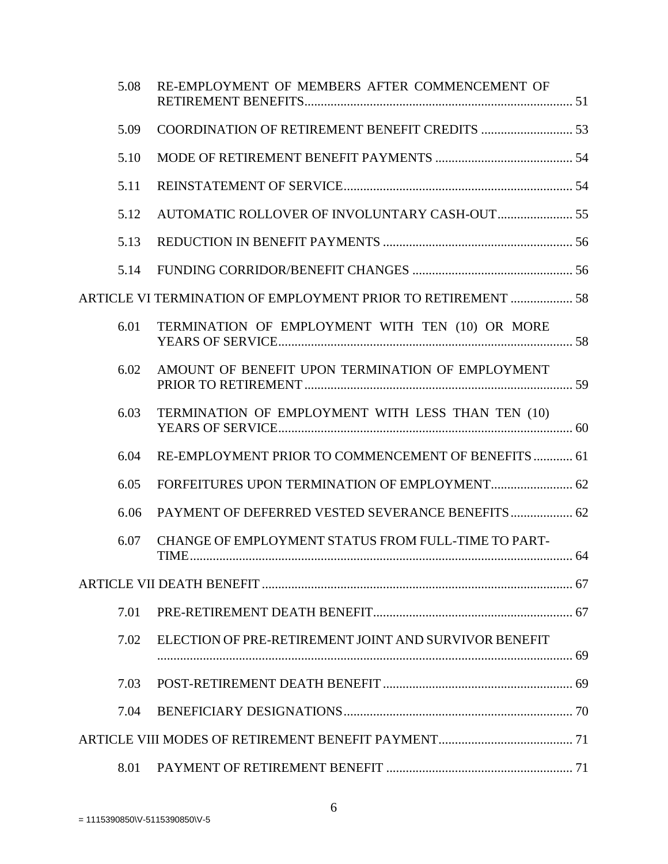| 5.08 | RE-EMPLOYMENT OF MEMBERS AFTER COMMENCEMENT OF               |  |
|------|--------------------------------------------------------------|--|
| 5.09 |                                                              |  |
| 5.10 |                                                              |  |
| 5.11 |                                                              |  |
| 5.12 | AUTOMATIC ROLLOVER OF INVOLUNTARY CASH-OUT 55                |  |
| 5.13 |                                                              |  |
| 5.14 |                                                              |  |
|      | ARTICLE VI TERMINATION OF EMPLOYMENT PRIOR TO RETIREMENT  58 |  |
| 6.01 | TERMINATION OF EMPLOYMENT WITH TEN (10) OR MORE              |  |
| 6.02 | AMOUNT OF BENEFIT UPON TERMINATION OF EMPLOYMENT             |  |
| 6.03 | TERMINATION OF EMPLOYMENT WITH LESS THAN TEN (10)            |  |
| 6.04 | RE-EMPLOYMENT PRIOR TO COMMENCEMENT OF BENEFITS  61          |  |
| 6.05 |                                                              |  |
| 6.06 | PAYMENT OF DEFERRED VESTED SEVERANCE BENEFITS 62             |  |
| 6.07 | CHANGE OF EMPLOYMENT STATUS FROM FULL-TIME TO PART-          |  |
|      |                                                              |  |
| 7.01 |                                                              |  |
| 7.02 | ELECTION OF PRE-RETIREMENT JOINT AND SURVIVOR BENEFIT        |  |
| 7.03 |                                                              |  |
| 7.04 |                                                              |  |
|      |                                                              |  |
| 8.01 |                                                              |  |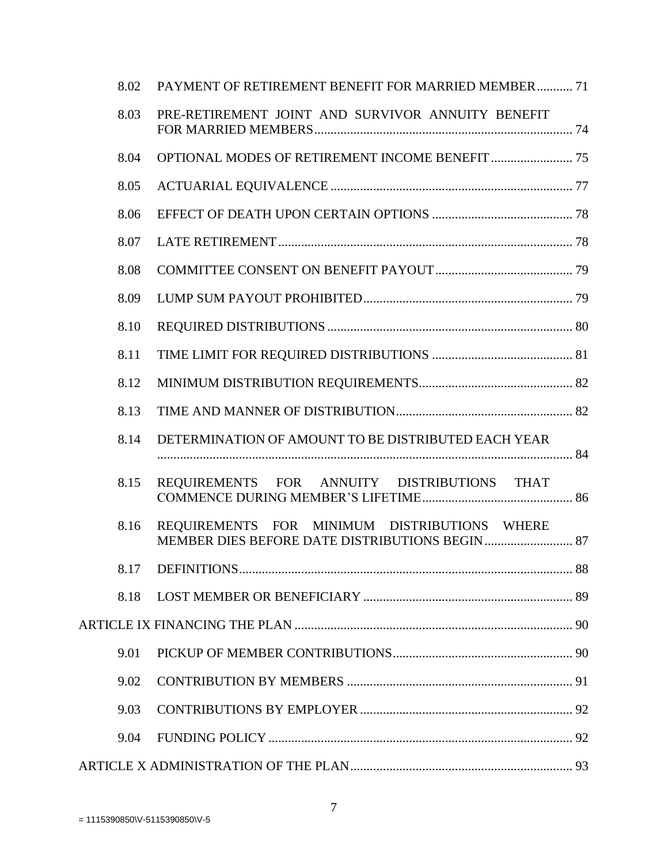| 8.02 | PAYMENT OF RETIREMENT BENEFIT FOR MARRIED MEMBER 71 |  |
|------|-----------------------------------------------------|--|
| 8.03 | PRE-RETIREMENT JOINT AND SURVIVOR ANNUITY BENEFIT   |  |
| 8.04 |                                                     |  |
| 8.05 |                                                     |  |
| 8.06 |                                                     |  |
| 8.07 |                                                     |  |
| 8.08 |                                                     |  |
| 8.09 |                                                     |  |
| 8.10 |                                                     |  |
| 8.11 |                                                     |  |
| 8.12 |                                                     |  |
| 8.13 |                                                     |  |
| 8.14 | DETERMINATION OF AMOUNT TO BE DISTRIBUTED EACH YEAR |  |
| 8.15 | REQUIREMENTS FOR ANNUITY DISTRIBUTIONS THAT         |  |
| 8.16 | REQUIREMENTS FOR MINIMUM DISTRIBUTIONS WHERE        |  |
|      |                                                     |  |
| 8.18 |                                                     |  |
|      |                                                     |  |
| 9.01 |                                                     |  |
| 9.02 |                                                     |  |
| 9.03 |                                                     |  |
| 9.04 |                                                     |  |
|      |                                                     |  |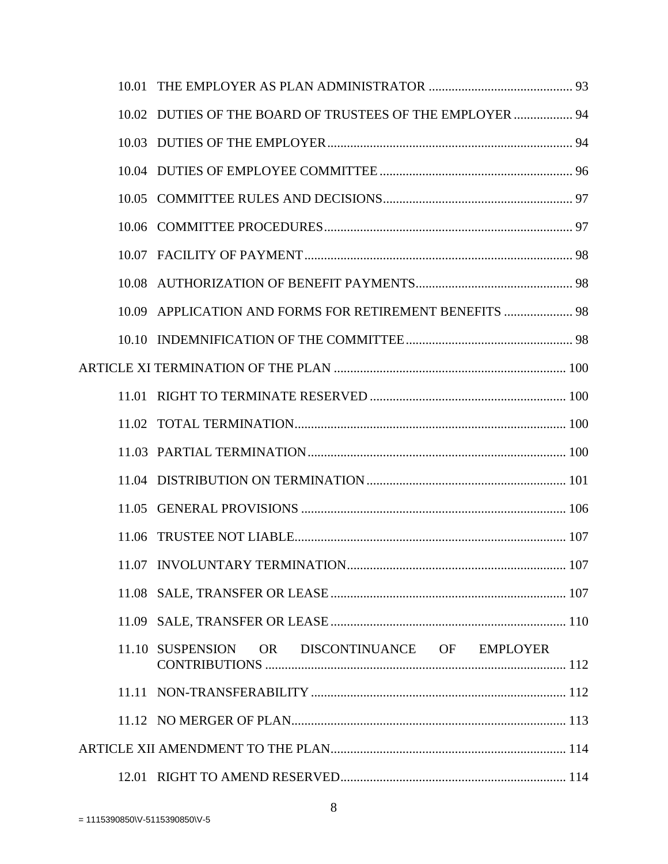| 10.02 DUTIES OF THE BOARD OF TRUSTEES OF THE EMPLOYER  94 |  |
|-----------------------------------------------------------|--|
|                                                           |  |
|                                                           |  |
|                                                           |  |
|                                                           |  |
|                                                           |  |
|                                                           |  |
| 10.09 APPLICATION AND FORMS FOR RETIREMENT BENEFITS  98   |  |
|                                                           |  |
|                                                           |  |
|                                                           |  |
|                                                           |  |
|                                                           |  |
|                                                           |  |
|                                                           |  |
|                                                           |  |
|                                                           |  |
|                                                           |  |
|                                                           |  |
| OR DISCONTINUANCE OF EMPLOYER<br>11.10 SUSPENSION         |  |
|                                                           |  |
|                                                           |  |
|                                                           |  |
|                                                           |  |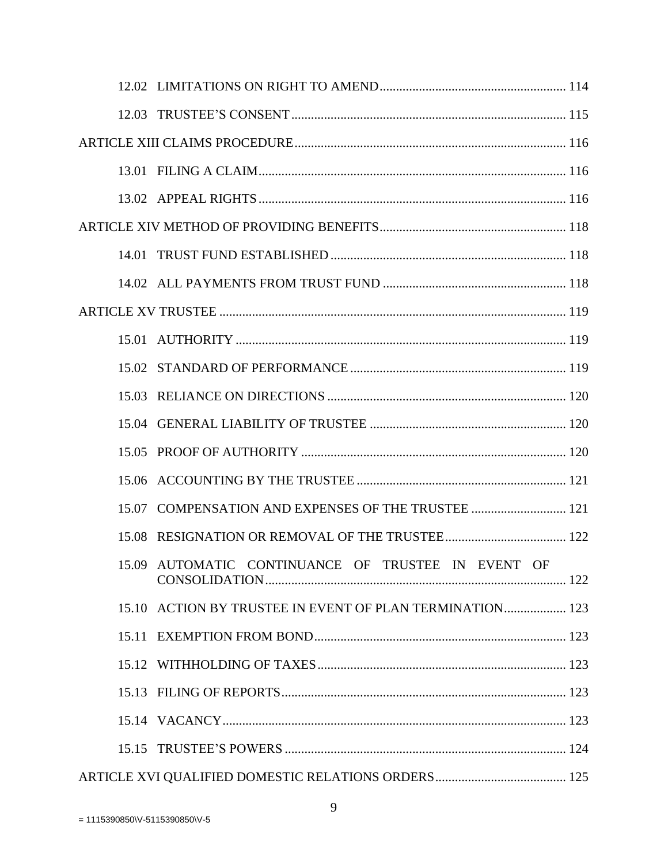| 15.07 COMPENSATION AND EXPENSES OF THE TRUSTEE  121      |  |
|----------------------------------------------------------|--|
|                                                          |  |
| 15.09 AUTOMATIC CONTINUANCE OF TRUSTEE IN EVENT OF       |  |
| 15.10 ACTION BY TRUSTEE IN EVENT OF PLAN TERMINATION 123 |  |
|                                                          |  |
|                                                          |  |
|                                                          |  |
|                                                          |  |
|                                                          |  |
|                                                          |  |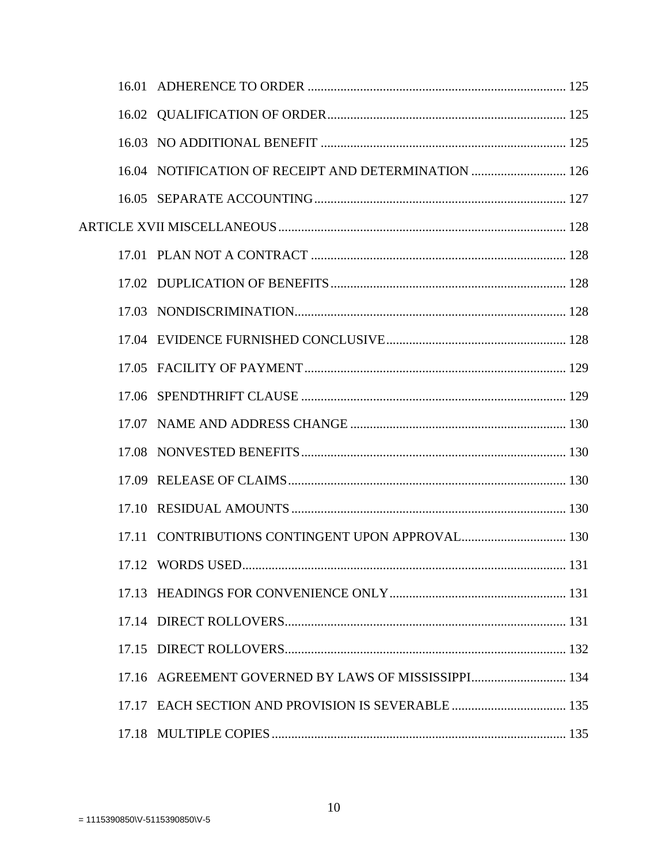| 16.04 NOTIFICATION OF RECEIPT AND DETERMINATION  126 |     |
|------------------------------------------------------|-----|
|                                                      |     |
|                                                      |     |
|                                                      |     |
|                                                      |     |
|                                                      |     |
|                                                      |     |
|                                                      |     |
|                                                      |     |
|                                                      |     |
|                                                      |     |
|                                                      |     |
|                                                      |     |
|                                                      |     |
| 17.12 WORDS USED.                                    | 131 |
|                                                      |     |
|                                                      |     |
|                                                      |     |
|                                                      |     |
| 17.17 EACH SECTION AND PROVISION IS SEVERABLE  135   |     |
|                                                      |     |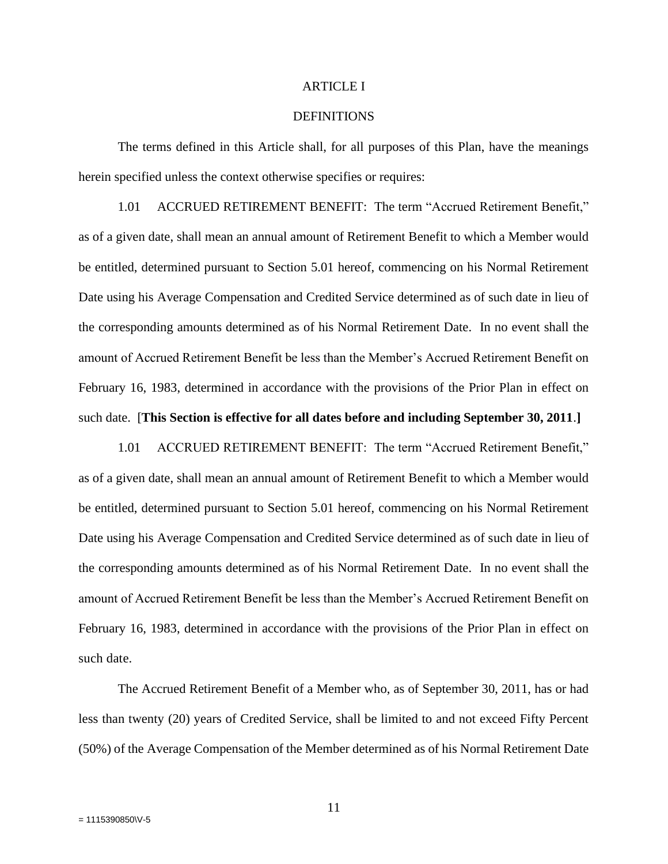#### ARTICLE I

#### **DEFINITIONS**

The terms defined in this Article shall, for all purposes of this Plan, have the meanings herein specified unless the context otherwise specifies or requires:

1.01 ACCRUED RETIREMENT BENEFIT: The term "Accrued Retirement Benefit," as of a given date, shall mean an annual amount of Retirement Benefit to which a Member would be entitled, determined pursuant to Section 5.01 hereof, commencing on his Normal Retirement Date using his Average Compensation and Credited Service determined as of such date in lieu of the corresponding amounts determined as of his Normal Retirement Date. In no event shall the amount of Accrued Retirement Benefit be less than the Member's Accrued Retirement Benefit on February 16, 1983, determined in accordance with the provisions of the Prior Plan in effect on such date. [**This Section is effective for all dates before and including September 30, 2011**.**]**

1.01 ACCRUED RETIREMENT BENEFIT: The term "Accrued Retirement Benefit," as of a given date, shall mean an annual amount of Retirement Benefit to which a Member would be entitled, determined pursuant to Section 5.01 hereof, commencing on his Normal Retirement Date using his Average Compensation and Credited Service determined as of such date in lieu of the corresponding amounts determined as of his Normal Retirement Date. In no event shall the amount of Accrued Retirement Benefit be less than the Member's Accrued Retirement Benefit on February 16, 1983, determined in accordance with the provisions of the Prior Plan in effect on such date.

The Accrued Retirement Benefit of a Member who, as of September 30, 2011, has or had less than twenty (20) years of Credited Service, shall be limited to and not exceed Fifty Percent (50%) of the Average Compensation of the Member determined as of his Normal Retirement Date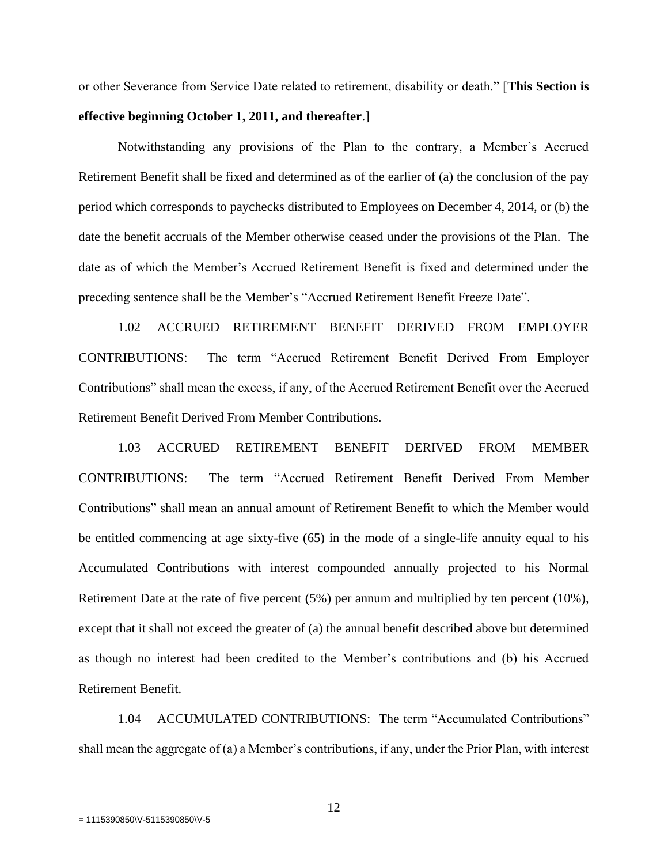or other Severance from Service Date related to retirement, disability or death." [**This Section is effective beginning October 1, 2011, and thereafter**.]

Notwithstanding any provisions of the Plan to the contrary, a Member's Accrued Retirement Benefit shall be fixed and determined as of the earlier of (a) the conclusion of the pay period which corresponds to paychecks distributed to Employees on December 4, 2014, or (b) the date the benefit accruals of the Member otherwise ceased under the provisions of the Plan. The date as of which the Member's Accrued Retirement Benefit is fixed and determined under the preceding sentence shall be the Member's "Accrued Retirement Benefit Freeze Date".

1.02 ACCRUED RETIREMENT BENEFIT DERIVED FROM EMPLOYER CONTRIBUTIONS: The term "Accrued Retirement Benefit Derived From Employer Contributions" shall mean the excess, if any, of the Accrued Retirement Benefit over the Accrued Retirement Benefit Derived From Member Contributions.

1.03 ACCRUED RETIREMENT BENEFIT DERIVED FROM MEMBER CONTRIBUTIONS: The term "Accrued Retirement Benefit Derived From Member Contributions" shall mean an annual amount of Retirement Benefit to which the Member would be entitled commencing at age sixty-five (65) in the mode of a single-life annuity equal to his Accumulated Contributions with interest compounded annually projected to his Normal Retirement Date at the rate of five percent (5%) per annum and multiplied by ten percent (10%), except that it shall not exceed the greater of (a) the annual benefit described above but determined as though no interest had been credited to the Member's contributions and (b) his Accrued Retirement Benefit.

1.04 ACCUMULATED CONTRIBUTIONS: The term "Accumulated Contributions" shall mean the aggregate of (a) a Member's contributions, if any, under the Prior Plan, with interest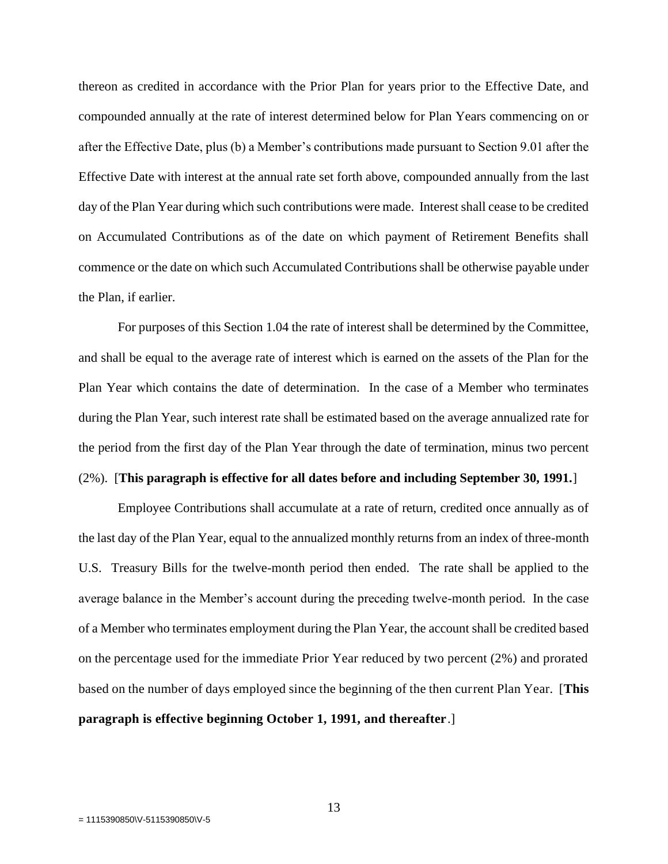thereon as credited in accordance with the Prior Plan for years prior to the Effective Date, and compounded annually at the rate of interest determined below for Plan Years commencing on or after the Effective Date, plus (b) a Member's contributions made pursuant to Section 9.01 after the Effective Date with interest at the annual rate set forth above, compounded annually from the last day of the Plan Year during which such contributions were made. Interest shall cease to be credited on Accumulated Contributions as of the date on which payment of Retirement Benefits shall commence or the date on which such Accumulated Contributions shall be otherwise payable under the Plan, if earlier.

For purposes of this Section 1.04 the rate of interest shall be determined by the Committee, and shall be equal to the average rate of interest which is earned on the assets of the Plan for the Plan Year which contains the date of determination. In the case of a Member who terminates during the Plan Year, such interest rate shall be estimated based on the average annualized rate for the period from the first day of the Plan Year through the date of termination, minus two percent

# (2%). [**This paragraph is effective for all dates before and including September 30, 1991.**]

Employee Contributions shall accumulate at a rate of return, credited once annually as of the last day of the Plan Year, equal to the annualized monthly returns from an index of three-month U.S. Treasury Bills for the twelve-month period then ended. The rate shall be applied to the average balance in the Member's account during the preceding twelve-month period. In the case of a Member who terminates employment during the Plan Year, the account shall be credited based on the percentage used for the immediate Prior Year reduced by two percent (2%) and prorated based on the number of days employed since the beginning of the then current Plan Year. [**This paragraph is effective beginning October 1, 1991, and thereafter**.]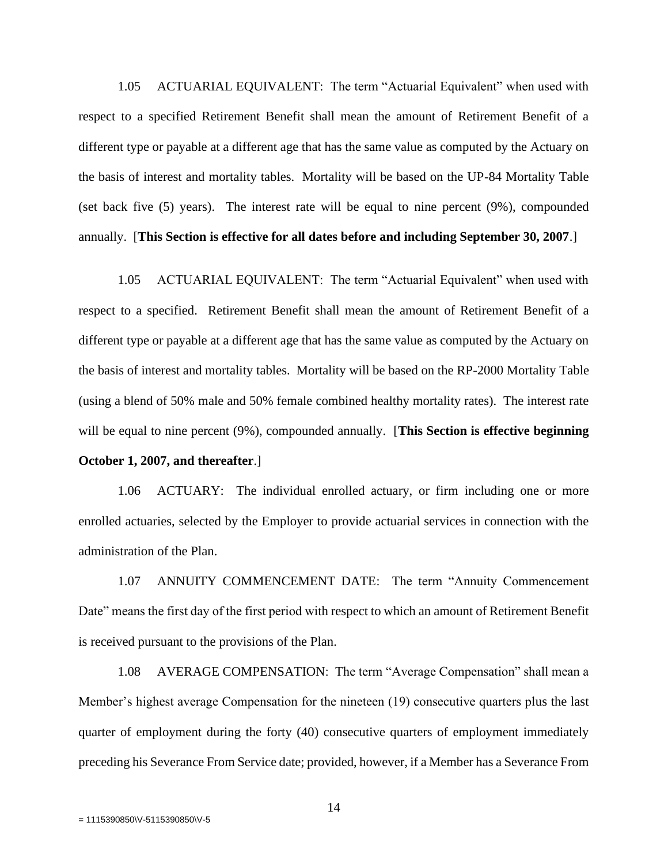1.05 ACTUARIAL EQUIVALENT: The term "Actuarial Equivalent" when used with respect to a specified Retirement Benefit shall mean the amount of Retirement Benefit of a different type or payable at a different age that has the same value as computed by the Actuary on the basis of interest and mortality tables. Mortality will be based on the UP-84 Mortality Table (set back five (5) years). The interest rate will be equal to nine percent (9%), compounded annually. [**This Section is effective for all dates before and including September 30, 2007**.]

1.05 ACTUARIAL EQUIVALENT: The term "Actuarial Equivalent" when used with respect to a specified. Retirement Benefit shall mean the amount of Retirement Benefit of a different type or payable at a different age that has the same value as computed by the Actuary on the basis of interest and mortality tables. Mortality will be based on the RP-2000 Mortality Table (using a blend of 50% male and 50% female combined healthy mortality rates). The interest rate will be equal to nine percent (9%), compounded annually. [**This Section is effective beginning** 

# **October 1, 2007, and thereafter**.]

1.06 ACTUARY: The individual enrolled actuary, or firm including one or more enrolled actuaries, selected by the Employer to provide actuarial services in connection with the administration of the Plan.

1.07 ANNUITY COMMENCEMENT DATE: The term "Annuity Commencement Date" means the first day of the first period with respect to which an amount of Retirement Benefit is received pursuant to the provisions of the Plan.

1.08 AVERAGE COMPENSATION: The term "Average Compensation" shall mean a Member's highest average Compensation for the nineteen (19) consecutive quarters plus the last quarter of employment during the forty (40) consecutive quarters of employment immediately preceding his Severance From Service date; provided, however, if a Member has a Severance From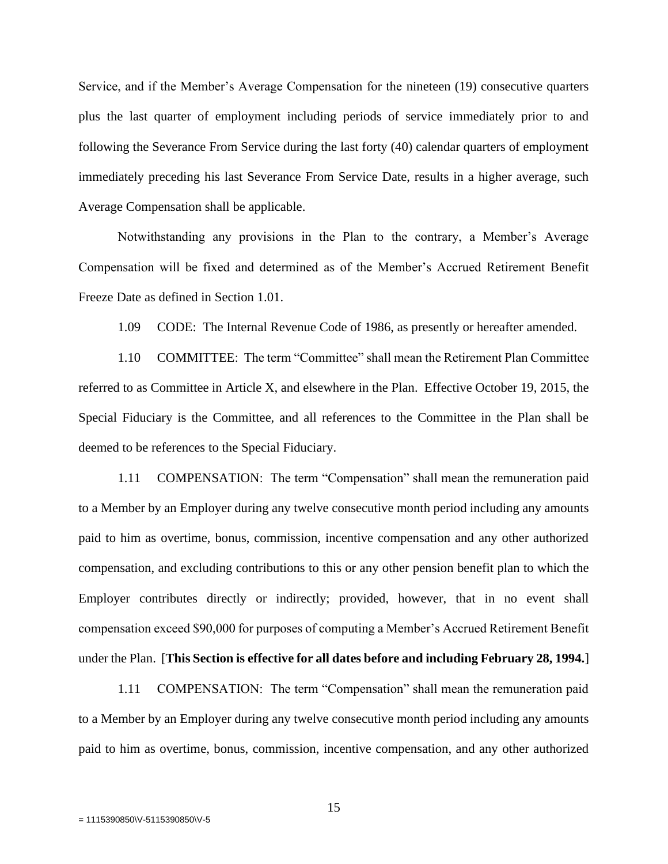Service, and if the Member's Average Compensation for the nineteen (19) consecutive quarters plus the last quarter of employment including periods of service immediately prior to and following the Severance From Service during the last forty (40) calendar quarters of employment immediately preceding his last Severance From Service Date, results in a higher average, such Average Compensation shall be applicable.

Notwithstanding any provisions in the Plan to the contrary, a Member's Average Compensation will be fixed and determined as of the Member's Accrued Retirement Benefit Freeze Date as defined in Section 1.01.

1.09 CODE: The Internal Revenue Code of 1986, as presently or hereafter amended.

1.10 COMMITTEE: The term "Committee" shall mean the Retirement Plan Committee referred to as Committee in Article X, and elsewhere in the Plan. Effective October 19, 2015, the Special Fiduciary is the Committee, and all references to the Committee in the Plan shall be deemed to be references to the Special Fiduciary.

1.11 COMPENSATION: The term "Compensation" shall mean the remuneration paid to a Member by an Employer during any twelve consecutive month period including any amounts paid to him as overtime, bonus, commission, incentive compensation and any other authorized compensation, and excluding contributions to this or any other pension benefit plan to which the Employer contributes directly or indirectly; provided, however, that in no event shall compensation exceed \$90,000 for purposes of computing a Member's Accrued Retirement Benefit under the Plan. [**This Section is effective for all dates before and including February 28, 1994.**]

1.11 COMPENSATION: The term "Compensation" shall mean the remuneration paid to a Member by an Employer during any twelve consecutive month period including any amounts paid to him as overtime, bonus, commission, incentive compensation, and any other authorized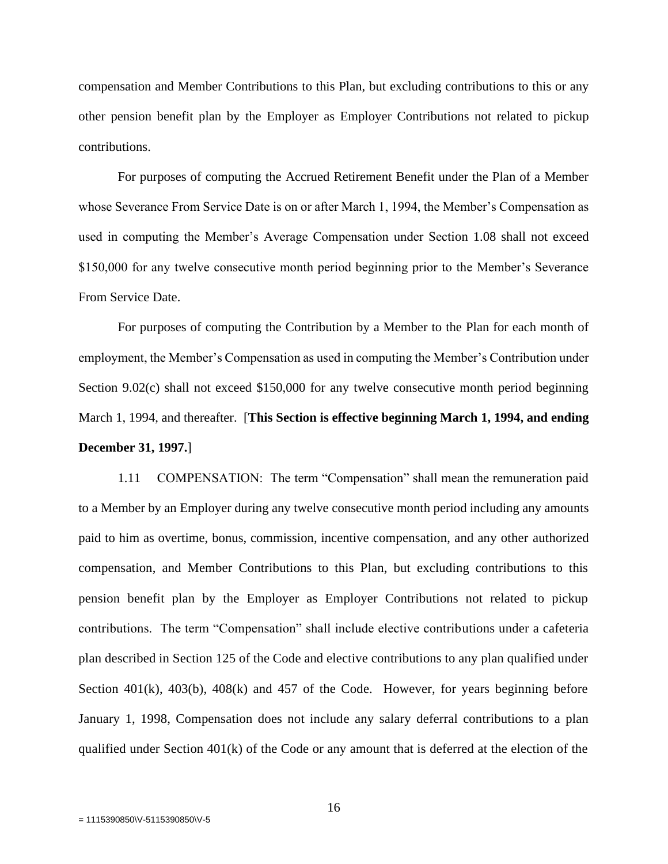compensation and Member Contributions to this Plan, but excluding contributions to this or any other pension benefit plan by the Employer as Employer Contributions not related to pickup contributions.

For purposes of computing the Accrued Retirement Benefit under the Plan of a Member whose Severance From Service Date is on or after March 1, 1994, the Member's Compensation as used in computing the Member's Average Compensation under Section 1.08 shall not exceed \$150,000 for any twelve consecutive month period beginning prior to the Member's Severance From Service Date.

For purposes of computing the Contribution by a Member to the Plan for each month of employment, the Member's Compensation as used in computing the Member's Contribution under Section 9.02(c) shall not exceed \$150,000 for any twelve consecutive month period beginning March 1, 1994, and thereafter. [**This Section is effective beginning March 1, 1994, and ending December 31, 1997.**]

1.11 COMPENSATION: The term "Compensation" shall mean the remuneration paid to a Member by an Employer during any twelve consecutive month period including any amounts paid to him as overtime, bonus, commission, incentive compensation, and any other authorized compensation, and Member Contributions to this Plan, but excluding contributions to this pension benefit plan by the Employer as Employer Contributions not related to pickup contributions. The term "Compensation" shall include elective contributions under a cafeteria plan described in Section 125 of the Code and elective contributions to any plan qualified under Section  $401(k)$ ,  $403(b)$ ,  $408(k)$  and  $457$  of the Code. However, for years beginning before January 1, 1998, Compensation does not include any salary deferral contributions to a plan qualified under Section 401(k) of the Code or any amount that is deferred at the election of the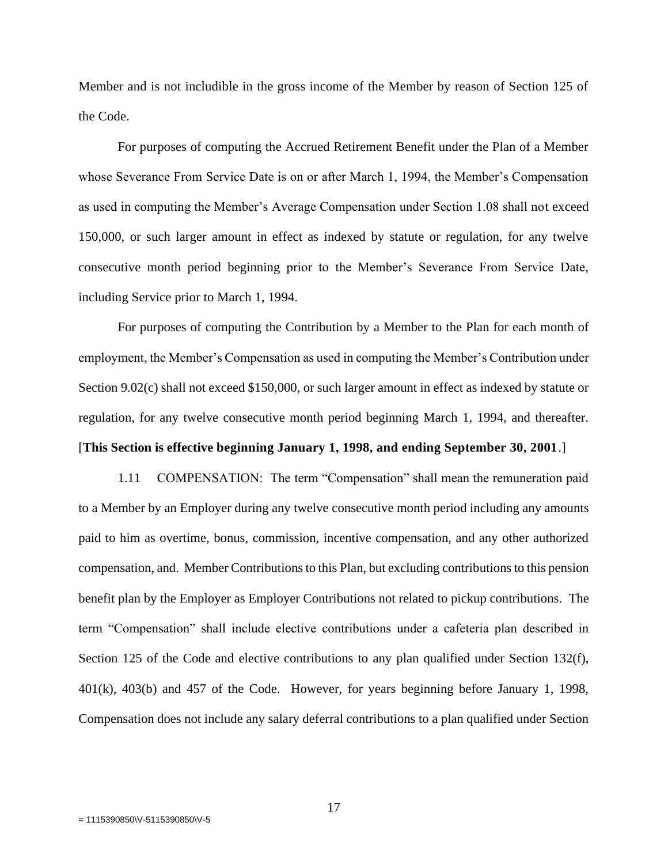Member and is not includible in the gross income of the Member by reason of Section 125 of the Code.

For purposes of computing the Accrued Retirement Benefit under the Plan of a Member whose Severance From Service Date is on or after March 1, 1994, the Member's Compensation as used in computing the Member's Average Compensation under Section 1.08 shall not exceed 150,000, or such larger amount in effect as indexed by statute or regulation, for any twelve consecutive month period beginning prior to the Member's Severance From Service Date, including Service prior to March 1, 1994.

For purposes of computing the Contribution by a Member to the Plan for each month of employment, the Member's Compensation as used in computing the Member's Contribution under Section 9.02(c) shall not exceed \$150,000, or such larger amount in effect as indexed by statute or regulation, for any twelve consecutive month period beginning March 1, 1994, and thereafter. [**This Section is effective beginning January 1, 1998, and ending September 30, 2001**.]

1.11 COMPENSATION: The term "Compensation" shall mean the remuneration paid to a Member by an Employer during any twelve consecutive month period including any amounts paid to him as overtime, bonus, commission, incentive compensation, and any other authorized compensation, and. Member Contributions to this Plan, but excluding contributions to this pension benefit plan by the Employer as Employer Contributions not related to pickup contributions. The term "Compensation" shall include elective contributions under a cafeteria plan described in Section 125 of the Code and elective contributions to any plan qualified under Section 132(f), 401(k), 403(b) and 457 of the Code. However, for years beginning before January 1, 1998, Compensation does not include any salary deferral contributions to a plan qualified under Section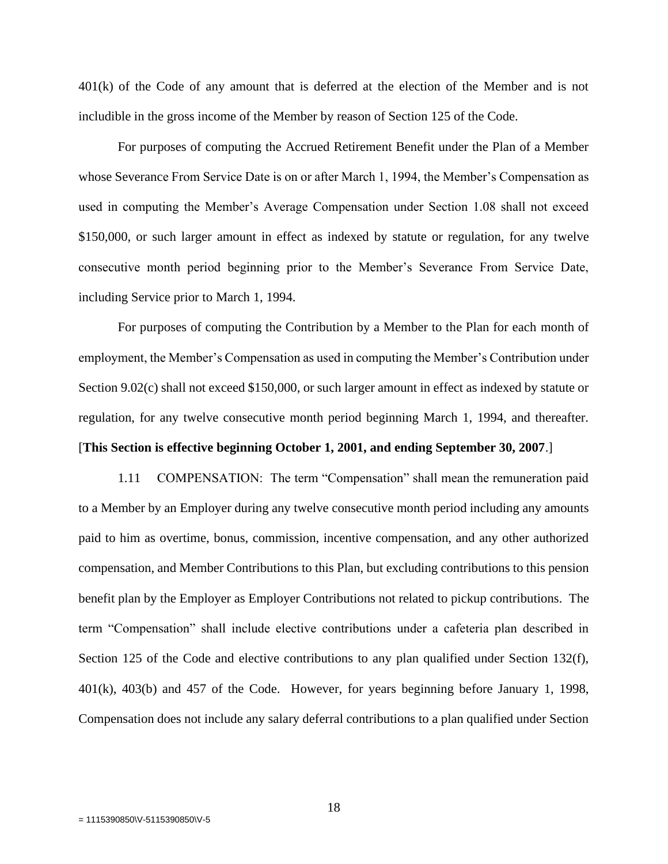401(k) of the Code of any amount that is deferred at the election of the Member and is not includible in the gross income of the Member by reason of Section 125 of the Code.

For purposes of computing the Accrued Retirement Benefit under the Plan of a Member whose Severance From Service Date is on or after March 1, 1994, the Member's Compensation as used in computing the Member's Average Compensation under Section 1.08 shall not exceed \$150,000, or such larger amount in effect as indexed by statute or regulation, for any twelve consecutive month period beginning prior to the Member's Severance From Service Date, including Service prior to March 1, 1994.

For purposes of computing the Contribution by a Member to the Plan for each month of employment, the Member's Compensation as used in computing the Member's Contribution under Section 9.02(c) shall not exceed \$150,000, or such larger amount in effect as indexed by statute or regulation, for any twelve consecutive month period beginning March 1, 1994, and thereafter.

[**This Section is effective beginning October 1, 2001, and ending September 30, 2007**.]

1.11 COMPENSATION: The term "Compensation" shall mean the remuneration paid to a Member by an Employer during any twelve consecutive month period including any amounts paid to him as overtime, bonus, commission, incentive compensation, and any other authorized compensation, and Member Contributions to this Plan, but excluding contributions to this pension benefit plan by the Employer as Employer Contributions not related to pickup contributions. The term "Compensation" shall include elective contributions under a cafeteria plan described in Section 125 of the Code and elective contributions to any plan qualified under Section 132(f), 401(k), 403(b) and 457 of the Code. However, for years beginning before January 1, 1998, Compensation does not include any salary deferral contributions to a plan qualified under Section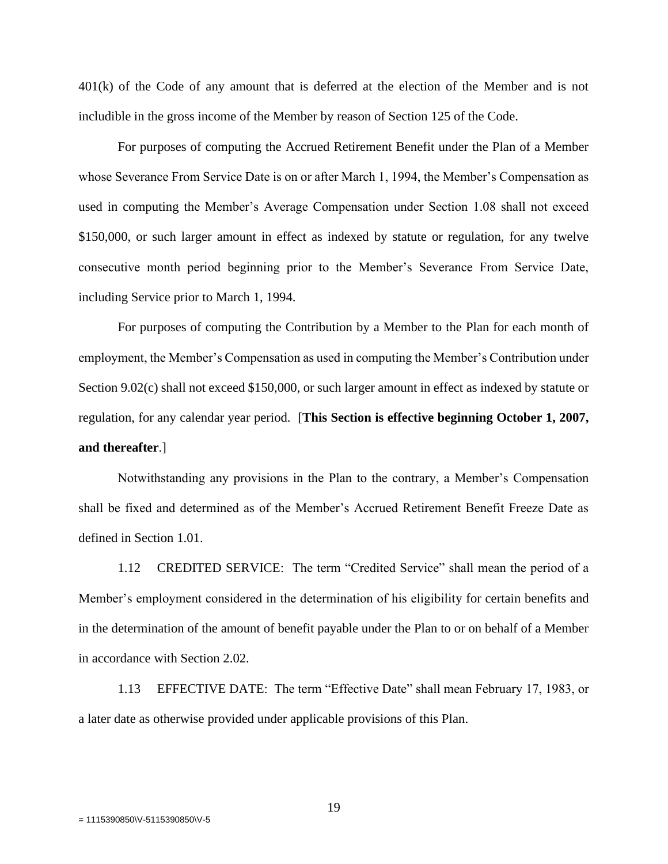401(k) of the Code of any amount that is deferred at the election of the Member and is not includible in the gross income of the Member by reason of Section 125 of the Code.

For purposes of computing the Accrued Retirement Benefit under the Plan of a Member whose Severance From Service Date is on or after March 1, 1994, the Member's Compensation as used in computing the Member's Average Compensation under Section 1.08 shall not exceed \$150,000, or such larger amount in effect as indexed by statute or regulation, for any twelve consecutive month period beginning prior to the Member's Severance From Service Date, including Service prior to March 1, 1994.

For purposes of computing the Contribution by a Member to the Plan for each month of employment, the Member's Compensation as used in computing the Member's Contribution under Section 9.02(c) shall not exceed \$150,000, or such larger amount in effect as indexed by statute or regulation, for any calendar year period. [**This Section is effective beginning October 1, 2007, and thereafter**.]

Notwithstanding any provisions in the Plan to the contrary, a Member's Compensation shall be fixed and determined as of the Member's Accrued Retirement Benefit Freeze Date as defined in Section 1.01.

1.12 CREDITED SERVICE: The term "Credited Service" shall mean the period of a Member's employment considered in the determination of his eligibility for certain benefits and in the determination of the amount of benefit payable under the Plan to or on behalf of a Member in accordance with Section 2.02.

1.13 EFFECTIVE DATE: The term "Effective Date" shall mean February 17, 1983, or a later date as otherwise provided under applicable provisions of this Plan.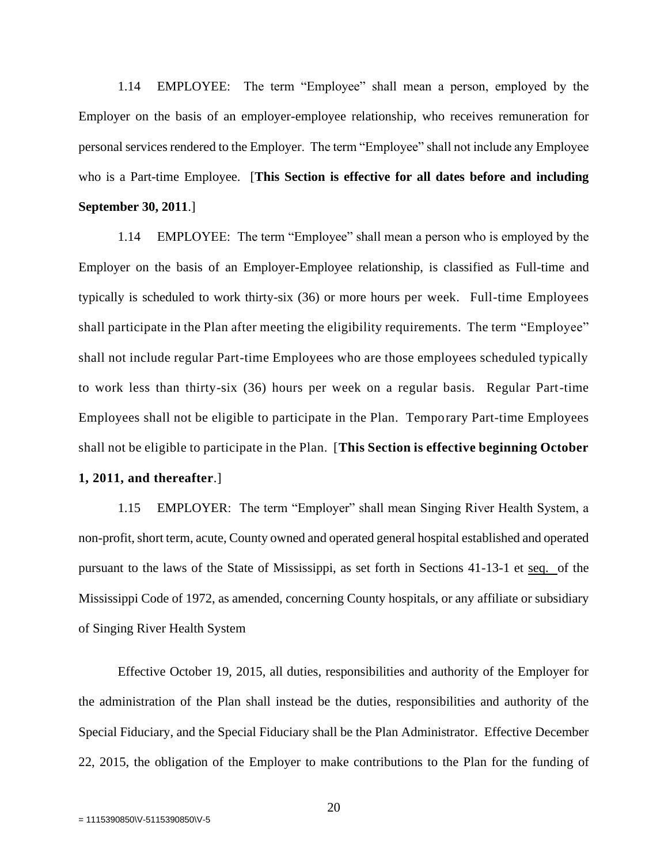1.14 EMPLOYEE: The term "Employee" shall mean a person, employed by the Employer on the basis of an employer-employee relationship, who receives remuneration for personal services rendered to the Employer. The term "Employee" shall not include any Employee who is a Part-time Employee. [**This Section is effective for all dates before and including September 30, 2011**.]

1.14 EMPLOYEE: The term "Employee" shall mean a person who is employed by the Employer on the basis of an Employer-Employee relationship, is classified as Full-time and typically is scheduled to work thirty-six (36) or more hours per week. Full-time Employees shall participate in the Plan after meeting the eligibility requirements. The term "Employee" shall not include regular Part-time Employees who are those employees scheduled typically to work less than thirty-six (36) hours per week on a regular basis. Regular Part-time Employees shall not be eligible to participate in the Plan. Temporary Part-time Employees shall not be eligible to participate in the Plan. [**This Section is effective beginning October** 

# **1, 2011, and thereafter**.]

1.15 EMPLOYER: The term "Employer" shall mean Singing River Health System, a non-profit, short term, acute, County owned and operated general hospital established and operated pursuant to the laws of the State of Mississippi, as set forth in Sections 41-13-1 et seq. of the Mississippi Code of 1972, as amended, concerning County hospitals, or any affiliate or subsidiary of Singing River Health System

Effective October 19, 2015, all duties, responsibilities and authority of the Employer for the administration of the Plan shall instead be the duties, responsibilities and authority of the Special Fiduciary, and the Special Fiduciary shall be the Plan Administrator. Effective December 22, 2015, the obligation of the Employer to make contributions to the Plan for the funding of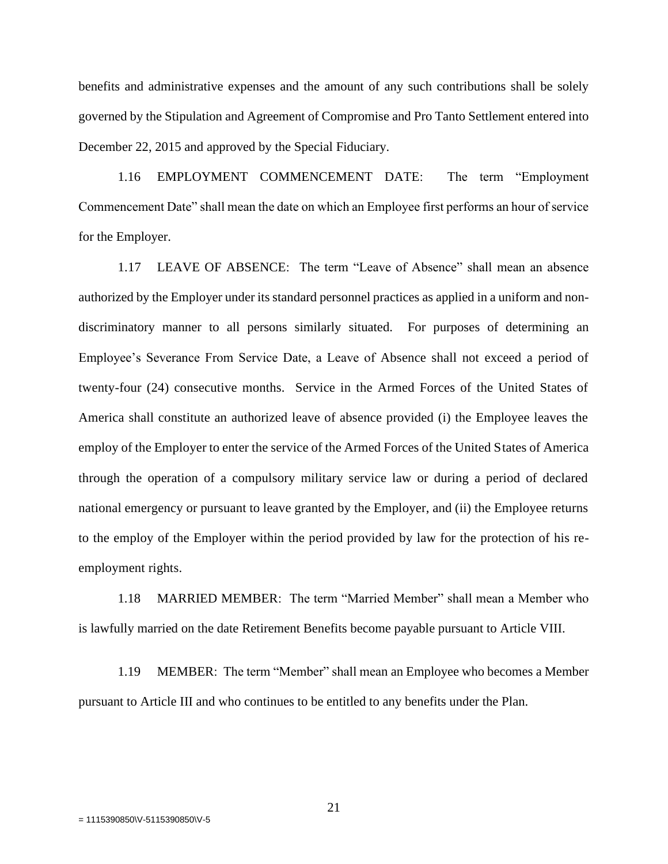benefits and administrative expenses and the amount of any such contributions shall be solely governed by the Stipulation and Agreement of Compromise and Pro Tanto Settlement entered into December 22, 2015 and approved by the Special Fiduciary.

1.16 EMPLOYMENT COMMENCEMENT DATE: The term "Employment Commencement Date" shall mean the date on which an Employee first performs an hour of service for the Employer.

1.17 LEAVE OF ABSENCE: The term "Leave of Absence" shall mean an absence authorized by the Employer under its standard personnel practices as applied in a uniform and nondiscriminatory manner to all persons similarly situated. For purposes of determining an Employee's Severance From Service Date, a Leave of Absence shall not exceed a period of twenty-four (24) consecutive months. Service in the Armed Forces of the United States of America shall constitute an authorized leave of absence provided (i) the Employee leaves the employ of the Employer to enter the service of the Armed Forces of the United States of America through the operation of a compulsory military service law or during a period of declared national emergency or pursuant to leave granted by the Employer, and (ii) the Employee returns to the employ of the Employer within the period provided by law for the protection of his reemployment rights.

1.18 MARRIED MEMBER: The term "Married Member" shall mean a Member who is lawfully married on the date Retirement Benefits become payable pursuant to Article VIII.

1.19 MEMBER: The term "Member" shall mean an Employee who becomes a Member pursuant to Article III and who continues to be entitled to any benefits under the Plan.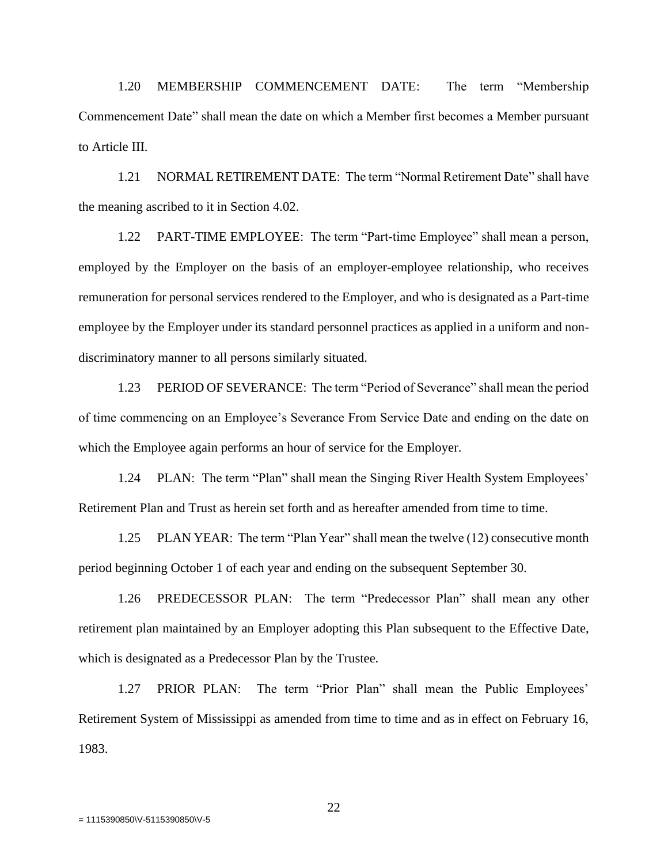1.20 MEMBERSHIP COMMENCEMENT DATE: The term "Membership Commencement Date" shall mean the date on which a Member first becomes a Member pursuant to Article III.

1.21 NORMAL RETIREMENT DATE: The term "Normal Retirement Date" shall have the meaning ascribed to it in Section 4.02.

1.22 PART-TIME EMPLOYEE: The term "Part-time Employee" shall mean a person, employed by the Employer on the basis of an employer-employee relationship, who receives remuneration for personal services rendered to the Employer, and who is designated as a Part-time employee by the Employer under its standard personnel practices as applied in a uniform and nondiscriminatory manner to all persons similarly situated.

1.23 PERIOD OF SEVERANCE: The term "Period of Severance" shall mean the period of time commencing on an Employee's Severance From Service Date and ending on the date on which the Employee again performs an hour of service for the Employer.

1.24 PLAN: The term "Plan" shall mean the Singing River Health System Employees' Retirement Plan and Trust as herein set forth and as hereafter amended from time to time.

1.25 PLAN YEAR: The term "Plan Year" shall mean the twelve (12) consecutive month period beginning October 1 of each year and ending on the subsequent September 30.

1.26 PREDECESSOR PLAN: The term "Predecessor Plan" shall mean any other retirement plan maintained by an Employer adopting this Plan subsequent to the Effective Date, which is designated as a Predecessor Plan by the Trustee.

1.27 PRIOR PLAN: The term "Prior Plan" shall mean the Public Employees' Retirement System of Mississippi as amended from time to time and as in effect on February 16, 1983.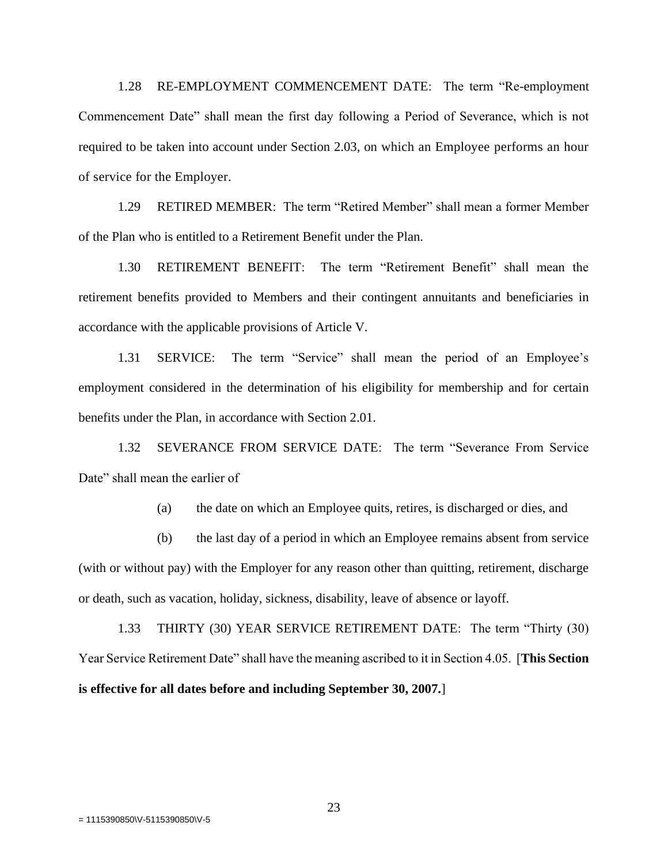1.28 RE-EMPLOYMENT COMMENCEMENT DATE: The term "Re-employment Commencement Date" shall mean the first day following a Period of Severance, which is not required to be taken into account under Section 2.03, on which an Employee performs an hour of service for the Employer.

1.29 RETIRED MEMBER: The term "Retired Member" shall mean a former Member of the Plan who is entitled to a Retirement Benefit under the Plan.

1.30 RETIREMENT BENEFIT: The term "Retirement Benefit" shall mean the retirement benefits provided to Members and their contingent annuitants and beneficiaries in accordance with the applicable provisions of Article V.

1.31 SERVICE: The term "Service" shall mean the period of an Employee's employment considered in the determination of his eligibility for membership and for certain benefits under the Plan, in accordance with Section 2.01.

1.32 SEVERANCE FROM SERVICE DATE: The term "Severance From Service Date" shall mean the earlier of

(a) the date on which an Employee quits, retires, is discharged or dies, and

(b) the last day of a period in which an Employee remains absent from service (with or without pay) with the Employer for any reason other than quitting, retirement, discharge or death, such as vacation, holiday, sickness, disability, leave of absence or layoff.

1.33 THIRTY (30) YEAR SERVICE RETIREMENT DATE: The term "Thirty (30) Year Service Retirement Date" shall have the meaning ascribed to it in Section 4.05. [**This Section is effective for all dates before and including September 30, 2007.**]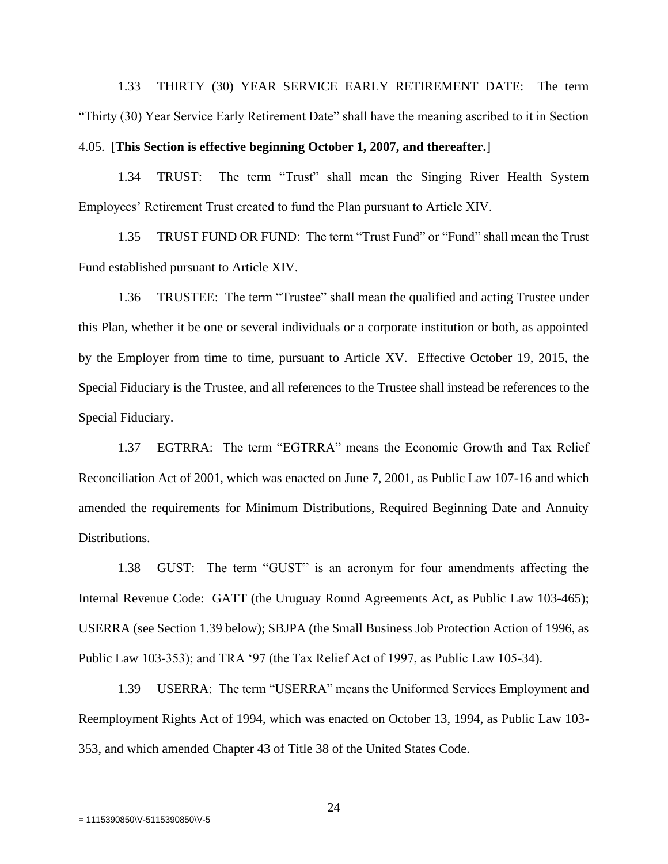1.33 THIRTY (30) YEAR SERVICE EARLY RETIREMENT DATE: The term "Thirty (30) Year Service Early Retirement Date" shall have the meaning ascribed to it in Section 4.05. [**This Section is effective beginning October 1, 2007, and thereafter.**]

1.34 TRUST: The term "Trust" shall mean the Singing River Health System Employees' Retirement Trust created to fund the Plan pursuant to Article XIV.

1.35 TRUST FUND OR FUND: The term "Trust Fund" or "Fund" shall mean the Trust Fund established pursuant to Article XIV.

1.36 TRUSTEE: The term "Trustee" shall mean the qualified and acting Trustee under this Plan, whether it be one or several individuals or a corporate institution or both, as appointed by the Employer from time to time, pursuant to Article XV. Effective October 19, 2015, the Special Fiduciary is the Trustee, and all references to the Trustee shall instead be references to the Special Fiduciary.

1.37 EGTRRA: The term "EGTRRA" means the Economic Growth and Tax Relief Reconciliation Act of 2001, which was enacted on June 7, 2001, as Public Law 107-16 and which amended the requirements for Minimum Distributions, Required Beginning Date and Annuity Distributions.

1.38 GUST: The term "GUST" is an acronym for four amendments affecting the Internal Revenue Code: GATT (the Uruguay Round Agreements Act, as Public Law 103-465); USERRA (see Section 1.39 below); SBJPA (the Small Business Job Protection Action of 1996, as Public Law 103-353); and TRA '97 (the Tax Relief Act of 1997, as Public Law 105-34).

1.39 USERRA: The term "USERRA" means the Uniformed Services Employment and Reemployment Rights Act of 1994, which was enacted on October 13, 1994, as Public Law 103- 353, and which amended Chapter 43 of Title 38 of the United States Code.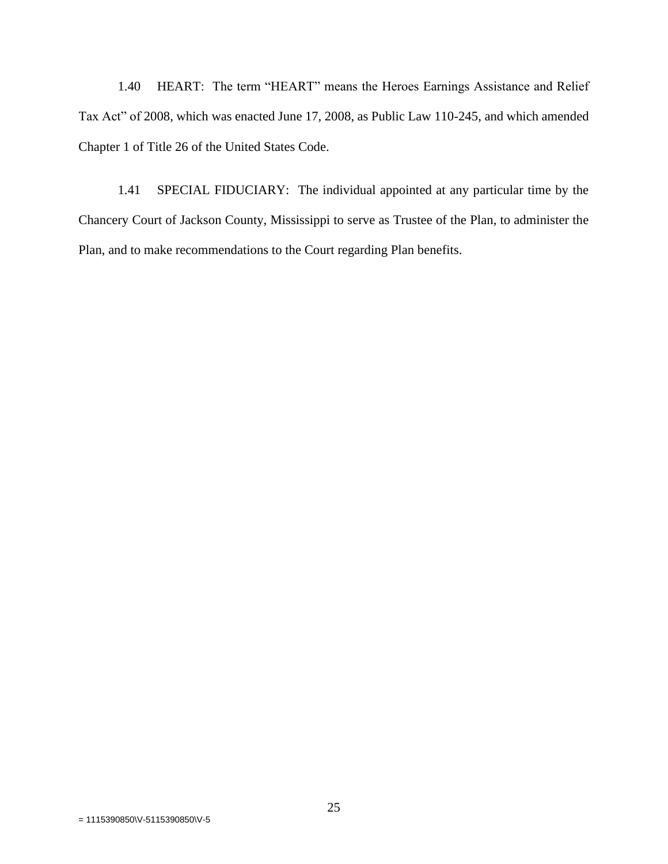1.40 HEART: The term "HEART" means the Heroes Earnings Assistance and Relief Tax Act" of 2008, which was enacted June 17, 2008, as Public Law 110-245, and which amended Chapter 1 of Title 26 of the United States Code.

1.41 SPECIAL FIDUCIARY: The individual appointed at any particular time by the Chancery Court of Jackson County, Mississippi to serve as Trustee of the Plan, to administer the Plan, and to make recommendations to the Court regarding Plan benefits.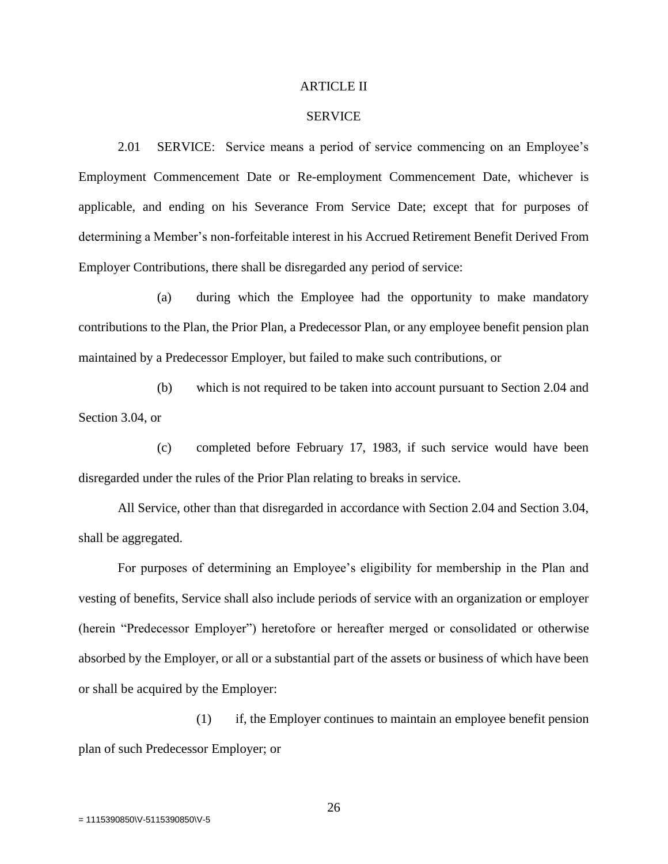#### ARTICLE II

#### SERVICE

2.01 SERVICE: Service means a period of service commencing on an Employee's Employment Commencement Date or Re-employment Commencement Date, whichever is applicable, and ending on his Severance From Service Date; except that for purposes of determining a Member's non-forfeitable interest in his Accrued Retirement Benefit Derived From Employer Contributions, there shall be disregarded any period of service:

(a) during which the Employee had the opportunity to make mandatory contributions to the Plan, the Prior Plan, a Predecessor Plan, or any employee benefit pension plan maintained by a Predecessor Employer, but failed to make such contributions, or

(b) which is not required to be taken into account pursuant to Section 2.04 and Section 3.04, or

(c) completed before February 17, 1983, if such service would have been disregarded under the rules of the Prior Plan relating to breaks in service.

All Service, other than that disregarded in accordance with Section 2.04 and Section 3.04, shall be aggregated.

For purposes of determining an Employee's eligibility for membership in the Plan and vesting of benefits, Service shall also include periods of service with an organization or employer (herein "Predecessor Employer") heretofore or hereafter merged or consolidated or otherwise absorbed by the Employer, or all or a substantial part of the assets or business of which have been or shall be acquired by the Employer:

(1) if, the Employer continues to maintain an employee benefit pension plan of such Predecessor Employer; or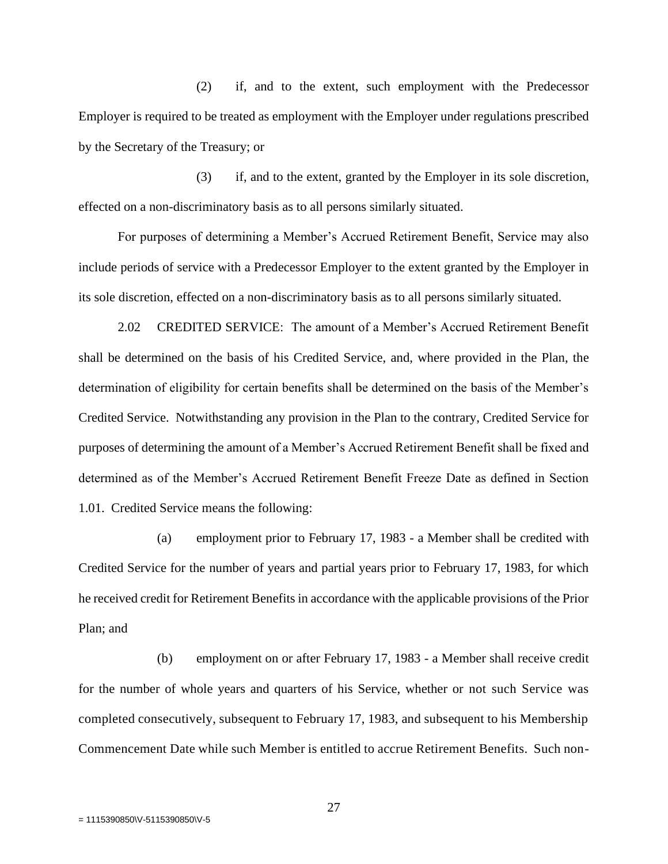(2) if, and to the extent, such employment with the Predecessor Employer is required to be treated as employment with the Employer under regulations prescribed by the Secretary of the Treasury; or

(3) if, and to the extent, granted by the Employer in its sole discretion, effected on a non-discriminatory basis as to all persons similarly situated.

For purposes of determining a Member's Accrued Retirement Benefit, Service may also include periods of service with a Predecessor Employer to the extent granted by the Employer in its sole discretion, effected on a non-discriminatory basis as to all persons similarly situated.

2.02 CREDITED SERVICE: The amount of a Member's Accrued Retirement Benefit shall be determined on the basis of his Credited Service, and, where provided in the Plan, the determination of eligibility for certain benefits shall be determined on the basis of the Member's Credited Service. Notwithstanding any provision in the Plan to the contrary, Credited Service for purposes of determining the amount of a Member's Accrued Retirement Benefit shall be fixed and determined as of the Member's Accrued Retirement Benefit Freeze Date as defined in Section 1.01. Credited Service means the following:

(a) employment prior to February 17, 1983 - a Member shall be credited with Credited Service for the number of years and partial years prior to February 17, 1983, for which he received credit for Retirement Benefits in accordance with the applicable provisions of the Prior Plan; and

(b) employment on or after February 17, 1983 - a Member shall receive credit for the number of whole years and quarters of his Service, whether or not such Service was completed consecutively, subsequent to February 17, 1983, and subsequent to his Membership Commencement Date while such Member is entitled to accrue Retirement Benefits. Such non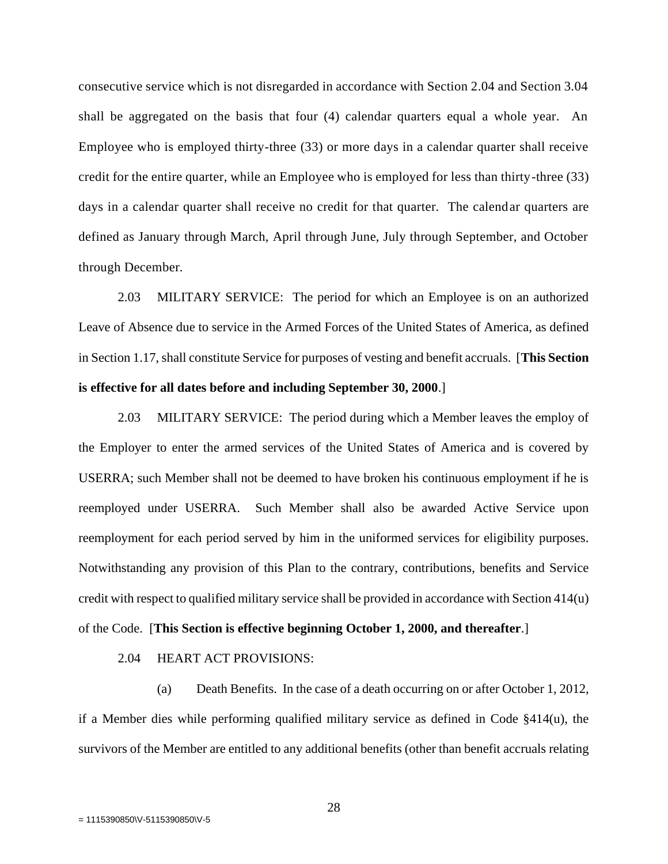consecutive service which is not disregarded in accordance with Section 2.04 and Section 3.04 shall be aggregated on the basis that four (4) calendar quarters equal a whole year. An Employee who is employed thirty-three (33) or more days in a calendar quarter shall receive credit for the entire quarter, while an Employee who is employed for less than thirty-three (33) days in a calendar quarter shall receive no credit for that quarter. The calendar quarters are defined as January through March, April through June, July through September, and October through December.

2.03 MILITARY SERVICE: The period for which an Employee is on an authorized Leave of Absence due to service in the Armed Forces of the United States of America, as defined in Section 1.17, shall constitute Service for purposes of vesting and benefit accruals. [**This Section is effective for all dates before and including September 30, 2000**.]

2.03 MILITARY SERVICE: The period during which a Member leaves the employ of the Employer to enter the armed services of the United States of America and is covered by USERRA; such Member shall not be deemed to have broken his continuous employment if he is reemployed under USERRA. Such Member shall also be awarded Active Service upon reemployment for each period served by him in the uniformed services for eligibility purposes. Notwithstanding any provision of this Plan to the contrary, contributions, benefits and Service credit with respect to qualified military service shall be provided in accordance with Section 414(u) of the Code. [**This Section is effective beginning October 1, 2000, and thereafter**.]

2.04 HEART ACT PROVISIONS:

(a) Death Benefits. In the case of a death occurring on or after October 1, 2012, if a Member dies while performing qualified military service as defined in Code §414(u), the survivors of the Member are entitled to any additional benefits (other than benefit accruals relating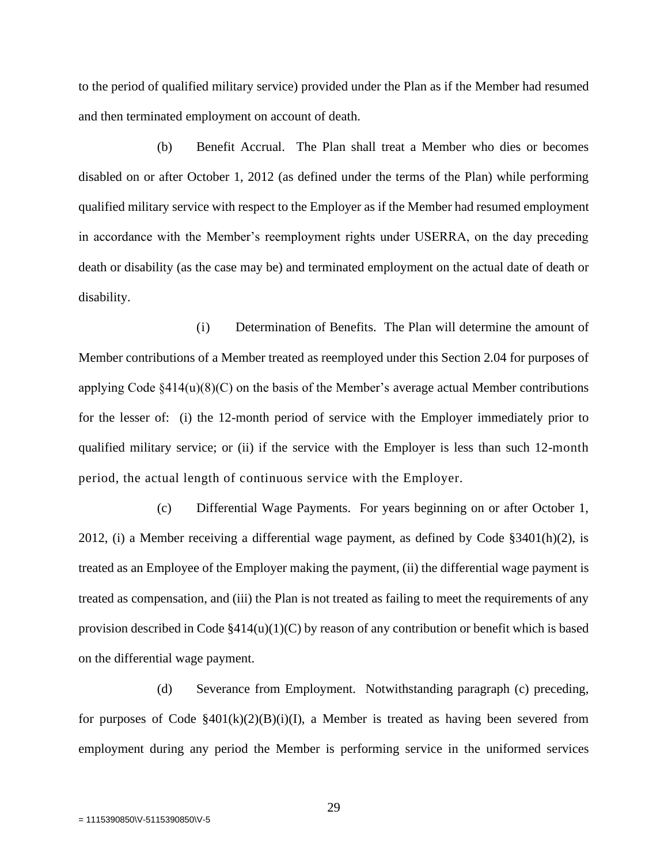to the period of qualified military service) provided under the Plan as if the Member had resumed and then terminated employment on account of death.

(b) Benefit Accrual. The Plan shall treat a Member who dies or becomes disabled on or after October 1, 2012 (as defined under the terms of the Plan) while performing qualified military service with respect to the Employer as if the Member had resumed employment in accordance with the Member's reemployment rights under USERRA, on the day preceding death or disability (as the case may be) and terminated employment on the actual date of death or disability.

(i) Determination of Benefits. The Plan will determine the amount of Member contributions of a Member treated as reemployed under this Section 2.04 for purposes of applying Code §414(u)(8)(C) on the basis of the Member's average actual Member contributions for the lesser of: (i) the 12-month period of service with the Employer immediately prior to qualified military service; or (ii) if the service with the Employer is less than such 12-month period, the actual length of continuous service with the Employer.

(c) Differential Wage Payments. For years beginning on or after October 1, 2012, (i) a Member receiving a differential wage payment, as defined by Code  $\S 3401(h)(2)$ , is treated as an Employee of the Employer making the payment, (ii) the differential wage payment is treated as compensation, and (iii) the Plan is not treated as failing to meet the requirements of any provision described in Code §414(u)(1)(C) by reason of any contribution or benefit which is based on the differential wage payment.

(d) Severance from Employment. Notwithstanding paragraph (c) preceding, for purposes of Code  $$401(k)(2)(B)(i)(I)$ , a Member is treated as having been severed from employment during any period the Member is performing service in the uniformed services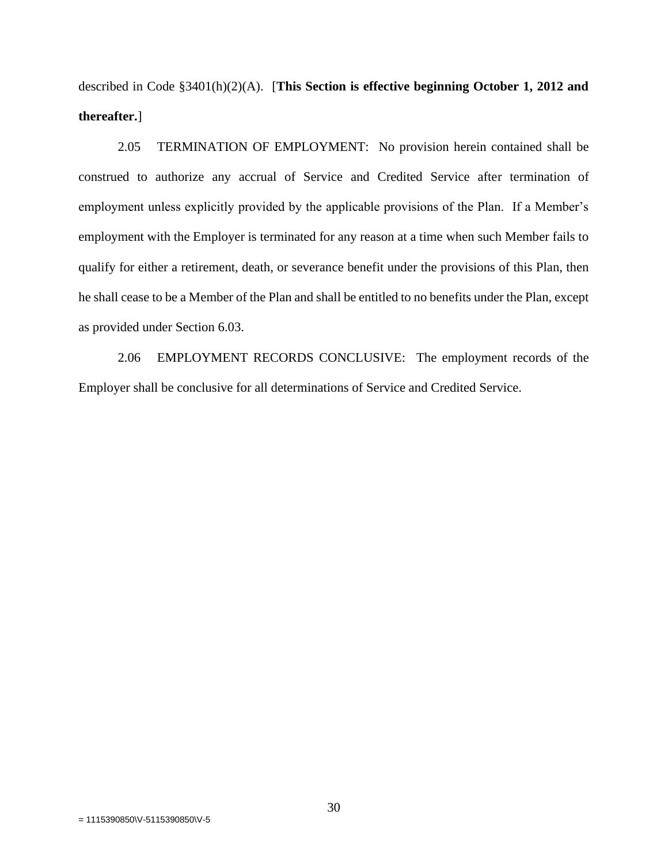described in Code §3401(h)(2)(A). [**This Section is effective beginning October 1, 2012 and thereafter.**]

2.05 TERMINATION OF EMPLOYMENT: No provision herein contained shall be construed to authorize any accrual of Service and Credited Service after termination of employment unless explicitly provided by the applicable provisions of the Plan. If a Member's employment with the Employer is terminated for any reason at a time when such Member fails to qualify for either a retirement, death, or severance benefit under the provisions of this Plan, then he shall cease to be a Member of the Plan and shall be entitled to no benefits under the Plan, except as provided under Section 6.03.

2.06 EMPLOYMENT RECORDS CONCLUSIVE: The employment records of the Employer shall be conclusive for all determinations of Service and Credited Service.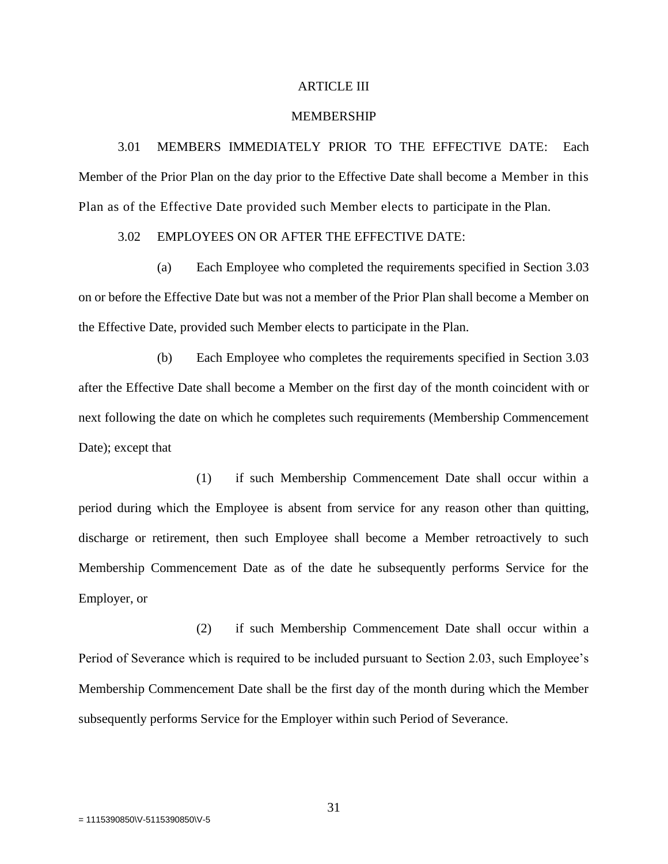#### ARTICLE III

#### MEMBERSHIP

3.01 MEMBERS IMMEDIATELY PRIOR TO THE EFFECTIVE DATE: Each Member of the Prior Plan on the day prior to the Effective Date shall become a Member in this Plan as of the Effective Date provided such Member elects to participate in the Plan.

# 3.02 EMPLOYEES ON OR AFTER THE EFFECTIVE DATE:

(a) Each Employee who completed the requirements specified in Section 3.03 on or before the Effective Date but was not a member of the Prior Plan shall become a Member on the Effective Date, provided such Member elects to participate in the Plan.

(b) Each Employee who completes the requirements specified in Section 3.03 after the Effective Date shall become a Member on the first day of the month coincident with or next following the date on which he completes such requirements (Membership Commencement Date); except that

(1) if such Membership Commencement Date shall occur within a period during which the Employee is absent from service for any reason other than quitting, discharge or retirement, then such Employee shall become a Member retroactively to such Membership Commencement Date as of the date he subsequently performs Service for the Employer, or

(2) if such Membership Commencement Date shall occur within a Period of Severance which is required to be included pursuant to Section 2.03, such Employee's Membership Commencement Date shall be the first day of the month during which the Member subsequently performs Service for the Employer within such Period of Severance.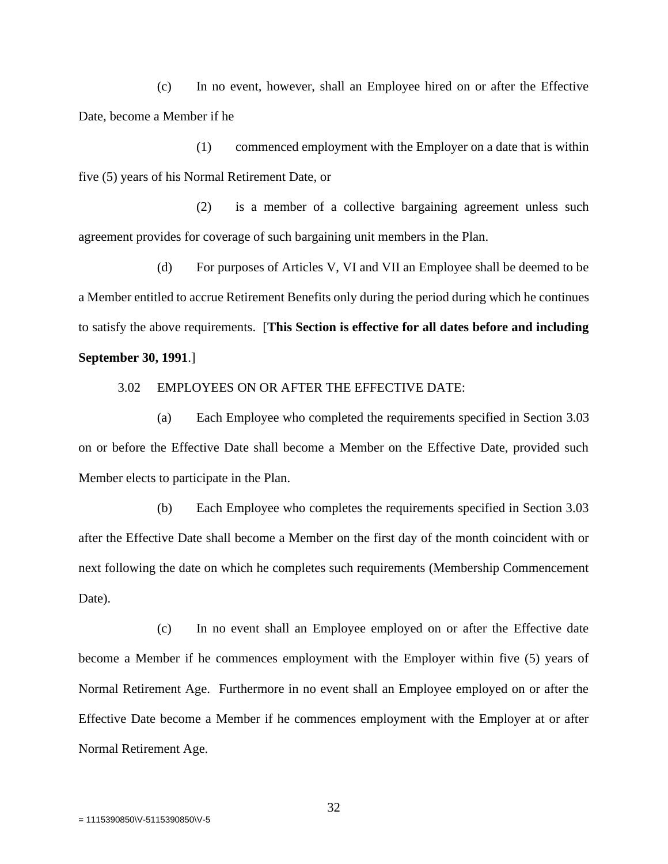(c) In no event, however, shall an Employee hired on or after the Effective Date, become a Member if he

(1) commenced employment with the Employer on a date that is within five (5) years of his Normal Retirement Date, or

(2) is a member of a collective bargaining agreement unless such agreement provides for coverage of such bargaining unit members in the Plan.

(d) For purposes of Articles V, VI and VII an Employee shall be deemed to be a Member entitled to accrue Retirement Benefits only during the period during which he continues to satisfy the above requirements. [**This Section is effective for all dates before and including September 30, 1991**.]

3.02 EMPLOYEES ON OR AFTER THE EFFECTIVE DATE:

(a) Each Employee who completed the requirements specified in Section 3.03 on or before the Effective Date shall become a Member on the Effective Date, provided such Member elects to participate in the Plan.

(b) Each Employee who completes the requirements specified in Section 3.03 after the Effective Date shall become a Member on the first day of the month coincident with or next following the date on which he completes such requirements (Membership Commencement Date).

(c) In no event shall an Employee employed on or after the Effective date become a Member if he commences employment with the Employer within five (5) years of Normal Retirement Age. Furthermore in no event shall an Employee employed on or after the Effective Date become a Member if he commences employment with the Employer at or after Normal Retirement Age.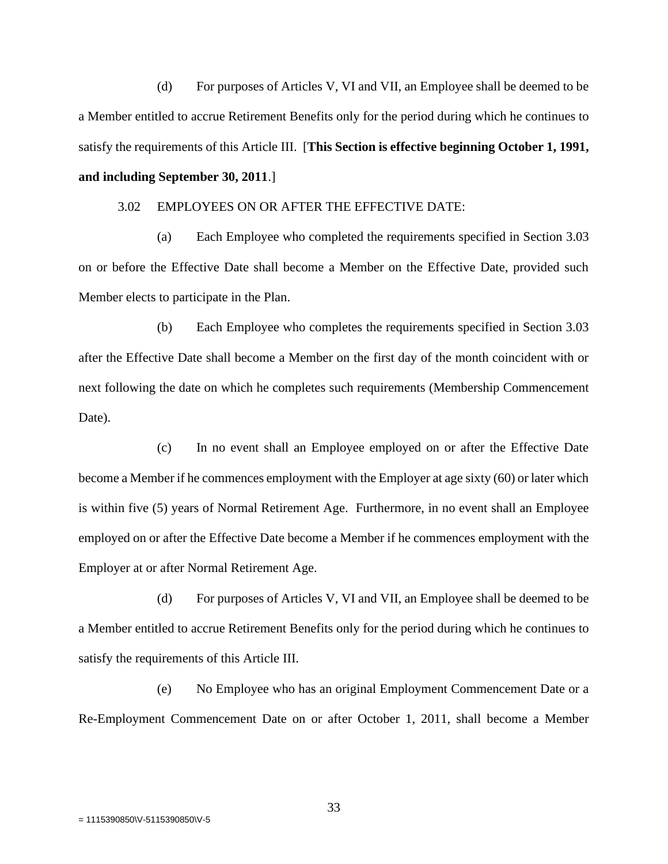(d) For purposes of Articles V, VI and VII, an Employee shall be deemed to be a Member entitled to accrue Retirement Benefits only for the period during which he continues to satisfy the requirements of this Article III.[**This Section is effective beginning October 1, 1991, and including September 30, 2011**.]

3.02 EMPLOYEES ON OR AFTER THE EFFECTIVE DATE:

(a) Each Employee who completed the requirements specified in Section 3.03 on or before the Effective Date shall become a Member on the Effective Date, provided such Member elects to participate in the Plan.

(b) Each Employee who completes the requirements specified in Section 3.03 after the Effective Date shall become a Member on the first day of the month coincident with or next following the date on which he completes such requirements (Membership Commencement Date).

(c) In no event shall an Employee employed on or after the Effective Date become a Member if he commences employment with the Employer at age sixty (60) or later which is within five (5) years of Normal Retirement Age. Furthermore, in no event shall an Employee employed on or after the Effective Date become a Member if he commences employment with the Employer at or after Normal Retirement Age.

(d) For purposes of Articles V, VI and VII, an Employee shall be deemed to be a Member entitled to accrue Retirement Benefits only for the period during which he continues to satisfy the requirements of this Article III.

(e) No Employee who has an original Employment Commencement Date or a Re-Employment Commencement Date on or after October 1, 2011, shall become a Member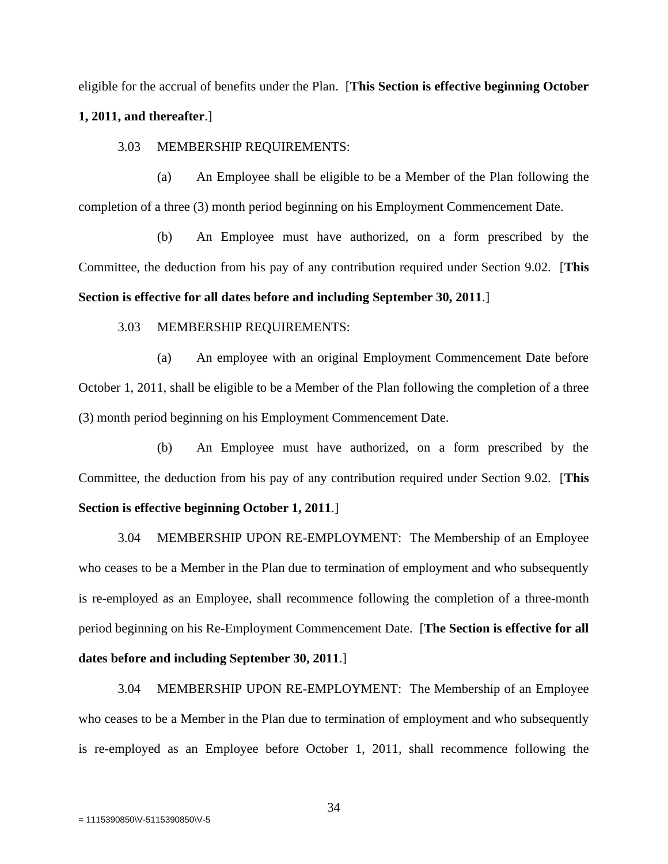eligible for the accrual of benefits under the Plan. [**This Section is effective beginning October** 

#### **1, 2011, and thereafter**.]

3.03 MEMBERSHIP REQUIREMENTS:

(a) An Employee shall be eligible to be a Member of the Plan following the completion of a three (3) month period beginning on his Employment Commencement Date.

(b) An Employee must have authorized, on a form prescribed by the Committee, the deduction from his pay of any contribution required under Section 9.02. [**This Section is effective for all dates before and including September 30, 2011**.]

## 3.03 MEMBERSHIP REQUIREMENTS:

(a) An employee with an original Employment Commencement Date before October 1, 2011, shall be eligible to be a Member of the Plan following the completion of a three (3) month period beginning on his Employment Commencement Date.

(b) An Employee must have authorized, on a form prescribed by the Committee, the deduction from his pay of any contribution required under Section 9.02. [**This Section is effective beginning October 1, 2011**.]

3.04 MEMBERSHIP UPON RE-EMPLOYMENT: The Membership of an Employee who ceases to be a Member in the Plan due to termination of employment and who subsequently is re-employed as an Employee, shall recommence following the completion of a three-month period beginning on his Re-Employment Commencement Date. [**The Section is effective for all dates before and including September 30, 2011**.]

3.04 MEMBERSHIP UPON RE-EMPLOYMENT: The Membership of an Employee who ceases to be a Member in the Plan due to termination of employment and who subsequently is re-employed as an Employee before October 1, 2011, shall recommence following the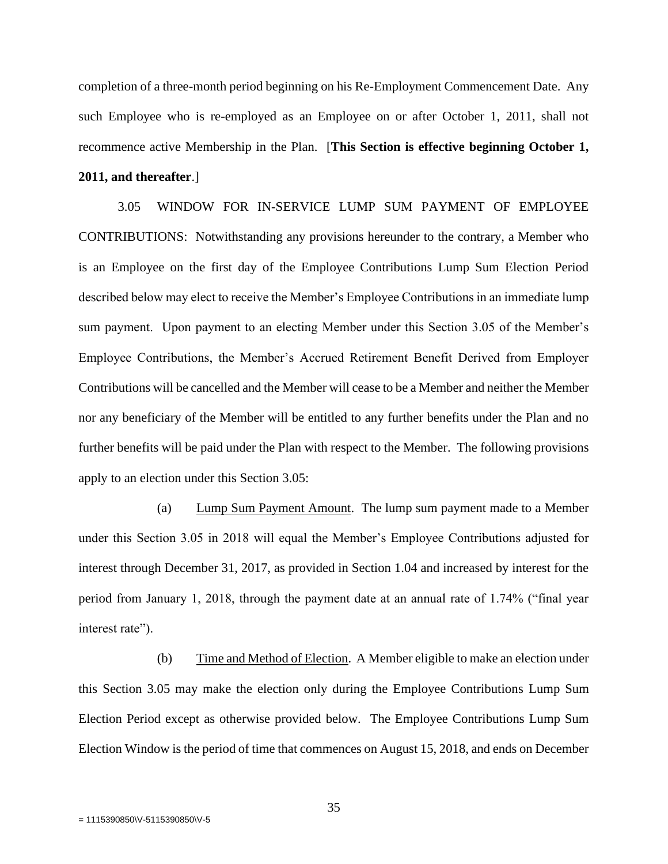completion of a three-month period beginning on his Re-Employment Commencement Date. Any such Employee who is re-employed as an Employee on or after October 1, 2011, shall not recommence active Membership in the Plan. [**This Section is effective beginning October 1, 2011, and thereafter**.]

3.05 WINDOW FOR IN-SERVICE LUMP SUM PAYMENT OF EMPLOYEE CONTRIBUTIONS: Notwithstanding any provisions hereunder to the contrary, a Member who is an Employee on the first day of the Employee Contributions Lump Sum Election Period described below may elect to receive the Member's Employee Contributions in an immediate lump sum payment. Upon payment to an electing Member under this Section 3.05 of the Member's Employee Contributions, the Member's Accrued Retirement Benefit Derived from Employer Contributions will be cancelled and the Member will cease to be a Member and neither the Member nor any beneficiary of the Member will be entitled to any further benefits under the Plan and no further benefits will be paid under the Plan with respect to the Member. The following provisions apply to an election under this Section 3.05:

(a) Lump Sum Payment Amount. The lump sum payment made to a Member under this Section 3.05 in 2018 will equal the Member's Employee Contributions adjusted for interest through December 31, 2017, as provided in Section 1.04 and increased by interest for the period from January 1, 2018, through the payment date at an annual rate of 1.74% ("final year interest rate").

(b) Time and Method of Election. A Member eligible to make an election under this Section 3.05 may make the election only during the Employee Contributions Lump Sum Election Period except as otherwise provided below. The Employee Contributions Lump Sum Election Window is the period of time that commences on August 15, 2018, and ends on December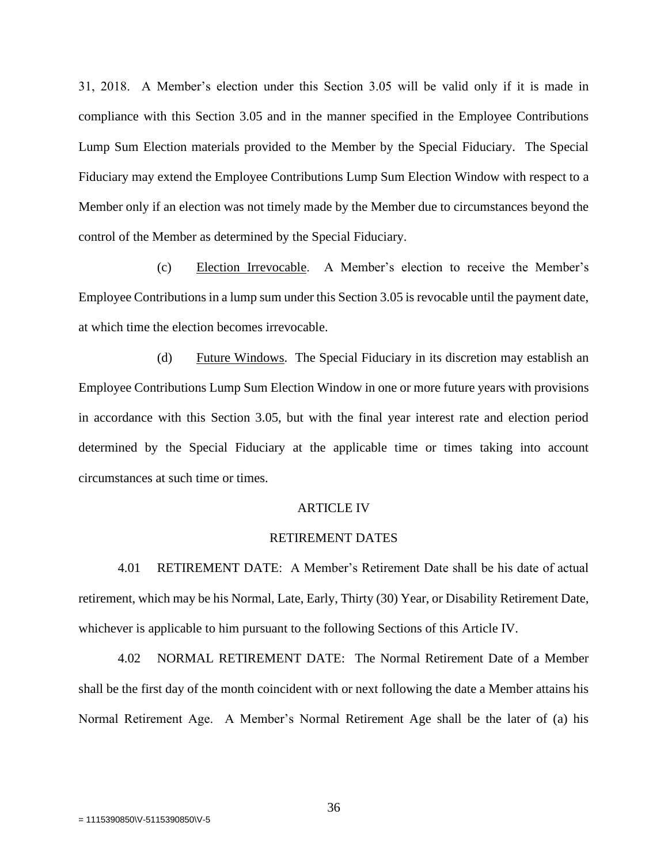31, 2018. A Member's election under this Section 3.05 will be valid only if it is made in compliance with this Section 3.05 and in the manner specified in the Employee Contributions Lump Sum Election materials provided to the Member by the Special Fiduciary. The Special Fiduciary may extend the Employee Contributions Lump Sum Election Window with respect to a Member only if an election was not timely made by the Member due to circumstances beyond the control of the Member as determined by the Special Fiduciary.

(c) Election Irrevocable. A Member's election to receive the Member's Employee Contributions in a lump sum under this Section 3.05 is revocable until the payment date, at which time the election becomes irrevocable.

(d) Future Windows. The Special Fiduciary in its discretion may establish an Employee Contributions Lump Sum Election Window in one or more future years with provisions in accordance with this Section 3.05, but with the final year interest rate and election period determined by the Special Fiduciary at the applicable time or times taking into account circumstances at such time or times.

#### ARTICLE IV

#### RETIREMENT DATES

4.01 RETIREMENT DATE: A Member's Retirement Date shall be his date of actual retirement, which may be his Normal, Late, Early, Thirty (30) Year, or Disability Retirement Date, whichever is applicable to him pursuant to the following Sections of this Article IV.

4.02 NORMAL RETIREMENT DATE: The Normal Retirement Date of a Member shall be the first day of the month coincident with or next following the date a Member attains his Normal Retirement Age. A Member's Normal Retirement Age shall be the later of (a) his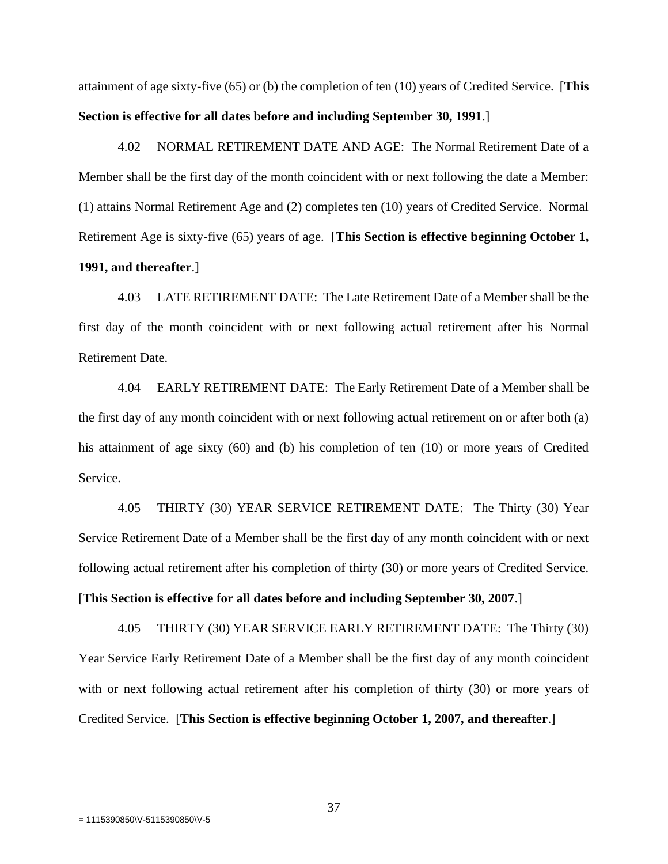attainment of age sixty-five (65) or (b) the completion of ten (10) years of Credited Service. [**This Section is effective for all dates before and including September 30, 1991**.]

4.02 NORMAL RETIREMENT DATE AND AGE: The Normal Retirement Date of a Member shall be the first day of the month coincident with or next following the date a Member: (1) attains Normal Retirement Age and (2) completes ten (10) years of Credited Service. Normal Retirement Age is sixty-five (65) years of age. [**This Section is effective beginning October 1, 1991, and thereafter**.]

4.03 LATE RETIREMENT DATE: The Late Retirement Date of a Member shall be the first day of the month coincident with or next following actual retirement after his Normal Retirement Date.

4.04 EARLY RETIREMENT DATE: The Early Retirement Date of a Member shall be the first day of any month coincident with or next following actual retirement on or after both (a) his attainment of age sixty (60) and (b) his completion of ten (10) or more years of Credited Service.

4.05 THIRTY (30) YEAR SERVICE RETIREMENT DATE: The Thirty (30) Year Service Retirement Date of a Member shall be the first day of any month coincident with or next following actual retirement after his completion of thirty (30) or more years of Credited Service.

[**This Section is effective for all dates before and including September 30, 2007**.]

4.05 THIRTY (30) YEAR SERVICE EARLY RETIREMENT DATE: The Thirty (30) Year Service Early Retirement Date of a Member shall be the first day of any month coincident with or next following actual retirement after his completion of thirty (30) or more years of Credited Service. [**This Section is effective beginning October 1, 2007, and thereafter**.]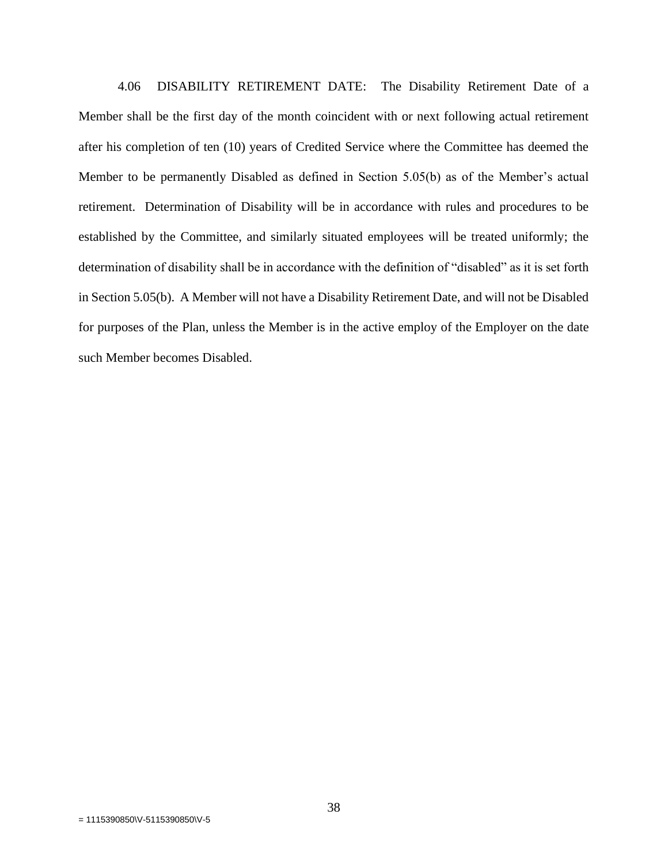4.06 DISABILITY RETIREMENT DATE: The Disability Retirement Date of a Member shall be the first day of the month coincident with or next following actual retirement after his completion of ten (10) years of Credited Service where the Committee has deemed the Member to be permanently Disabled as defined in Section 5.05(b) as of the Member's actual retirement. Determination of Disability will be in accordance with rules and procedures to be established by the Committee, and similarly situated employees will be treated uniformly; the determination of disability shall be in accordance with the definition of "disabled" as it is set forth in Section 5.05(b). A Member will not have a Disability Retirement Date, and will not be Disabled for purposes of the Plan, unless the Member is in the active employ of the Employer on the date such Member becomes Disabled.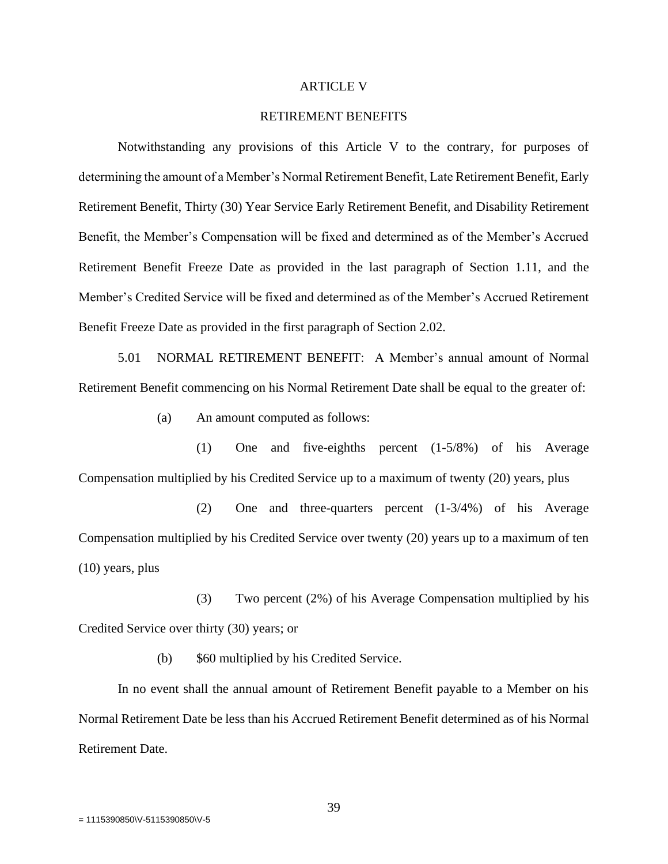### ARTICLE V

# RETIREMENT BENEFITS

Notwithstanding any provisions of this Article V to the contrary, for purposes of determining the amount of a Member's Normal Retirement Benefit, Late Retirement Benefit, Early Retirement Benefit, Thirty (30) Year Service Early Retirement Benefit, and Disability Retirement Benefit, the Member's Compensation will be fixed and determined as of the Member's Accrued Retirement Benefit Freeze Date as provided in the last paragraph of Section 1.11, and the Member's Credited Service will be fixed and determined as of the Member's Accrued Retirement Benefit Freeze Date as provided in the first paragraph of Section 2.02.

5.01 NORMAL RETIREMENT BENEFIT: A Member's annual amount of Normal Retirement Benefit commencing on his Normal Retirement Date shall be equal to the greater of:

(a) An amount computed as follows:

(1) One and five-eighths percent (1-5/8%) of his Average Compensation multiplied by his Credited Service up to a maximum of twenty (20) years, plus

(2) One and three-quarters percent (1-3/4%) of his Average Compensation multiplied by his Credited Service over twenty (20) years up to a maximum of ten (10) years, plus

(3) Two percent (2%) of his Average Compensation multiplied by his Credited Service over thirty (30) years; or

(b) \$60 multiplied by his Credited Service.

In no event shall the annual amount of Retirement Benefit payable to a Member on his Normal Retirement Date be less than his Accrued Retirement Benefit determined as of his Normal Retirement Date.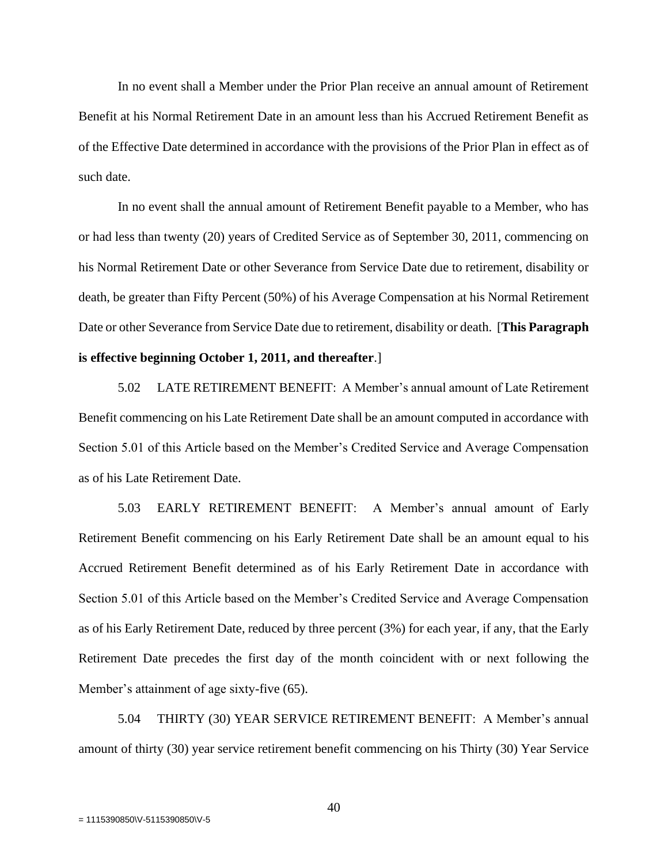In no event shall a Member under the Prior Plan receive an annual amount of Retirement Benefit at his Normal Retirement Date in an amount less than his Accrued Retirement Benefit as of the Effective Date determined in accordance with the provisions of the Prior Plan in effect as of such date.

In no event shall the annual amount of Retirement Benefit payable to a Member, who has or had less than twenty (20) years of Credited Service as of September 30, 2011, commencing on his Normal Retirement Date or other Severance from Service Date due to retirement, disability or death, be greater than Fifty Percent (50%) of his Average Compensation at his Normal Retirement Date or other Severance from Service Date due to retirement, disability or death. [**This Paragraph is effective beginning October 1, 2011, and thereafter**.]

5.02 LATE RETIREMENT BENEFIT: A Member's annual amount of Late Retirement Benefit commencing on his Late Retirement Date shall be an amount computed in accordance with Section 5.01 of this Article based on the Member's Credited Service and Average Compensation as of his Late Retirement Date.

5.03 EARLY RETIREMENT BENEFIT: A Member's annual amount of Early Retirement Benefit commencing on his Early Retirement Date shall be an amount equal to his Accrued Retirement Benefit determined as of his Early Retirement Date in accordance with Section 5.01 of this Article based on the Member's Credited Service and Average Compensation as of his Early Retirement Date, reduced by three percent (3%) for each year, if any, that the Early Retirement Date precedes the first day of the month coincident with or next following the Member's attainment of age sixty-five (65).

5.04 THIRTY (30) YEAR SERVICE RETIREMENT BENEFIT: A Member's annual amount of thirty (30) year service retirement benefit commencing on his Thirty (30) Year Service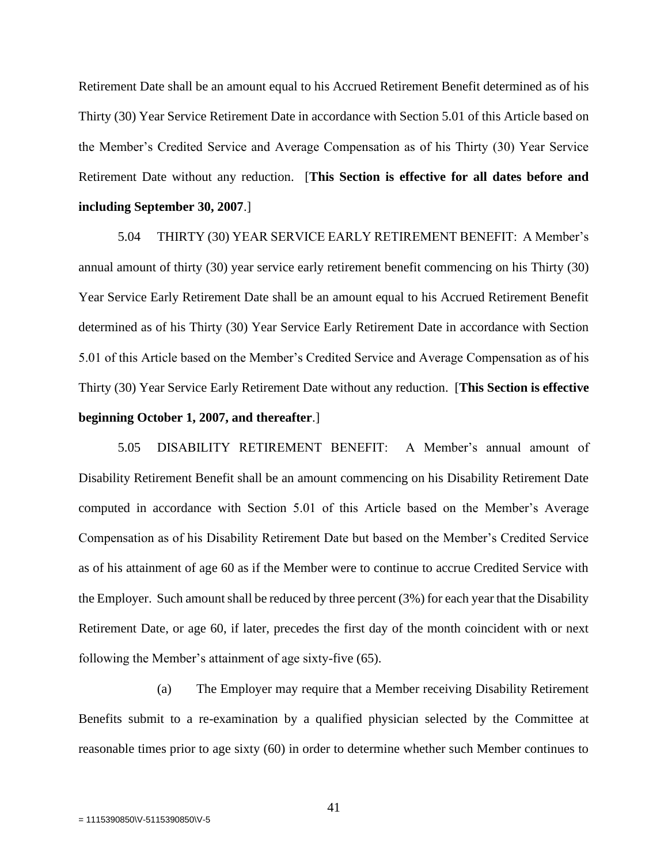Retirement Date shall be an amount equal to his Accrued Retirement Benefit determined as of his Thirty (30) Year Service Retirement Date in accordance with Section 5.01 of this Article based on the Member's Credited Service and Average Compensation as of his Thirty (30) Year Service Retirement Date without any reduction. [**This Section is effective for all dates before and including September 30, 2007**.]

5.04 THIRTY (30) YEAR SERVICE EARLY RETIREMENT BENEFIT: A Member's annual amount of thirty (30) year service early retirement benefit commencing on his Thirty (30) Year Service Early Retirement Date shall be an amount equal to his Accrued Retirement Benefit determined as of his Thirty (30) Year Service Early Retirement Date in accordance with Section 5.01 of this Article based on the Member's Credited Service and Average Compensation as of his Thirty (30) Year Service Early Retirement Date without any reduction. [**This Section is effective beginning October 1, 2007, and thereafter**.]

5.05 DISABILITY RETIREMENT BENEFIT: A Member's annual amount of Disability Retirement Benefit shall be an amount commencing on his Disability Retirement Date computed in accordance with Section 5.01 of this Article based on the Member's Average Compensation as of his Disability Retirement Date but based on the Member's Credited Service as of his attainment of age 60 as if the Member were to continue to accrue Credited Service with the Employer. Such amount shall be reduced by three percent (3%) for each year that the Disability Retirement Date, or age 60, if later, precedes the first day of the month coincident with or next following the Member's attainment of age sixty-five (65).

(a) The Employer may require that a Member receiving Disability Retirement Benefits submit to a re-examination by a qualified physician selected by the Committee at reasonable times prior to age sixty (60) in order to determine whether such Member continues to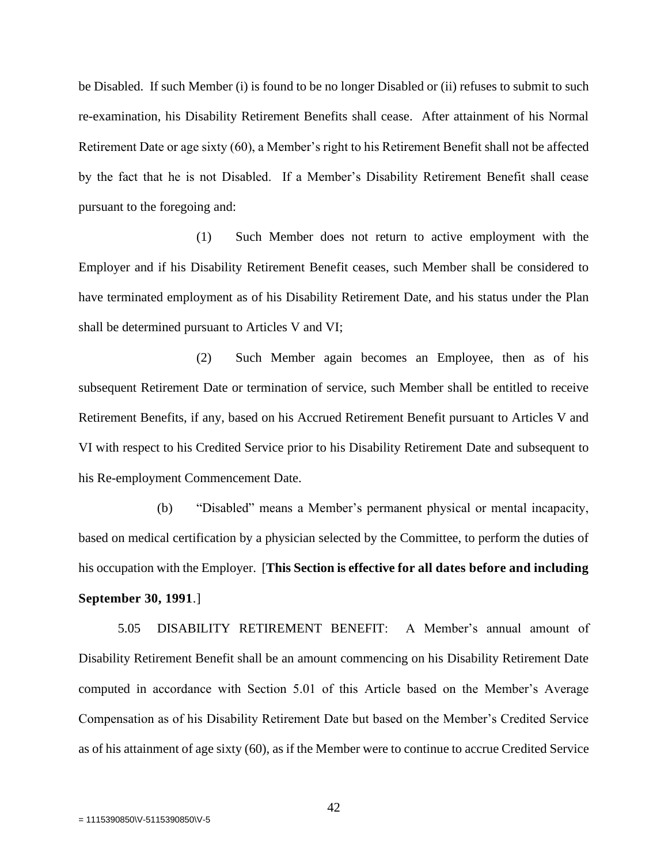be Disabled. If such Member (i) is found to be no longer Disabled or (ii) refuses to submit to such re-examination, his Disability Retirement Benefits shall cease. After attainment of his Normal Retirement Date or age sixty (60), a Member's right to his Retirement Benefit shall not be affected by the fact that he is not Disabled. If a Member's Disability Retirement Benefit shall cease pursuant to the foregoing and:

(1) Such Member does not return to active employment with the Employer and if his Disability Retirement Benefit ceases, such Member shall be considered to have terminated employment as of his Disability Retirement Date, and his status under the Plan shall be determined pursuant to Articles V and VI;

(2) Such Member again becomes an Employee, then as of his subsequent Retirement Date or termination of service, such Member shall be entitled to receive Retirement Benefits, if any, based on his Accrued Retirement Benefit pursuant to Articles V and VI with respect to his Credited Service prior to his Disability Retirement Date and subsequent to his Re-employment Commencement Date.

(b) "Disabled" means a Member's permanent physical or mental incapacity, based on medical certification by a physician selected by the Committee, to perform the duties of his occupation with the Employer. [**This Section is effective for all dates before and including September 30, 1991**.]

5.05 DISABILITY RETIREMENT BENEFIT: A Member's annual amount of Disability Retirement Benefit shall be an amount commencing on his Disability Retirement Date computed in accordance with Section 5.01 of this Article based on the Member's Average Compensation as of his Disability Retirement Date but based on the Member's Credited Service as of his attainment of age sixty (60), as if the Member were to continue to accrue Credited Service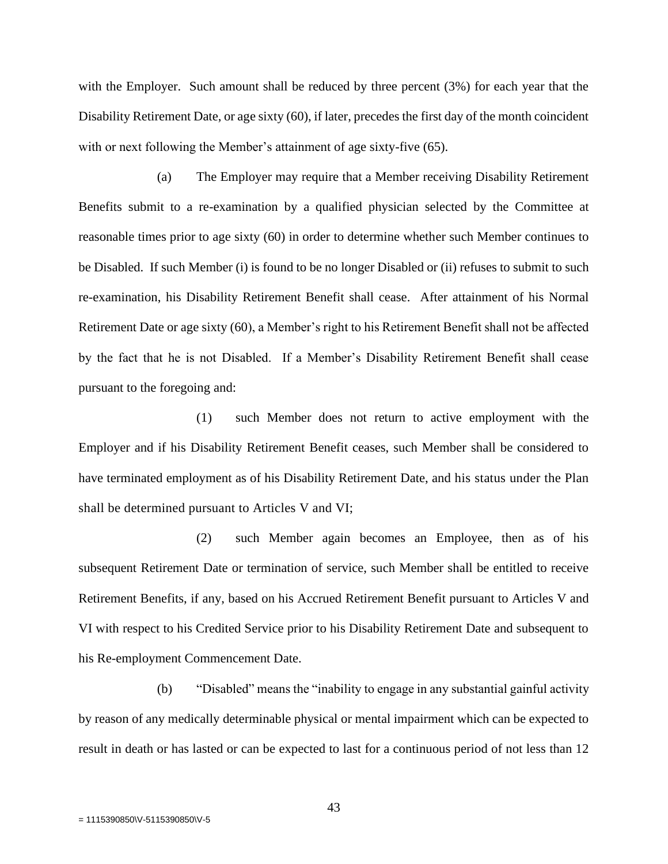with the Employer. Such amount shall be reduced by three percent (3%) for each year that the Disability Retirement Date, or age sixty (60), if later, precedes the first day of the month coincident with or next following the Member's attainment of age sixty-five (65).

(a) The Employer may require that a Member receiving Disability Retirement Benefits submit to a re-examination by a qualified physician selected by the Committee at reasonable times prior to age sixty (60) in order to determine whether such Member continues to be Disabled. If such Member (i) is found to be no longer Disabled or (ii) refuses to submit to such re-examination, his Disability Retirement Benefit shall cease. After attainment of his Normal Retirement Date or age sixty (60), a Member's right to his Retirement Benefit shall not be affected by the fact that he is not Disabled. If a Member's Disability Retirement Benefit shall cease pursuant to the foregoing and:

(1) such Member does not return to active employment with the Employer and if his Disability Retirement Benefit ceases, such Member shall be considered to have terminated employment as of his Disability Retirement Date, and his status under the Plan shall be determined pursuant to Articles V and VI;

(2) such Member again becomes an Employee, then as of his subsequent Retirement Date or termination of service, such Member shall be entitled to receive Retirement Benefits, if any, based on his Accrued Retirement Benefit pursuant to Articles V and VI with respect to his Credited Service prior to his Disability Retirement Date and subsequent to his Re-employment Commencement Date.

(b) "Disabled" means the "inability to engage in any substantial gainful activity by reason of any medically determinable physical or mental impairment which can be expected to result in death or has lasted or can be expected to last for a continuous period of not less than 12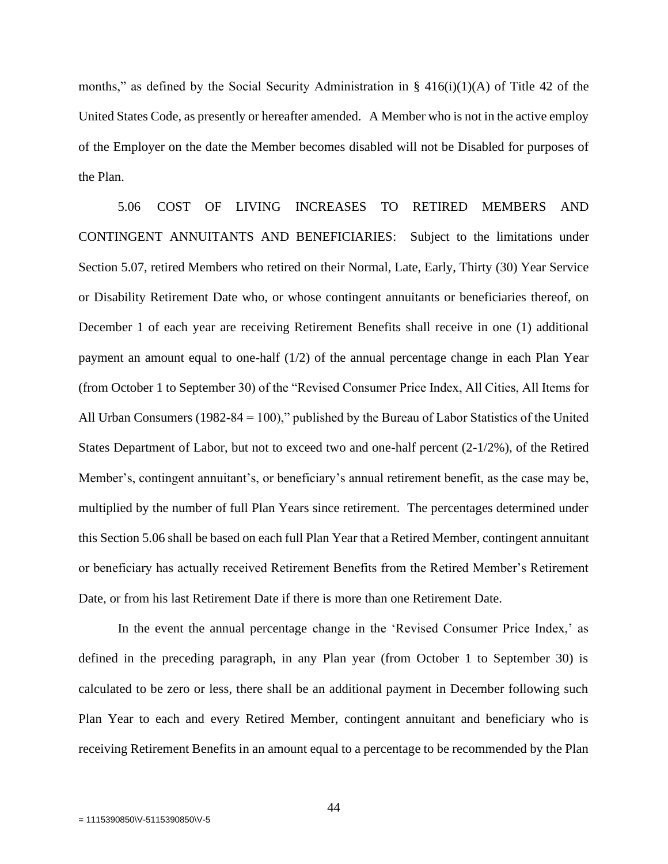months," as defined by the Social Security Administration in  $\S$  416(i)(1)(A) of Title 42 of the United States Code, as presently or hereafter amended. A Member who is not in the active employ of the Employer on the date the Member becomes disabled will not be Disabled for purposes of the Plan.

5.06 COST OF LIVING INCREASES TO RETIRED MEMBERS AND CONTINGENT ANNUITANTS AND BENEFICIARIES: Subject to the limitations under Section 5.07, retired Members who retired on their Normal, Late, Early, Thirty (30) Year Service or Disability Retirement Date who, or whose contingent annuitants or beneficiaries thereof, on December 1 of each year are receiving Retirement Benefits shall receive in one (1) additional payment an amount equal to one-half (1/2) of the annual percentage change in each Plan Year (from October 1 to September 30) of the "Revised Consumer Price Index, All Cities, All Items for All Urban Consumers (1982-84 = 100)," published by the Bureau of Labor Statistics of the United States Department of Labor, but not to exceed two and one-half percent (2-1/2%), of the Retired Member's, contingent annuitant's, or beneficiary's annual retirement benefit, as the case may be, multiplied by the number of full Plan Years since retirement. The percentages determined under this Section 5.06 shall be based on each full Plan Year that a Retired Member, contingent annuitant or beneficiary has actually received Retirement Benefits from the Retired Member's Retirement Date, or from his last Retirement Date if there is more than one Retirement Date.

In the event the annual percentage change in the 'Revised Consumer Price Index,' as defined in the preceding paragraph, in any Plan year (from October 1 to September 30) is calculated to be zero or less, there shall be an additional payment in December following such Plan Year to each and every Retired Member, contingent annuitant and beneficiary who is receiving Retirement Benefits in an amount equal to a percentage to be recommended by the Plan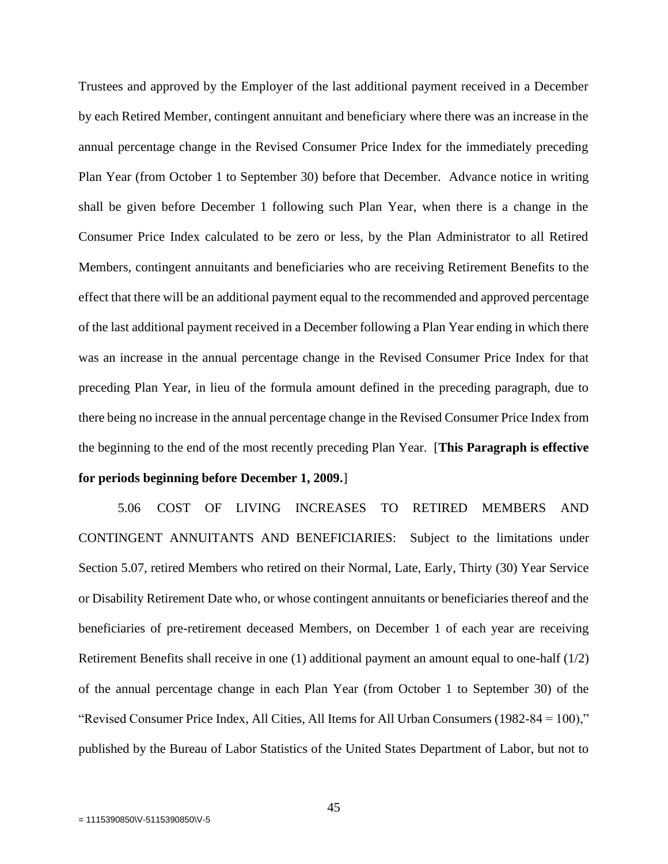Trustees and approved by the Employer of the last additional payment received in a December by each Retired Member, contingent annuitant and beneficiary where there was an increase in the annual percentage change in the Revised Consumer Price Index for the immediately preceding Plan Year (from October 1 to September 30) before that December. Advance notice in writing shall be given before December 1 following such Plan Year, when there is a change in the Consumer Price Index calculated to be zero or less, by the Plan Administrator to all Retired Members, contingent annuitants and beneficiaries who are receiving Retirement Benefits to the effect that there will be an additional payment equal to the recommended and approved percentage of the last additional payment received in a December following a Plan Year ending in which there was an increase in the annual percentage change in the Revised Consumer Price Index for that preceding Plan Year, in lieu of the formula amount defined in the preceding paragraph, due to there being no increase in the annual percentage change in the Revised Consumer Price Index from the beginning to the end of the most recently preceding Plan Year. [**This Paragraph is effective for periods beginning before December 1, 2009.**]

5.06 COST OF LIVING INCREASES TO RETIRED MEMBERS AND CONTINGENT ANNUITANTS AND BENEFICIARIES: Subject to the limitations under Section 5.07, retired Members who retired on their Normal, Late, Early, Thirty (30) Year Service or Disability Retirement Date who, or whose contingent annuitants or beneficiaries thereof and the beneficiaries of pre-retirement deceased Members, on December 1 of each year are receiving Retirement Benefits shall receive in one (1) additional payment an amount equal to one-half (1/2) of the annual percentage change in each Plan Year (from October 1 to September 30) of the "Revised Consumer Price Index, All Cities, All Items for All Urban Consumers (1982-84 = 100)," published by the Bureau of Labor Statistics of the United States Department of Labor, but not to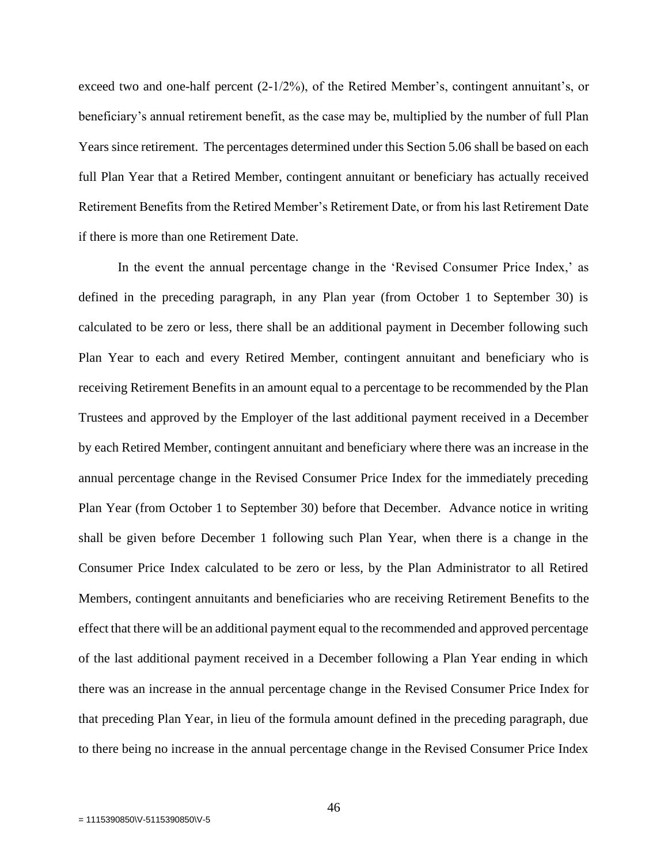exceed two and one-half percent (2-1/2%), of the Retired Member's, contingent annuitant's, or beneficiary's annual retirement benefit, as the case may be, multiplied by the number of full Plan Years since retirement. The percentages determined under this Section 5.06 shall be based on each full Plan Year that a Retired Member, contingent annuitant or beneficiary has actually received Retirement Benefits from the Retired Member's Retirement Date, or from his last Retirement Date if there is more than one Retirement Date.

In the event the annual percentage change in the 'Revised Consumer Price Index,' as defined in the preceding paragraph, in any Plan year (from October 1 to September 30) is calculated to be zero or less, there shall be an additional payment in December following such Plan Year to each and every Retired Member, contingent annuitant and beneficiary who is receiving Retirement Benefits in an amount equal to a percentage to be recommended by the Plan Trustees and approved by the Employer of the last additional payment received in a December by each Retired Member, contingent annuitant and beneficiary where there was an increase in the annual percentage change in the Revised Consumer Price Index for the immediately preceding Plan Year (from October 1 to September 30) before that December. Advance notice in writing shall be given before December 1 following such Plan Year, when there is a change in the Consumer Price Index calculated to be zero or less, by the Plan Administrator to all Retired Members, contingent annuitants and beneficiaries who are receiving Retirement Benefits to the effect that there will be an additional payment equal to the recommended and approved percentage of the last additional payment received in a December following a Plan Year ending in which there was an increase in the annual percentage change in the Revised Consumer Price Index for that preceding Plan Year, in lieu of the formula amount defined in the preceding paragraph, due to there being no increase in the annual percentage change in the Revised Consumer Price Index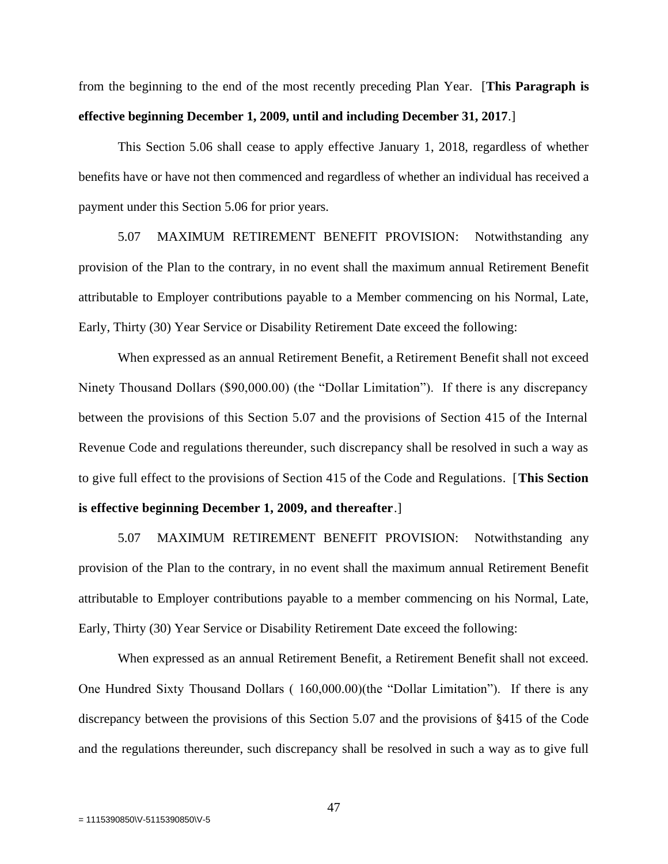from the beginning to the end of the most recently preceding Plan Year. [**This Paragraph is effective beginning December 1, 2009, until and including December 31, 2017**.]

This Section 5.06 shall cease to apply effective January 1, 2018, regardless of whether benefits have or have not then commenced and regardless of whether an individual has received a payment under this Section 5.06 for prior years.

5.07 MAXIMUM RETIREMENT BENEFIT PROVISION: Notwithstanding any provision of the Plan to the contrary, in no event shall the maximum annual Retirement Benefit attributable to Employer contributions payable to a Member commencing on his Normal, Late, Early, Thirty (30) Year Service or Disability Retirement Date exceed the following:

When expressed as an annual Retirement Benefit, a Retirement Benefit shall not exceed Ninety Thousand Dollars (\$90,000.00) (the "Dollar Limitation"). If there is any discrepancy between the provisions of this Section 5.07 and the provisions of Section 415 of the Internal Revenue Code and regulations thereunder, such discrepancy shall be resolved in such a way as to give full effect to the provisions of Section 415 of the Code and Regulations. [**This Section is effective beginning December 1, 2009, and thereafter**.]

5.07 MAXIMUM RETIREMENT BENEFIT PROVISION: Notwithstanding any provision of the Plan to the contrary, in no event shall the maximum annual Retirement Benefit attributable to Employer contributions payable to a member commencing on his Normal, Late, Early, Thirty (30) Year Service or Disability Retirement Date exceed the following:

When expressed as an annual Retirement Benefit, a Retirement Benefit shall not exceed. One Hundred Sixty Thousand Dollars ( 160,000.00)(the "Dollar Limitation"). If there is any discrepancy between the provisions of this Section 5.07 and the provisions of §415 of the Code and the regulations thereunder, such discrepancy shall be resolved in such a way as to give full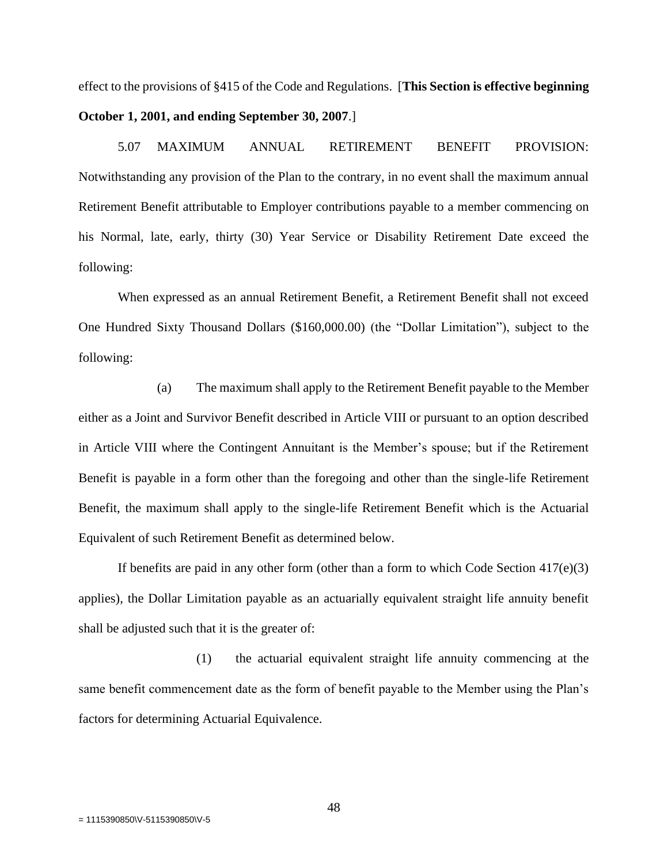effect to the provisions of §415 of the Code and Regulations. [**This Section is effective beginning October 1, 2001, and ending September 30, 2007**.]

5.07 MAXIMUM ANNUAL RETIREMENT BENEFIT PROVISION: Notwithstanding any provision of the Plan to the contrary, in no event shall the maximum annual Retirement Benefit attributable to Employer contributions payable to a member commencing on his Normal, late, early, thirty (30) Year Service or Disability Retirement Date exceed the following:

When expressed as an annual Retirement Benefit, a Retirement Benefit shall not exceed One Hundred Sixty Thousand Dollars (\$160,000.00) (the "Dollar Limitation"), subject to the following:

(a) The maximum shall apply to the Retirement Benefit payable to the Member either as a Joint and Survivor Benefit described in Article VIII or pursuant to an option described in Article VIII where the Contingent Annuitant is the Member's spouse; but if the Retirement Benefit is payable in a form other than the foregoing and other than the single-life Retirement Benefit, the maximum shall apply to the single-life Retirement Benefit which is the Actuarial Equivalent of such Retirement Benefit as determined below.

If benefits are paid in any other form (other than a form to which Code Section  $417(e)(3)$ ) applies), the Dollar Limitation payable as an actuarially equivalent straight life annuity benefit shall be adjusted such that it is the greater of:

(1) the actuarial equivalent straight life annuity commencing at the same benefit commencement date as the form of benefit payable to the Member using the Plan's factors for determining Actuarial Equivalence.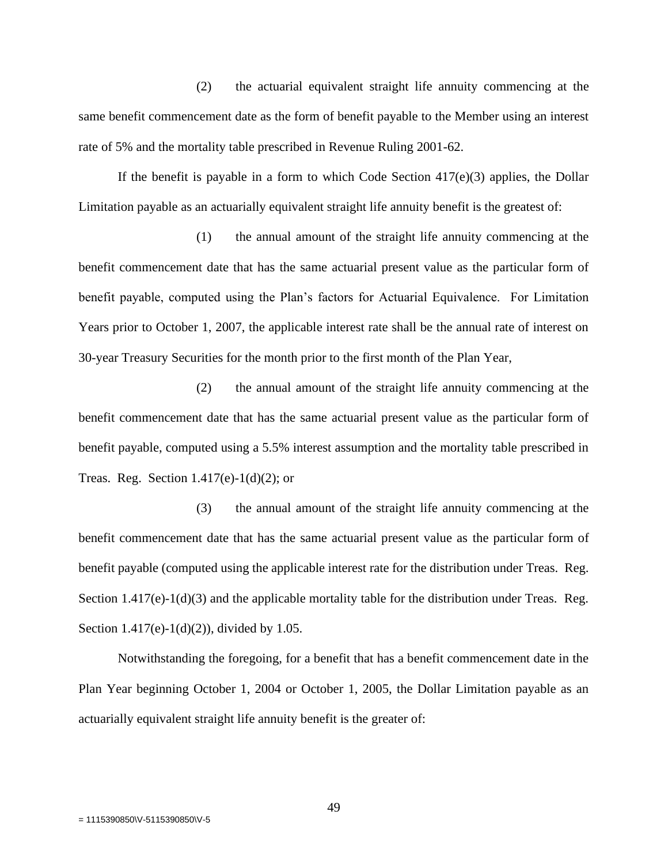(2) the actuarial equivalent straight life annuity commencing at the same benefit commencement date as the form of benefit payable to the Member using an interest rate of 5% and the mortality table prescribed in Revenue Ruling 2001-62.

If the benefit is payable in a form to which Code Section  $417(e)(3)$  applies, the Dollar Limitation payable as an actuarially equivalent straight life annuity benefit is the greatest of:

(1) the annual amount of the straight life annuity commencing at the benefit commencement date that has the same actuarial present value as the particular form of benefit payable, computed using the Plan's factors for Actuarial Equivalence. For Limitation Years prior to October 1, 2007, the applicable interest rate shall be the annual rate of interest on 30-year Treasury Securities for the month prior to the first month of the Plan Year,

(2) the annual amount of the straight life annuity commencing at the benefit commencement date that has the same actuarial present value as the particular form of benefit payable, computed using a 5.5% interest assumption and the mortality table prescribed in Treas. Reg. Section  $1.417(e)-1(d)(2)$ ; or

(3) the annual amount of the straight life annuity commencing at the benefit commencement date that has the same actuarial present value as the particular form of benefit payable (computed using the applicable interest rate for the distribution under Treas. Reg. Section  $1.417(e)-1(d)(3)$  and the applicable mortality table for the distribution under Treas. Reg. Section 1.417(e)-1(d)(2)), divided by 1.05.

Notwithstanding the foregoing, for a benefit that has a benefit commencement date in the Plan Year beginning October 1, 2004 or October 1, 2005, the Dollar Limitation payable as an actuarially equivalent straight life annuity benefit is the greater of: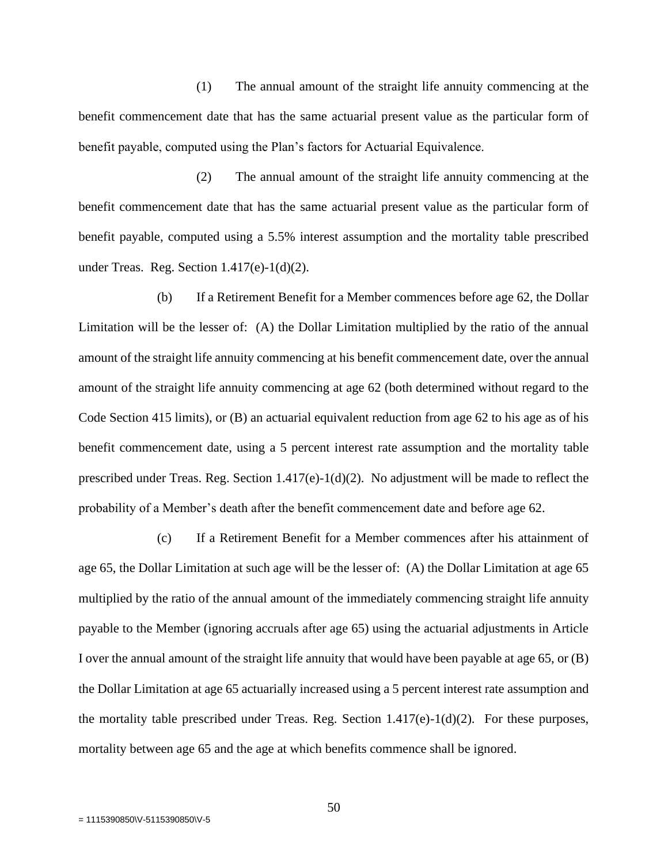(1) The annual amount of the straight life annuity commencing at the benefit commencement date that has the same actuarial present value as the particular form of benefit payable, computed using the Plan's factors for Actuarial Equivalence.

(2) The annual amount of the straight life annuity commencing at the benefit commencement date that has the same actuarial present value as the particular form of benefit payable, computed using a 5.5% interest assumption and the mortality table prescribed under Treas. Reg. Section  $1.417(e) - 1(d)(2)$ .

(b) If a Retirement Benefit for a Member commences before age 62, the Dollar Limitation will be the lesser of: (A) the Dollar Limitation multiplied by the ratio of the annual amount of the straight life annuity commencing at his benefit commencement date, over the annual amount of the straight life annuity commencing at age 62 (both determined without regard to the Code Section 415 limits), or (B) an actuarial equivalent reduction from age 62 to his age as of his benefit commencement date, using a 5 percent interest rate assumption and the mortality table prescribed under Treas. Reg. Section  $1.417(e)-1(d)(2)$ . No adjustment will be made to reflect the probability of a Member's death after the benefit commencement date and before age 62.

(c) If a Retirement Benefit for a Member commences after his attainment of age 65, the Dollar Limitation at such age will be the lesser of: (A) the Dollar Limitation at age 65 multiplied by the ratio of the annual amount of the immediately commencing straight life annuity payable to the Member (ignoring accruals after age 65) using the actuarial adjustments in Article I over the annual amount of the straight life annuity that would have been payable at age 65, or (B) the Dollar Limitation at age 65 actuarially increased using a 5 percent interest rate assumption and the mortality table prescribed under Treas. Reg. Section 1.417(e)-1(d)(2). For these purposes, mortality between age 65 and the age at which benefits commence shall be ignored.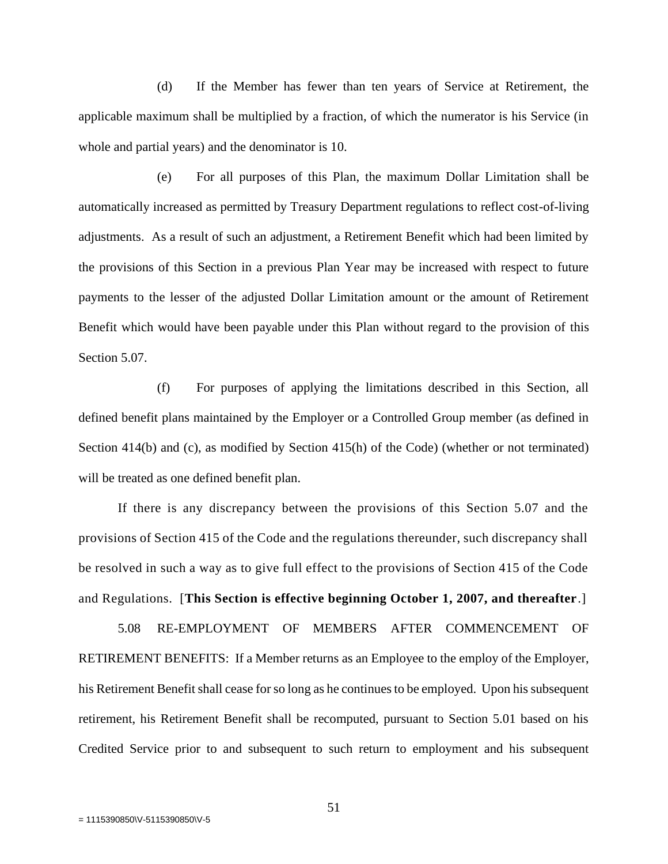(d) If the Member has fewer than ten years of Service at Retirement, the applicable maximum shall be multiplied by a fraction, of which the numerator is his Service (in whole and partial years) and the denominator is 10.

(e) For all purposes of this Plan, the maximum Dollar Limitation shall be automatically increased as permitted by Treasury Department regulations to reflect cost-of-living adjustments. As a result of such an adjustment, a Retirement Benefit which had been limited by the provisions of this Section in a previous Plan Year may be increased with respect to future payments to the lesser of the adjusted Dollar Limitation amount or the amount of Retirement Benefit which would have been payable under this Plan without regard to the provision of this Section 5.07.

(f) For purposes of applying the limitations described in this Section, all defined benefit plans maintained by the Employer or a Controlled Group member (as defined in Section 414(b) and (c), as modified by Section 415(h) of the Code) (whether or not terminated) will be treated as one defined benefit plan.

If there is any discrepancy between the provisions of this Section 5.07 and the provisions of Section 415 of the Code and the regulations thereunder, such discrepancy shall be resolved in such a way as to give full effect to the provisions of Section 415 of the Code and Regulations. [**This Section is effective beginning October 1, 2007, and thereafter**.]

5.08 RE-EMPLOYMENT OF MEMBERS AFTER COMMENCEMENT OF RETIREMENT BENEFITS: If a Member returns as an Employee to the employ of the Employer, his Retirement Benefit shall cease for so long as he continues to be employed. Upon his subsequent retirement, his Retirement Benefit shall be recomputed, pursuant to Section 5.01 based on his Credited Service prior to and subsequent to such return to employment and his subsequent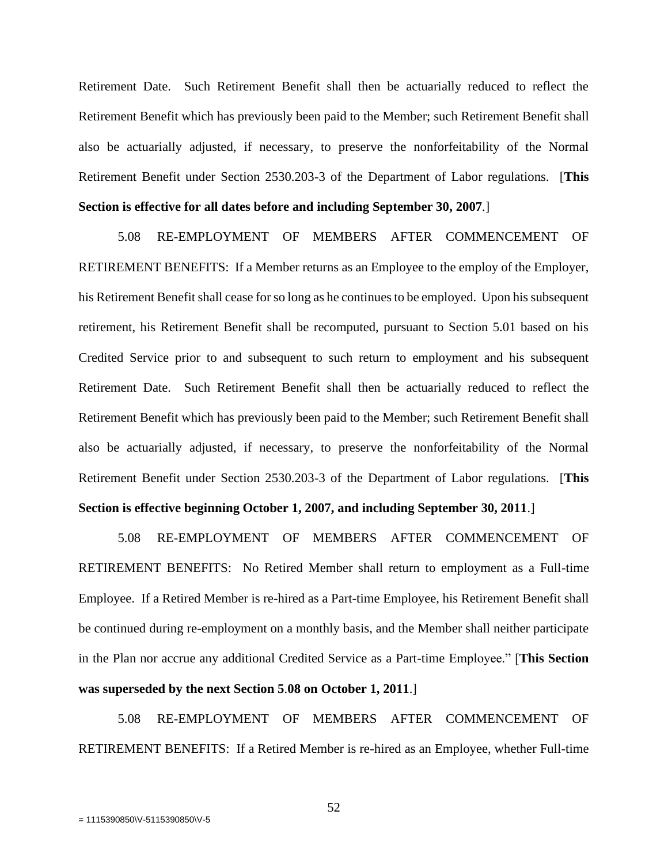Retirement Date. Such Retirement Benefit shall then be actuarially reduced to reflect the Retirement Benefit which has previously been paid to the Member; such Retirement Benefit shall also be actuarially adjusted, if necessary, to preserve the nonforfeitability of the Normal Retirement Benefit under Section 2530.203-3 of the Department of Labor regulations. [**This Section is effective for all dates before and including September 30, 2007**.]

5.08 RE-EMPLOYMENT OF MEMBERS AFTER COMMENCEMENT OF RETIREMENT BENEFITS: If a Member returns as an Employee to the employ of the Employer, his Retirement Benefit shall cease for so long as he continues to be employed. Upon his subsequent retirement, his Retirement Benefit shall be recomputed, pursuant to Section 5.01 based on his Credited Service prior to and subsequent to such return to employment and his subsequent Retirement Date. Such Retirement Benefit shall then be actuarially reduced to reflect the Retirement Benefit which has previously been paid to the Member; such Retirement Benefit shall also be actuarially adjusted, if necessary, to preserve the nonforfeitability of the Normal Retirement Benefit under Section 2530.203-3 of the Department of Labor regulations. [**This Section is effective beginning October 1, 2007, and including September 30, 2011**.]

5.08 RE-EMPLOYMENT OF MEMBERS AFTER COMMENCEMENT OF RETIREMENT BENEFITS: No Retired Member shall return to employment as a Full-time Employee. If a Retired Member is re-hired as a Part-time Employee, his Retirement Benefit shall be continued during re-employment on a monthly basis, and the Member shall neither participate in the Plan nor accrue any additional Credited Service as a Part-time Employee." [**This Section was superseded by the next Section 5**.**08 on October 1, 2011**.]

5.08 RE-EMPLOYMENT OF MEMBERS AFTER COMMENCEMENT OF RETIREMENT BENEFITS: If a Retired Member is re-hired as an Employee, whether Full-time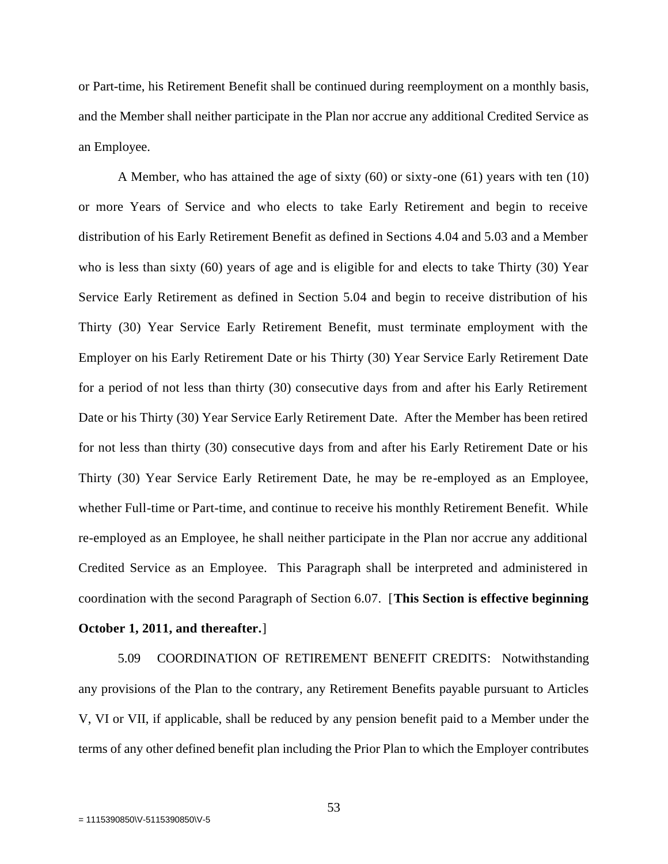or Part-time, his Retirement Benefit shall be continued during reemployment on a monthly basis, and the Member shall neither participate in the Plan nor accrue any additional Credited Service as an Employee.

A Member, who has attained the age of sixty (60) or sixty-one (61) years with ten (10) or more Years of Service and who elects to take Early Retirement and begin to receive distribution of his Early Retirement Benefit as defined in Sections 4.04 and 5.03 and a Member who is less than sixty (60) years of age and is eligible for and elects to take Thirty (30) Year Service Early Retirement as defined in Section 5.04 and begin to receive distribution of his Thirty (30) Year Service Early Retirement Benefit, must terminate employment with the Employer on his Early Retirement Date or his Thirty (30) Year Service Early Retirement Date for a period of not less than thirty (30) consecutive days from and after his Early Retirement Date or his Thirty (30) Year Service Early Retirement Date. After the Member has been retired for not less than thirty (30) consecutive days from and after his Early Retirement Date or his Thirty (30) Year Service Early Retirement Date, he may be re-employed as an Employee, whether Full-time or Part-time, and continue to receive his monthly Retirement Benefit. While re-employed as an Employee, he shall neither participate in the Plan nor accrue any additional Credited Service as an Employee. This Paragraph shall be interpreted and administered in coordination with the second Paragraph of Section 6.07. [**This Section is effective beginning** 

# **October 1, 2011, and thereafter.**]

5.09 COORDINATION OF RETIREMENT BENEFIT CREDITS: Notwithstanding any provisions of the Plan to the contrary, any Retirement Benefits payable pursuant to Articles V, VI or VII, if applicable, shall be reduced by any pension benefit paid to a Member under the terms of any other defined benefit plan including the Prior Plan to which the Employer contributes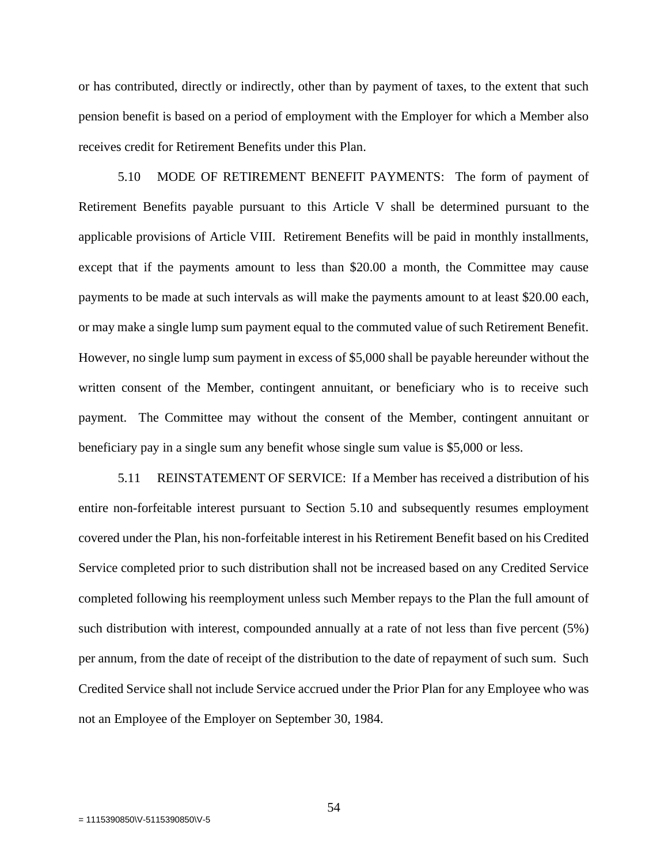or has contributed, directly or indirectly, other than by payment of taxes, to the extent that such pension benefit is based on a period of employment with the Employer for which a Member also receives credit for Retirement Benefits under this Plan.

5.10 MODE OF RETIREMENT BENEFIT PAYMENTS: The form of payment of Retirement Benefits payable pursuant to this Article V shall be determined pursuant to the applicable provisions of Article VIII. Retirement Benefits will be paid in monthly installments, except that if the payments amount to less than \$20.00 a month, the Committee may cause payments to be made at such intervals as will make the payments amount to at least \$20.00 each, or may make a single lump sum payment equal to the commuted value of such Retirement Benefit. However, no single lump sum payment in excess of \$5,000 shall be payable hereunder without the written consent of the Member, contingent annuitant, or beneficiary who is to receive such payment. The Committee may without the consent of the Member, contingent annuitant or beneficiary pay in a single sum any benefit whose single sum value is \$5,000 or less.

5.11 REINSTATEMENT OF SERVICE: If a Member has received a distribution of his entire non-forfeitable interest pursuant to Section 5.10 and subsequently resumes employment covered under the Plan, his non-forfeitable interest in his Retirement Benefit based on his Credited Service completed prior to such distribution shall not be increased based on any Credited Service completed following his reemployment unless such Member repays to the Plan the full amount of such distribution with interest, compounded annually at a rate of not less than five percent (5%) per annum, from the date of receipt of the distribution to the date of repayment of such sum. Such Credited Service shall not include Service accrued under the Prior Plan for any Employee who was not an Employee of the Employer on September 30, 1984.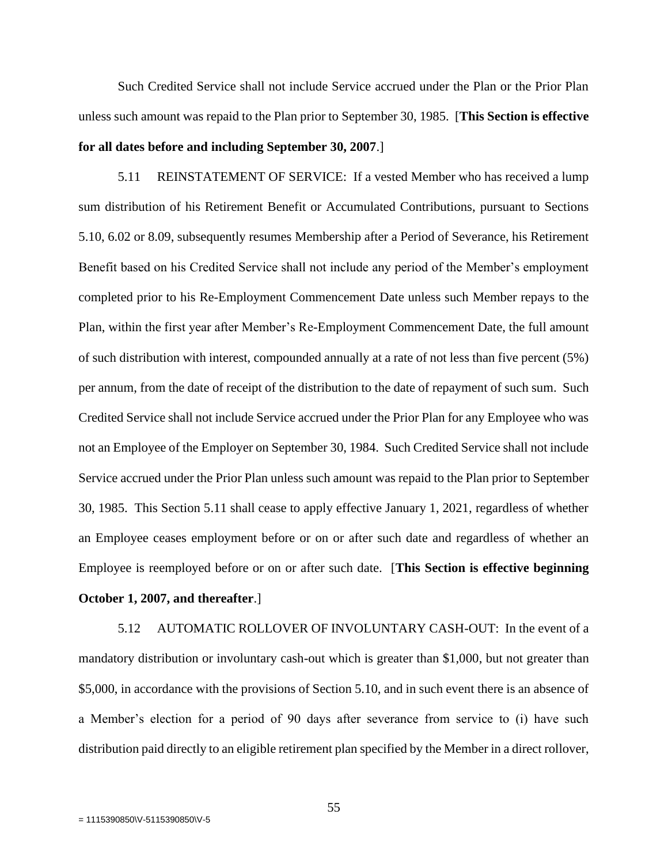Such Credited Service shall not include Service accrued under the Plan or the Prior Plan unless such amount was repaid to the Plan prior to September 30, 1985. [**This Section is effective for all dates before and including September 30, 2007**.]

5.11 REINSTATEMENT OF SERVICE: If a vested Member who has received a lump sum distribution of his Retirement Benefit or Accumulated Contributions, pursuant to Sections 5.10, 6.02 or 8.09, subsequently resumes Membership after a Period of Severance, his Retirement Benefit based on his Credited Service shall not include any period of the Member's employment completed prior to his Re-Employment Commencement Date unless such Member repays to the Plan, within the first year after Member's Re-Employment Commencement Date, the full amount of such distribution with interest, compounded annually at a rate of not less than five percent (5%) per annum, from the date of receipt of the distribution to the date of repayment of such sum. Such Credited Service shall not include Service accrued under the Prior Plan for any Employee who was not an Employee of the Employer on September 30, 1984. Such Credited Service shall not include Service accrued under the Prior Plan unless such amount was repaid to the Plan prior to September 30, 1985. This Section 5.11 shall cease to apply effective January 1, 2021, regardless of whether an Employee ceases employment before or on or after such date and regardless of whether an Employee is reemployed before or on or after such date. [**This Section is effective beginning October 1, 2007, and thereafter**.]

5.12 AUTOMATIC ROLLOVER OF INVOLUNTARY CASH-OUT: In the event of a mandatory distribution or involuntary cash-out which is greater than \$1,000, but not greater than \$5,000, in accordance with the provisions of Section 5.10, and in such event there is an absence of a Member's election for a period of 90 days after severance from service to (i) have such distribution paid directly to an eligible retirement plan specified by the Member in a direct rollover,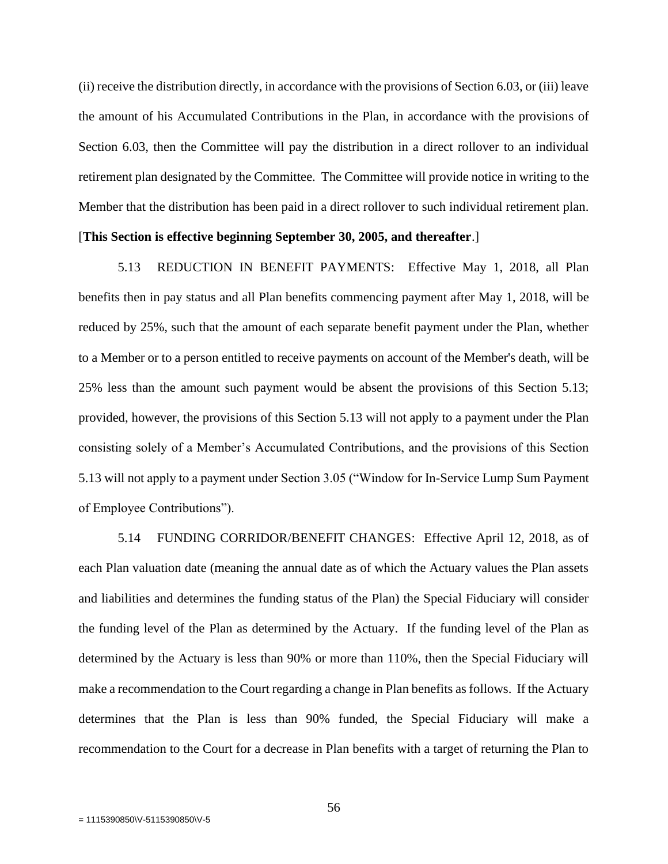(ii) receive the distribution directly, in accordance with the provisions of Section 6.03, or (iii) leave the amount of his Accumulated Contributions in the Plan, in accordance with the provisions of Section 6.03, then the Committee will pay the distribution in a direct rollover to an individual retirement plan designated by the Committee. The Committee will provide notice in writing to the Member that the distribution has been paid in a direct rollover to such individual retirement plan.

# [**This Section is effective beginning September 30, 2005, and thereafter**.]

5.13 REDUCTION IN BENEFIT PAYMENTS: Effective May 1, 2018, all Plan benefits then in pay status and all Plan benefits commencing payment after May 1, 2018, will be reduced by 25%, such that the amount of each separate benefit payment under the Plan, whether to a Member or to a person entitled to receive payments on account of the Member's death, will be 25% less than the amount such payment would be absent the provisions of this Section 5.13; provided, however, the provisions of this Section 5.13 will not apply to a payment under the Plan consisting solely of a Member's Accumulated Contributions, and the provisions of this Section 5.13 will not apply to a payment under Section 3.05 ("Window for In-Service Lump Sum Payment of Employee Contributions").

5.14 FUNDING CORRIDOR/BENEFIT CHANGES: Effective April 12, 2018, as of each Plan valuation date (meaning the annual date as of which the Actuary values the Plan assets and liabilities and determines the funding status of the Plan) the Special Fiduciary will consider the funding level of the Plan as determined by the Actuary. If the funding level of the Plan as determined by the Actuary is less than 90% or more than 110%, then the Special Fiduciary will make a recommendation to the Court regarding a change in Plan benefits as follows. If the Actuary determines that the Plan is less than 90% funded, the Special Fiduciary will make a recommendation to the Court for a decrease in Plan benefits with a target of returning the Plan to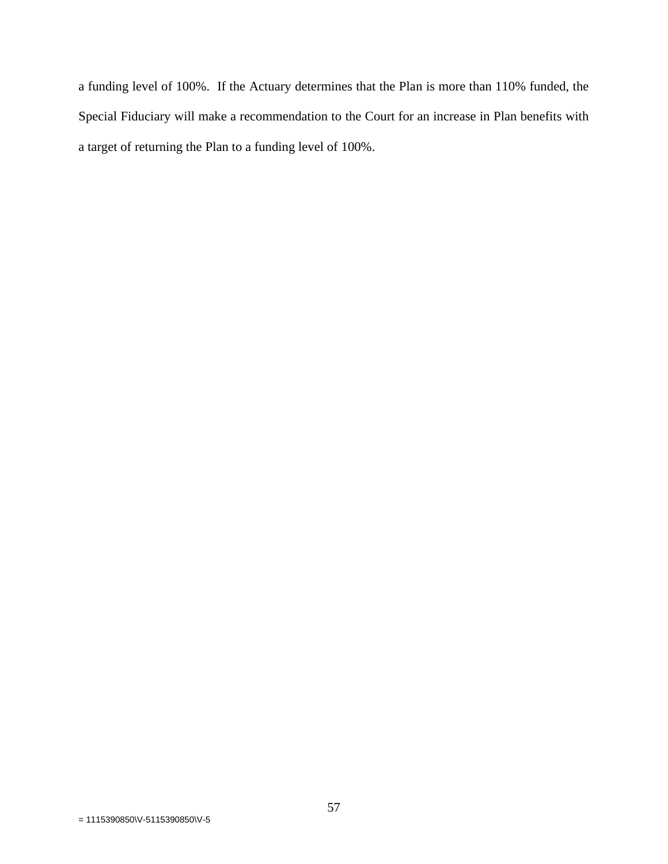a funding level of 100%. If the Actuary determines that the Plan is more than 110% funded, the Special Fiduciary will make a recommendation to the Court for an increase in Plan benefits with a target of returning the Plan to a funding level of 100%.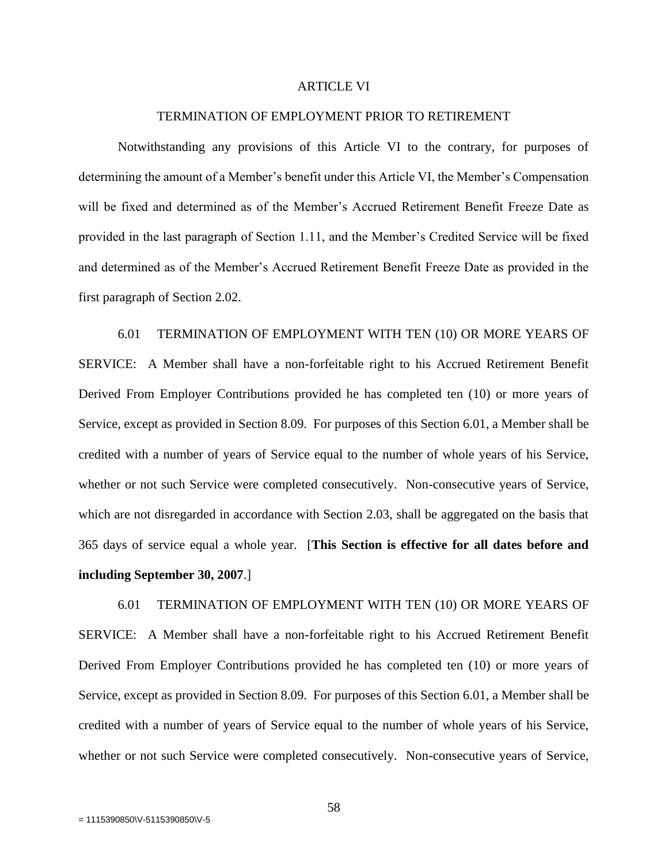### ARTICLE VI

## TERMINATION OF EMPLOYMENT PRIOR TO RETIREMENT

Notwithstanding any provisions of this Article VI to the contrary, for purposes of determining the amount of a Member's benefit under this Article VI, the Member's Compensation will be fixed and determined as of the Member's Accrued Retirement Benefit Freeze Date as provided in the last paragraph of Section 1.11, and the Member's Credited Service will be fixed and determined as of the Member's Accrued Retirement Benefit Freeze Date as provided in the first paragraph of Section 2.02.

6.01 TERMINATION OF EMPLOYMENT WITH TEN (10) OR MORE YEARS OF SERVICE: A Member shall have a non-forfeitable right to his Accrued Retirement Benefit Derived From Employer Contributions provided he has completed ten (10) or more years of Service, except as provided in Section 8.09. For purposes of this Section 6.01, a Member shall be credited with a number of years of Service equal to the number of whole years of his Service, whether or not such Service were completed consecutively. Non-consecutive years of Service, which are not disregarded in accordance with Section 2.03, shall be aggregated on the basis that 365 days of service equal a whole year. [**This Section is effective for all dates before and including September 30, 2007**.]

6.01 TERMINATION OF EMPLOYMENT WITH TEN (10) OR MORE YEARS OF SERVICE: A Member shall have a non-forfeitable right to his Accrued Retirement Benefit Derived From Employer Contributions provided he has completed ten (10) or more years of Service, except as provided in Section 8.09. For purposes of this Section 6.01, a Member shall be credited with a number of years of Service equal to the number of whole years of his Service, whether or not such Service were completed consecutively. Non-consecutive years of Service,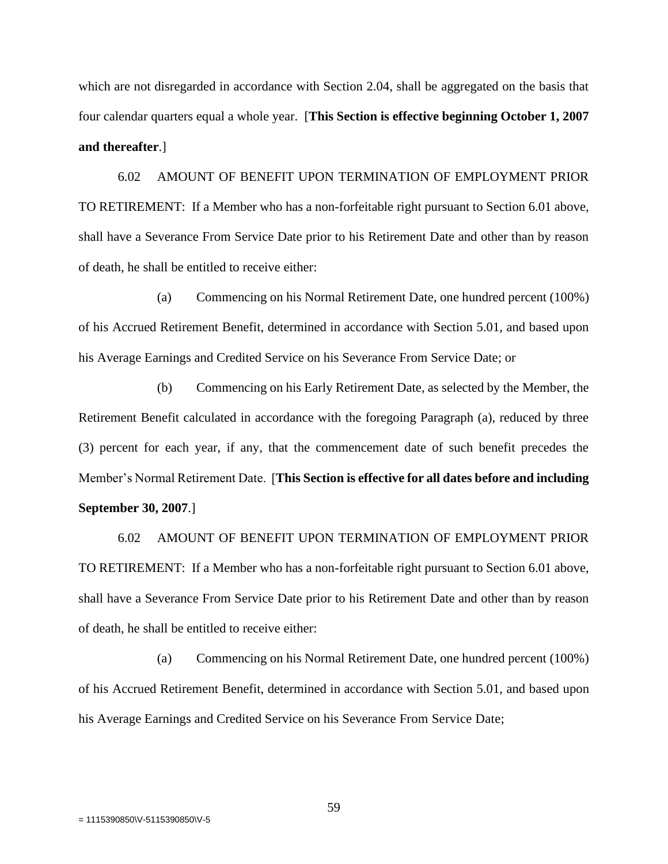which are not disregarded in accordance with Section 2.04, shall be aggregated on the basis that four calendar quarters equal a whole year. [**This Section is effective beginning October 1, 2007 and thereafter**.]

6.02 AMOUNT OF BENEFIT UPON TERMINATION OF EMPLOYMENT PRIOR TO RETIREMENT: If a Member who has a non-forfeitable right pursuant to Section 6.01 above, shall have a Severance From Service Date prior to his Retirement Date and other than by reason of death, he shall be entitled to receive either:

(a) Commencing on his Normal Retirement Date, one hundred percent (100%) of his Accrued Retirement Benefit, determined in accordance with Section 5.01, and based upon his Average Earnings and Credited Service on his Severance From Service Date; or

(b) Commencing on his Early Retirement Date, as selected by the Member, the Retirement Benefit calculated in accordance with the foregoing Paragraph (a), reduced by three (3) percent for each year, if any, that the commencement date of such benefit precedes the Member's Normal Retirement Date. [**This Section is effective for all dates before and including September 30, 2007**.]

6.02 AMOUNT OF BENEFIT UPON TERMINATION OF EMPLOYMENT PRIOR TO RETIREMENT: If a Member who has a non-forfeitable right pursuant to Section 6.01 above, shall have a Severance From Service Date prior to his Retirement Date and other than by reason of death, he shall be entitled to receive either:

(a) Commencing on his Normal Retirement Date, one hundred percent (100%) of his Accrued Retirement Benefit, determined in accordance with Section 5.01, and based upon his Average Earnings and Credited Service on his Severance From Service Date;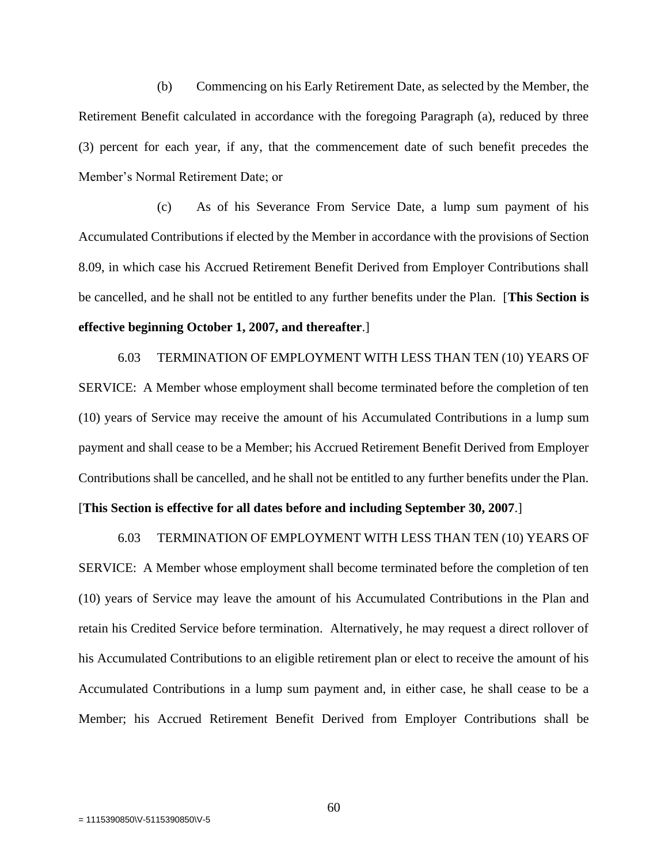(b) Commencing on his Early Retirement Date, as selected by the Member, the Retirement Benefit calculated in accordance with the foregoing Paragraph (a), reduced by three (3) percent for each year, if any, that the commencement date of such benefit precedes the Member's Normal Retirement Date; or

(c) As of his Severance From Service Date, a lump sum payment of his Accumulated Contributions if elected by the Member in accordance with the provisions of Section 8.09, in which case his Accrued Retirement Benefit Derived from Employer Contributions shall be cancelled, and he shall not be entitled to any further benefits under the Plan. [**This Section is effective beginning October 1, 2007, and thereafter**.]

6.03 TERMINATION OF EMPLOYMENT WITH LESS THAN TEN (10) YEARS OF SERVICE: A Member whose employment shall become terminated before the completion of ten (10) years of Service may receive the amount of his Accumulated Contributions in a lump sum payment and shall cease to be a Member; his Accrued Retirement Benefit Derived from Employer Contributions shall be cancelled, and he shall not be entitled to any further benefits under the Plan.

#### [**This Section is effective for all dates before and including September 30, 2007**.]

6.03 TERMINATION OF EMPLOYMENT WITH LESS THAN TEN (10) YEARS OF SERVICE: A Member whose employment shall become terminated before the completion of ten (10) years of Service may leave the amount of his Accumulated Contributions in the Plan and retain his Credited Service before termination. Alternatively, he may request a direct rollover of his Accumulated Contributions to an eligible retirement plan or elect to receive the amount of his Accumulated Contributions in a lump sum payment and, in either case, he shall cease to be a Member; his Accrued Retirement Benefit Derived from Employer Contributions shall be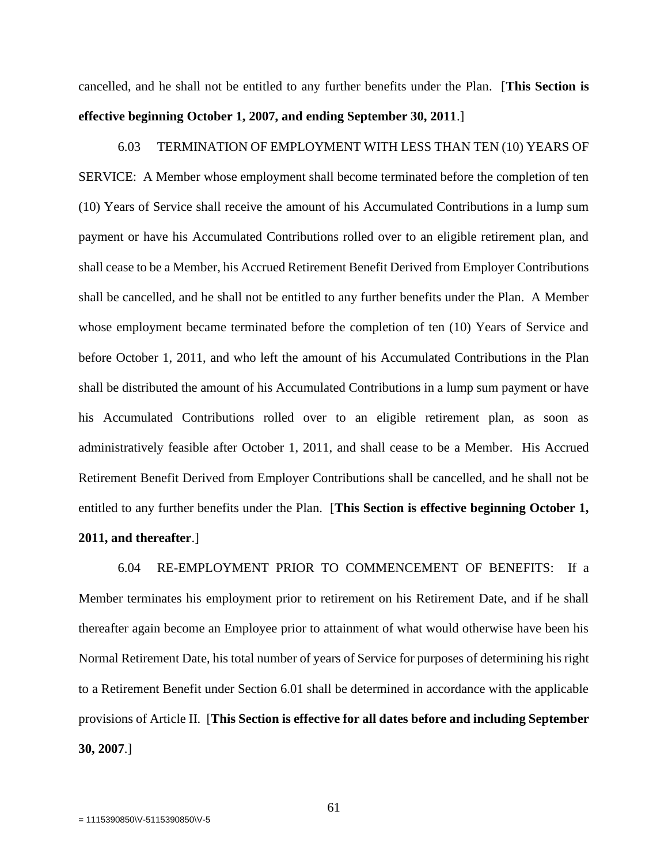cancelled, and he shall not be entitled to any further benefits under the Plan. [**This Section is effective beginning October 1, 2007, and ending September 30, 2011**.]

6.03 TERMINATION OF EMPLOYMENT WITH LESS THAN TEN (10) YEARS OF SERVICE: A Member whose employment shall become terminated before the completion of ten (10) Years of Service shall receive the amount of his Accumulated Contributions in a lump sum payment or have his Accumulated Contributions rolled over to an eligible retirement plan, and shall cease to be a Member, his Accrued Retirement Benefit Derived from Employer Contributions shall be cancelled, and he shall not be entitled to any further benefits under the Plan. A Member whose employment became terminated before the completion of ten (10) Years of Service and before October 1, 2011, and who left the amount of his Accumulated Contributions in the Plan shall be distributed the amount of his Accumulated Contributions in a lump sum payment or have his Accumulated Contributions rolled over to an eligible retirement plan, as soon as administratively feasible after October 1, 2011, and shall cease to be a Member. His Accrued Retirement Benefit Derived from Employer Contributions shall be cancelled, and he shall not be entitled to any further benefits under the Plan. [**This Section is effective beginning October 1, 2011, and thereafter**.]

6.04 RE-EMPLOYMENT PRIOR TO COMMENCEMENT OF BENEFITS: If a Member terminates his employment prior to retirement on his Retirement Date, and if he shall thereafter again become an Employee prior to attainment of what would otherwise have been his Normal Retirement Date, his total number of years of Service for purposes of determining his right to a Retirement Benefit under Section 6.01 shall be determined in accordance with the applicable provisions of Article II.[**This Section is effective for all dates before and including September 30, 2007**.]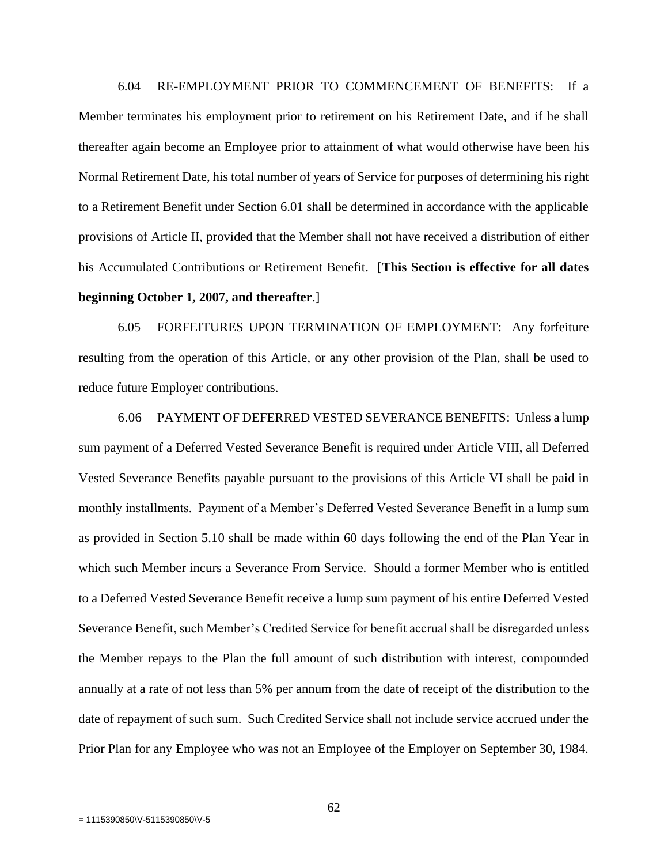6.04 RE-EMPLOYMENT PRIOR TO COMMENCEMENT OF BENEFITS: If a Member terminates his employment prior to retirement on his Retirement Date, and if he shall thereafter again become an Employee prior to attainment of what would otherwise have been his Normal Retirement Date, his total number of years of Service for purposes of determining his right to a Retirement Benefit under Section 6.01 shall be determined in accordance with the applicable provisions of Article II, provided that the Member shall not have received a distribution of either his Accumulated Contributions or Retirement Benefit. [**This Section is effective for all dates beginning October 1, 2007, and thereafter**.]

6.05 FORFEITURES UPON TERMINATION OF EMPLOYMENT: Any forfeiture resulting from the operation of this Article, or any other provision of the Plan, shall be used to reduce future Employer contributions.

6.06 PAYMENT OF DEFERRED VESTED SEVERANCE BENEFITS: Unless a lump sum payment of a Deferred Vested Severance Benefit is required under Article VIII, all Deferred Vested Severance Benefits payable pursuant to the provisions of this Article VI shall be paid in monthly installments. Payment of a Member's Deferred Vested Severance Benefit in a lump sum as provided in Section 5.10 shall be made within 60 days following the end of the Plan Year in which such Member incurs a Severance From Service. Should a former Member who is entitled to a Deferred Vested Severance Benefit receive a lump sum payment of his entire Deferred Vested Severance Benefit, such Member's Credited Service for benefit accrual shall be disregarded unless the Member repays to the Plan the full amount of such distribution with interest, compounded annually at a rate of not less than 5% per annum from the date of receipt of the distribution to the date of repayment of such sum. Such Credited Service shall not include service accrued under the Prior Plan for any Employee who was not an Employee of the Employer on September 30, 1984.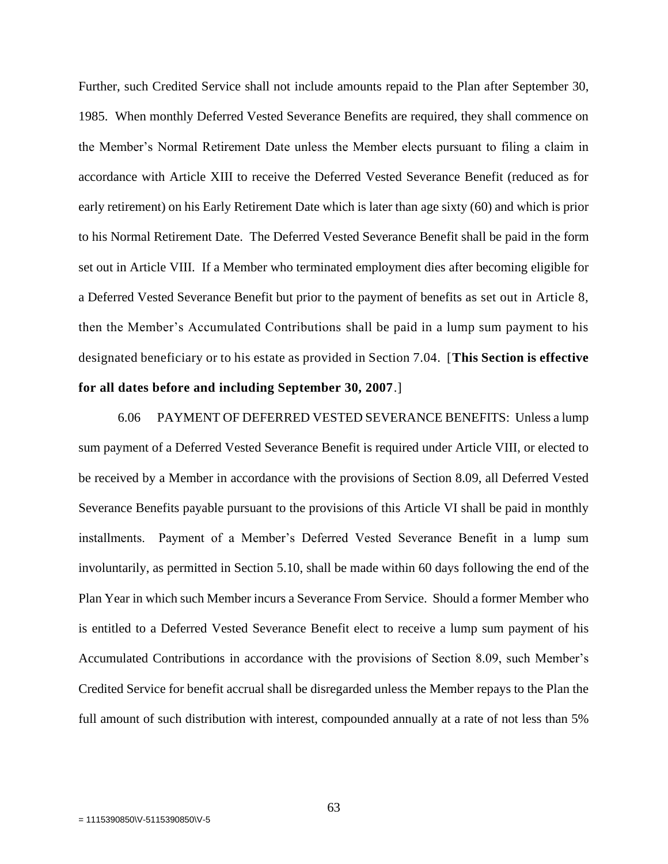Further, such Credited Service shall not include amounts repaid to the Plan after September 30, 1985. When monthly Deferred Vested Severance Benefits are required, they shall commence on the Member's Normal Retirement Date unless the Member elects pursuant to filing a claim in accordance with Article XIII to receive the Deferred Vested Severance Benefit (reduced as for early retirement) on his Early Retirement Date which is later than age sixty (60) and which is prior to his Normal Retirement Date. The Deferred Vested Severance Benefit shall be paid in the form set out in Article VIII. If a Member who terminated employment dies after becoming eligible for a Deferred Vested Severance Benefit but prior to the payment of benefits as set out in Article 8, then the Member's Accumulated Contributions shall be paid in a lump sum payment to his designated beneficiary or to his estate as provided in Section 7.04. [**This Section is effective for all dates before and including September 30, 2007**.]

6.06 PAYMENT OF DEFERRED VESTED SEVERANCE BENEFITS: Unless a lump sum payment of a Deferred Vested Severance Benefit is required under Article VIII, or elected to be received by a Member in accordance with the provisions of Section 8.09, all Deferred Vested Severance Benefits payable pursuant to the provisions of this Article VI shall be paid in monthly installments. Payment of a Member's Deferred Vested Severance Benefit in a lump sum involuntarily, as permitted in Section 5.10, shall be made within 60 days following the end of the Plan Year in which such Member incurs a Severance From Service. Should a former Member who is entitled to a Deferred Vested Severance Benefit elect to receive a lump sum payment of his Accumulated Contributions in accordance with the provisions of Section 8.09, such Member's Credited Service for benefit accrual shall be disregarded unless the Member repays to the Plan the full amount of such distribution with interest, compounded annually at a rate of not less than 5%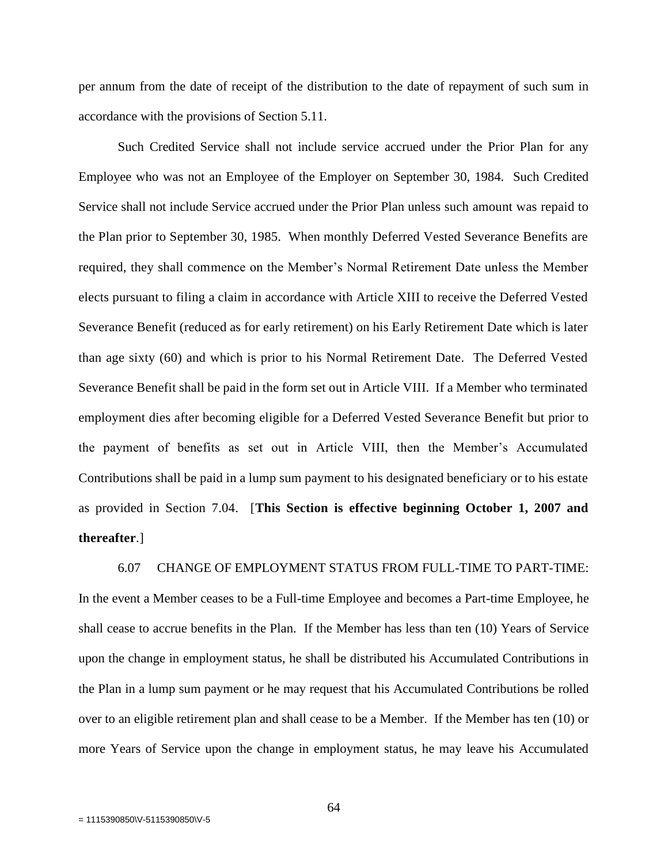per annum from the date of receipt of the distribution to the date of repayment of such sum in accordance with the provisions of Section 5.11.

Such Credited Service shall not include service accrued under the Prior Plan for any Employee who was not an Employee of the Employer on September 30, 1984. Such Credited Service shall not include Service accrued under the Prior Plan unless such amount was repaid to the Plan prior to September 30, 1985. When monthly Deferred Vested Severance Benefits are required, they shall commence on the Member's Normal Retirement Date unless the Member elects pursuant to filing a claim in accordance with Article XIII to receive the Deferred Vested Severance Benefit (reduced as for early retirement) on his Early Retirement Date which is later than age sixty (60) and which is prior to his Normal Retirement Date. The Deferred Vested Severance Benefit shall be paid in the form set out in Article VIII. If a Member who terminated employment dies after becoming eligible for a Deferred Vested Severance Benefit but prior to the payment of benefits as set out in Article VIII, then the Member's Accumulated Contributions shall be paid in a lump sum payment to his designated beneficiary or to his estate as provided in Section 7.04. [**This Section is effective beginning October 1, 2007 and thereafter**.]

6.07 CHANGE OF EMPLOYMENT STATUS FROM FULL-TIME TO PART-TIME: In the event a Member ceases to be a Full-time Employee and becomes a Part-time Employee, he shall cease to accrue benefits in the Plan. If the Member has less than ten (10) Years of Service upon the change in employment status, he shall be distributed his Accumulated Contributions in the Plan in a lump sum payment or he may request that his Accumulated Contributions be rolled over to an eligible retirement plan and shall cease to be a Member. If the Member has ten (10) or more Years of Service upon the change in employment status, he may leave his Accumulated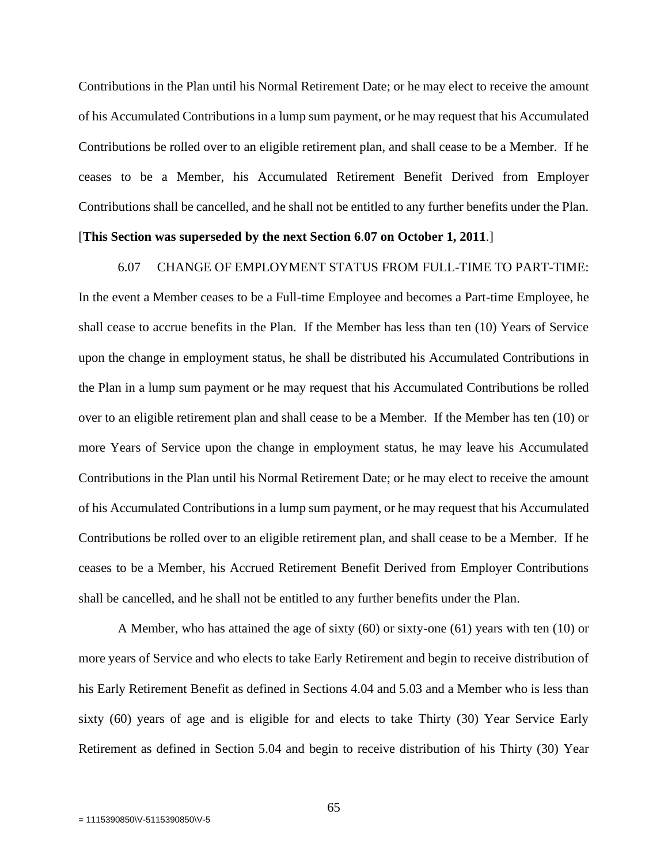Contributions in the Plan until his Normal Retirement Date; or he may elect to receive the amount of his Accumulated Contributions in a lump sum payment, or he may request that his Accumulated Contributions be rolled over to an eligible retirement plan, and shall cease to be a Member. If he ceases to be a Member, his Accumulated Retirement Benefit Derived from Employer Contributions shall be cancelled, and he shall not be entitled to any further benefits under the Plan.

# [**This Section was superseded by the next Section 6**.**07 on October 1, 2011**.]

### 6.07 CHANGE OF EMPLOYMENT STATUS FROM FULL-TIME TO PART-TIME:

In the event a Member ceases to be a Full-time Employee and becomes a Part-time Employee, he shall cease to accrue benefits in the Plan. If the Member has less than ten (10) Years of Service upon the change in employment status, he shall be distributed his Accumulated Contributions in the Plan in a lump sum payment or he may request that his Accumulated Contributions be rolled over to an eligible retirement plan and shall cease to be a Member. If the Member has ten (10) or more Years of Service upon the change in employment status, he may leave his Accumulated Contributions in the Plan until his Normal Retirement Date; or he may elect to receive the amount of his Accumulated Contributions in a lump sum payment, or he may request that his Accumulated Contributions be rolled over to an eligible retirement plan, and shall cease to be a Member. If he ceases to be a Member, his Accrued Retirement Benefit Derived from Employer Contributions shall be cancelled, and he shall not be entitled to any further benefits under the Plan.

A Member, who has attained the age of sixty (60) or sixty-one (61) years with ten (10) or more years of Service and who elects to take Early Retirement and begin to receive distribution of his Early Retirement Benefit as defined in Sections 4.04 and 5.03 and a Member who is less than sixty (60) years of age and is eligible for and elects to take Thirty (30) Year Service Early Retirement as defined in Section 5.04 and begin to receive distribution of his Thirty (30) Year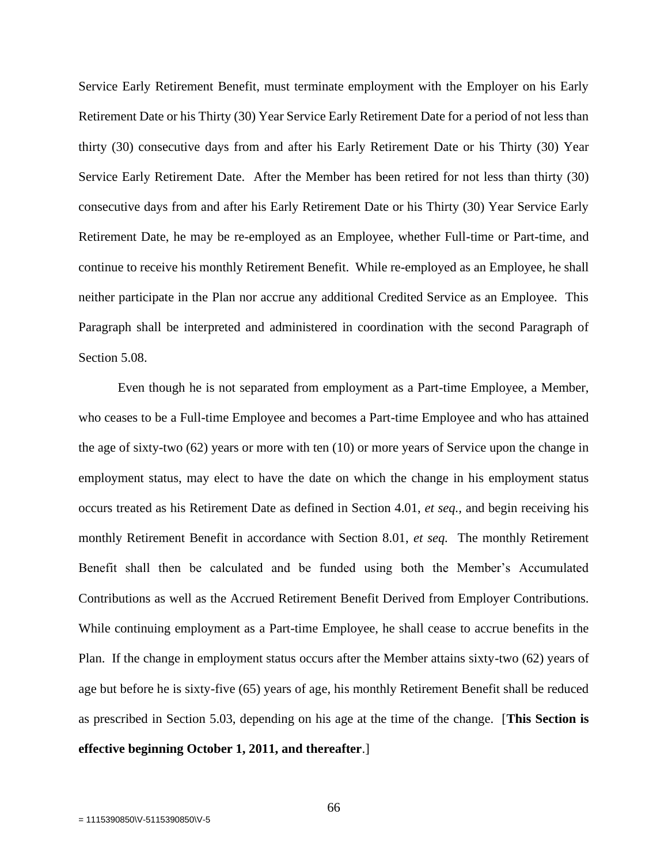Service Early Retirement Benefit, must terminate employment with the Employer on his Early Retirement Date or his Thirty (30) Year Service Early Retirement Date for a period of not less than thirty (30) consecutive days from and after his Early Retirement Date or his Thirty (30) Year Service Early Retirement Date. After the Member has been retired for not less than thirty (30) consecutive days from and after his Early Retirement Date or his Thirty (30) Year Service Early Retirement Date, he may be re-employed as an Employee, whether Full-time or Part-time, and continue to receive his monthly Retirement Benefit. While re-employed as an Employee, he shall neither participate in the Plan nor accrue any additional Credited Service as an Employee. This Paragraph shall be interpreted and administered in coordination with the second Paragraph of Section 5.08.

Even though he is not separated from employment as a Part-time Employee, a Member, who ceases to be a Full-time Employee and becomes a Part-time Employee and who has attained the age of sixty-two (62) years or more with ten (10) or more years of Service upon the change in employment status, may elect to have the date on which the change in his employment status occurs treated as his Retirement Date as defined in Section 4.01, *et seq.,* and begin receiving his monthly Retirement Benefit in accordance with Section 8.01, *et seq.* The monthly Retirement Benefit shall then be calculated and be funded using both the Member's Accumulated Contributions as well as the Accrued Retirement Benefit Derived from Employer Contributions. While continuing employment as a Part-time Employee, he shall cease to accrue benefits in the Plan. If the change in employment status occurs after the Member attains sixty-two (62) years of age but before he is sixty-five (65) years of age, his monthly Retirement Benefit shall be reduced as prescribed in Section 5.03, depending on his age at the time of the change. [**This Section is effective beginning October 1, 2011, and thereafter**.]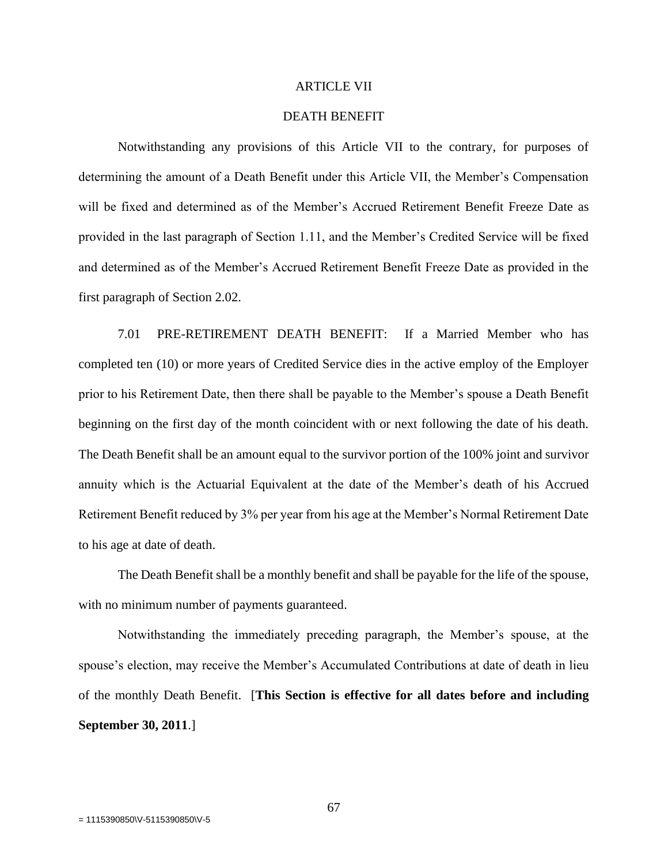## ARTICLE VII

# DEATH BENEFIT

Notwithstanding any provisions of this Article VII to the contrary, for purposes of determining the amount of a Death Benefit under this Article VII, the Member's Compensation will be fixed and determined as of the Member's Accrued Retirement Benefit Freeze Date as provided in the last paragraph of Section 1.11, and the Member's Credited Service will be fixed and determined as of the Member's Accrued Retirement Benefit Freeze Date as provided in the first paragraph of Section 2.02.

7.01 PRE-RETIREMENT DEATH BENEFIT: If a Married Member who has completed ten (10) or more years of Credited Service dies in the active employ of the Employer prior to his Retirement Date, then there shall be payable to the Member's spouse a Death Benefit beginning on the first day of the month coincident with or next following the date of his death. The Death Benefit shall be an amount equal to the survivor portion of the 100% joint and survivor annuity which is the Actuarial Equivalent at the date of the Member's death of his Accrued Retirement Benefit reduced by 3% per year from his age at the Member's Normal Retirement Date to his age at date of death.

The Death Benefit shall be a monthly benefit and shall be payable for the life of the spouse, with no minimum number of payments guaranteed.

Notwithstanding the immediately preceding paragraph, the Member's spouse, at the spouse's election, may receive the Member's Accumulated Contributions at date of death in lieu of the monthly Death Benefit. [**This Section is effective for all dates before and including September 30, 2011**.]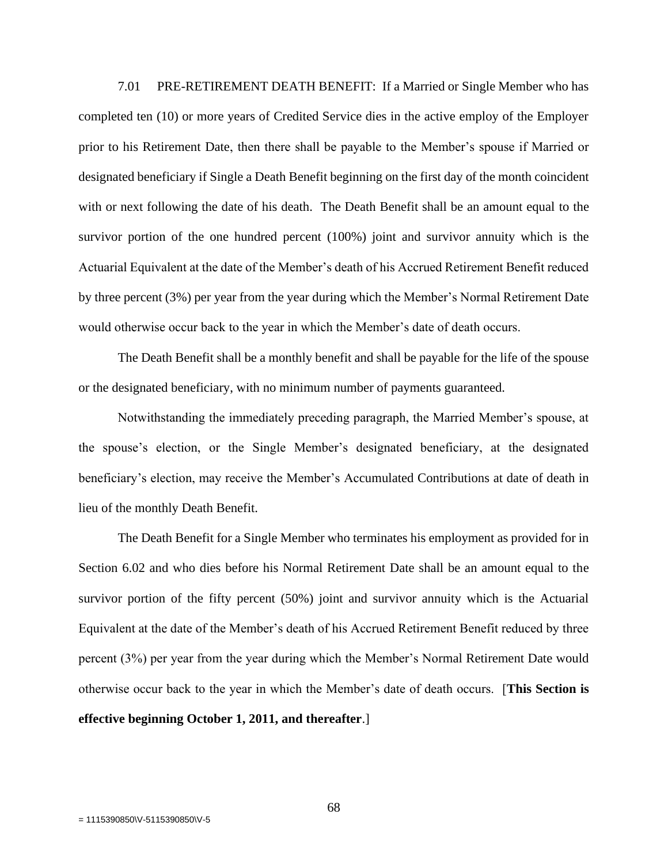7.01 PRE-RETIREMENT DEATH BENEFIT: If a Married or Single Member who has completed ten (10) or more years of Credited Service dies in the active employ of the Employer prior to his Retirement Date, then there shall be payable to the Member's spouse if Married or designated beneficiary if Single a Death Benefit beginning on the first day of the month coincident with or next following the date of his death. The Death Benefit shall be an amount equal to the survivor portion of the one hundred percent (100%) joint and survivor annuity which is the Actuarial Equivalent at the date of the Member's death of his Accrued Retirement Benefit reduced by three percent (3%) per year from the year during which the Member's Normal Retirement Date would otherwise occur back to the year in which the Member's date of death occurs.

The Death Benefit shall be a monthly benefit and shall be payable for the life of the spouse or the designated beneficiary, with no minimum number of payments guaranteed.

Notwithstanding the immediately preceding paragraph, the Married Member's spouse, at the spouse's election, or the Single Member's designated beneficiary, at the designated beneficiary's election, may receive the Member's Accumulated Contributions at date of death in lieu of the monthly Death Benefit.

The Death Benefit for a Single Member who terminates his employment as provided for in Section 6.02 and who dies before his Normal Retirement Date shall be an amount equal to the survivor portion of the fifty percent (50%) joint and survivor annuity which is the Actuarial Equivalent at the date of the Member's death of his Accrued Retirement Benefit reduced by three percent (3%) per year from the year during which the Member's Normal Retirement Date would otherwise occur back to the year in which the Member's date of death occurs. [**This Section is effective beginning October 1, 2011, and thereafter**.]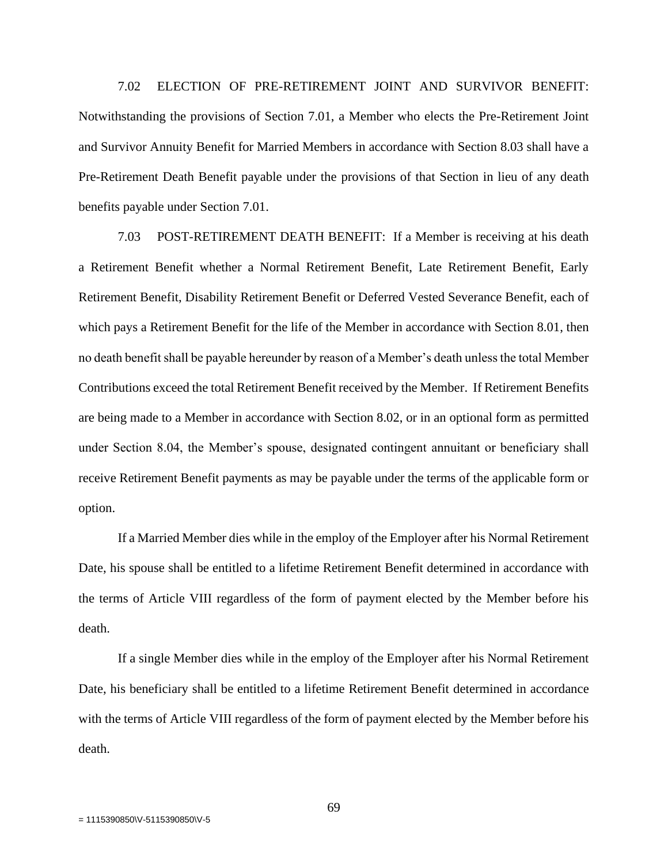7.02 ELECTION OF PRE-RETIREMENT JOINT AND SURVIVOR BENEFIT: Notwithstanding the provisions of Section 7.01, a Member who elects the Pre-Retirement Joint and Survivor Annuity Benefit for Married Members in accordance with Section 8.03 shall have a Pre-Retirement Death Benefit payable under the provisions of that Section in lieu of any death benefits payable under Section 7.01.

7.03 POST-RETIREMENT DEATH BENEFIT: If a Member is receiving at his death a Retirement Benefit whether a Normal Retirement Benefit, Late Retirement Benefit, Early Retirement Benefit, Disability Retirement Benefit or Deferred Vested Severance Benefit, each of which pays a Retirement Benefit for the life of the Member in accordance with Section 8.01, then no death benefit shall be payable hereunder by reason of a Member's death unless the total Member Contributions exceed the total Retirement Benefit received by the Member. If Retirement Benefits are being made to a Member in accordance with Section 8.02, or in an optional form as permitted under Section 8.04, the Member's spouse, designated contingent annuitant or beneficiary shall receive Retirement Benefit payments as may be payable under the terms of the applicable form or option.

If a Married Member dies while in the employ of the Employer after his Normal Retirement Date, his spouse shall be entitled to a lifetime Retirement Benefit determined in accordance with the terms of Article VIII regardless of the form of payment elected by the Member before his death.

If a single Member dies while in the employ of the Employer after his Normal Retirement Date, his beneficiary shall be entitled to a lifetime Retirement Benefit determined in accordance with the terms of Article VIII regardless of the form of payment elected by the Member before his death.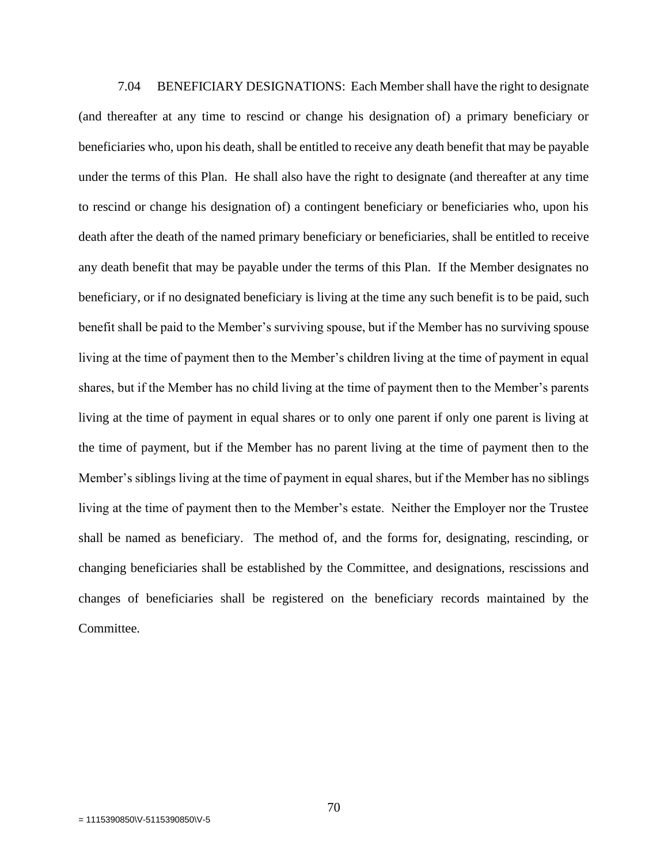7.04 BENEFICIARY DESIGNATIONS: Each Member shall have the right to designate (and thereafter at any time to rescind or change his designation of) a primary beneficiary or beneficiaries who, upon his death, shall be entitled to receive any death benefit that may be payable under the terms of this Plan. He shall also have the right to designate (and thereafter at any time to rescind or change his designation of) a contingent beneficiary or beneficiaries who, upon his death after the death of the named primary beneficiary or beneficiaries, shall be entitled to receive any death benefit that may be payable under the terms of this Plan. If the Member designates no beneficiary, or if no designated beneficiary is living at the time any such benefit is to be paid, such benefit shall be paid to the Member's surviving spouse, but if the Member has no surviving spouse living at the time of payment then to the Member's children living at the time of payment in equal shares, but if the Member has no child living at the time of payment then to the Member's parents living at the time of payment in equal shares or to only one parent if only one parent is living at the time of payment, but if the Member has no parent living at the time of payment then to the Member's siblings living at the time of payment in equal shares, but if the Member has no siblings living at the time of payment then to the Member's estate. Neither the Employer nor the Trustee shall be named as beneficiary. The method of, and the forms for, designating, rescinding, or changing beneficiaries shall be established by the Committee, and designations, rescissions and changes of beneficiaries shall be registered on the beneficiary records maintained by the Committee.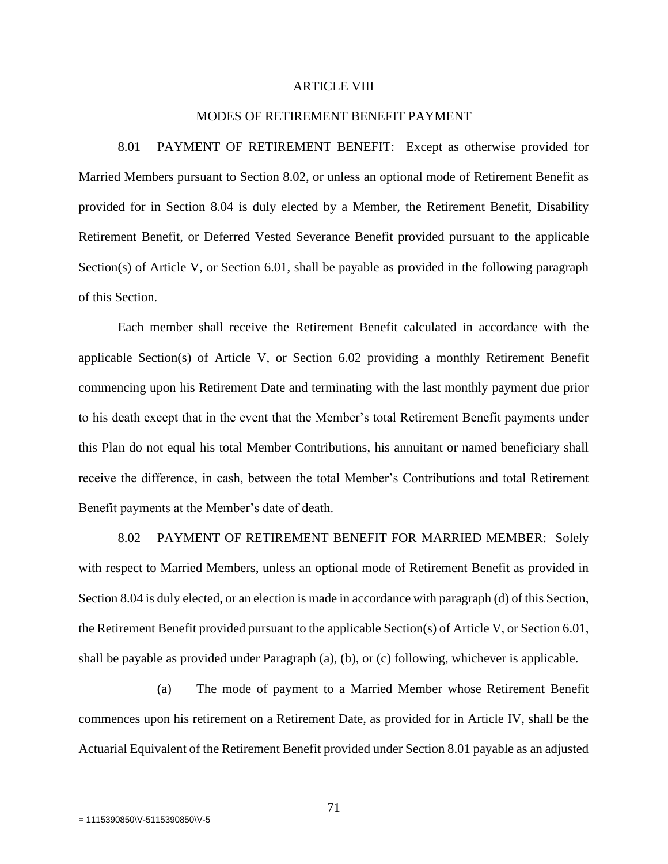### ARTICLE VIII

## MODES OF RETIREMENT BENEFIT PAYMENT

8.01 PAYMENT OF RETIREMENT BENEFIT: Except as otherwise provided for Married Members pursuant to Section 8.02, or unless an optional mode of Retirement Benefit as provided for in Section 8.04 is duly elected by a Member, the Retirement Benefit, Disability Retirement Benefit, or Deferred Vested Severance Benefit provided pursuant to the applicable Section(s) of Article V, or Section 6.01, shall be payable as provided in the following paragraph of this Section.

Each member shall receive the Retirement Benefit calculated in accordance with the applicable Section(s) of Article V, or Section 6.02 providing a monthly Retirement Benefit commencing upon his Retirement Date and terminating with the last monthly payment due prior to his death except that in the event that the Member's total Retirement Benefit payments under this Plan do not equal his total Member Contributions, his annuitant or named beneficiary shall receive the difference, in cash, between the total Member's Contributions and total Retirement Benefit payments at the Member's date of death.

8.02 PAYMENT OF RETIREMENT BENEFIT FOR MARRIED MEMBER: Solely with respect to Married Members, unless an optional mode of Retirement Benefit as provided in Section 8.04 is duly elected, or an election is made in accordance with paragraph (d) of this Section, the Retirement Benefit provided pursuant to the applicable Section(s) of Article V, or Section 6.01, shall be payable as provided under Paragraph (a), (b), or (c) following, whichever is applicable.

(a) The mode of payment to a Married Member whose Retirement Benefit commences upon his retirement on a Retirement Date, as provided for in Article IV, shall be the Actuarial Equivalent of the Retirement Benefit provided under Section 8.01 payable as an adjusted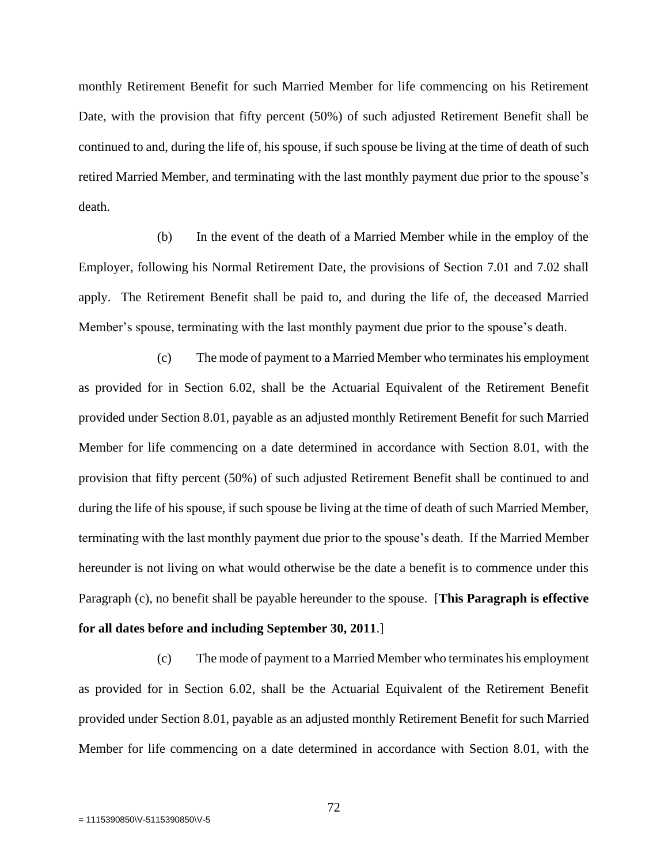monthly Retirement Benefit for such Married Member for life commencing on his Retirement Date, with the provision that fifty percent (50%) of such adjusted Retirement Benefit shall be continued to and, during the life of, his spouse, if such spouse be living at the time of death of such retired Married Member, and terminating with the last monthly payment due prior to the spouse's death.

(b) In the event of the death of a Married Member while in the employ of the Employer, following his Normal Retirement Date, the provisions of Section 7.01 and 7.02 shall apply. The Retirement Benefit shall be paid to, and during the life of, the deceased Married Member's spouse, terminating with the last monthly payment due prior to the spouse's death.

(c) The mode of payment to a Married Member who terminates his employment as provided for in Section 6.02, shall be the Actuarial Equivalent of the Retirement Benefit provided under Section 8.01, payable as an adjusted monthly Retirement Benefit for such Married Member for life commencing on a date determined in accordance with Section 8.01, with the provision that fifty percent (50%) of such adjusted Retirement Benefit shall be continued to and during the life of his spouse, if such spouse be living at the time of death of such Married Member, terminating with the last monthly payment due prior to the spouse's death. If the Married Member hereunder is not living on what would otherwise be the date a benefit is to commence under this Paragraph (c), no benefit shall be payable hereunder to the spouse. [**This Paragraph is effective for all dates before and including September 30, 2011**.]

(c) The mode of payment to a Married Member who terminates his employment as provided for in Section 6.02, shall be the Actuarial Equivalent of the Retirement Benefit provided under Section 8.01, payable as an adjusted monthly Retirement Benefit for such Married Member for life commencing on a date determined in accordance with Section 8.01, with the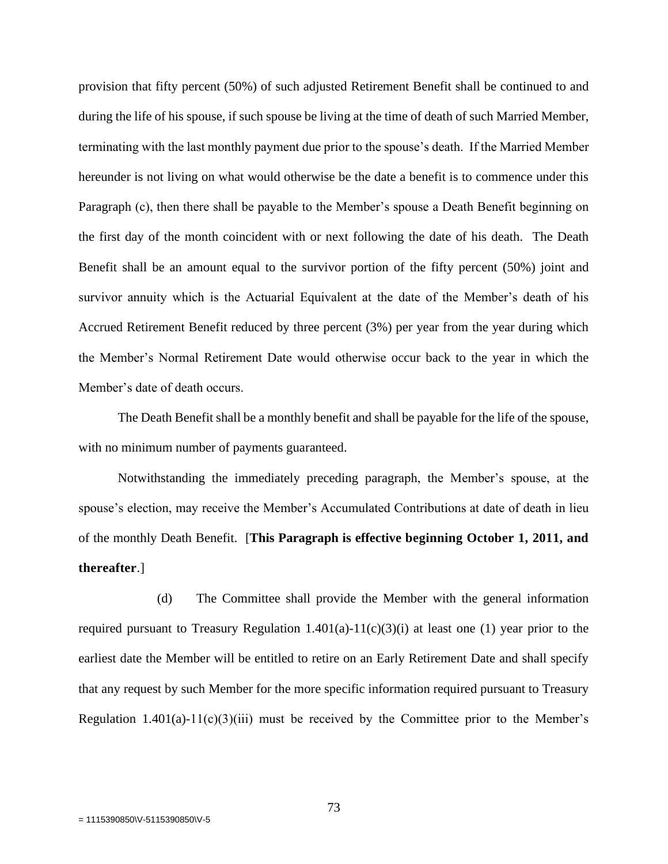provision that fifty percent (50%) of such adjusted Retirement Benefit shall be continued to and during the life of his spouse, if such spouse be living at the time of death of such Married Member, terminating with the last monthly payment due prior to the spouse's death. If the Married Member hereunder is not living on what would otherwise be the date a benefit is to commence under this Paragraph (c), then there shall be payable to the Member's spouse a Death Benefit beginning on the first day of the month coincident with or next following the date of his death. The Death Benefit shall be an amount equal to the survivor portion of the fifty percent (50%) joint and survivor annuity which is the Actuarial Equivalent at the date of the Member's death of his Accrued Retirement Benefit reduced by three percent (3%) per year from the year during which the Member's Normal Retirement Date would otherwise occur back to the year in which the Member's date of death occurs.

The Death Benefit shall be a monthly benefit and shall be payable for the life of the spouse, with no minimum number of payments guaranteed.

Notwithstanding the immediately preceding paragraph, the Member's spouse, at the spouse's election, may receive the Member's Accumulated Contributions at date of death in lieu of the monthly Death Benefit. [**This Paragraph is effective beginning October 1, 2011, and thereafter**.]

(d) The Committee shall provide the Member with the general information required pursuant to Treasury Regulation  $1.401(a)-11(c)(3)(i)$  at least one (1) year prior to the earliest date the Member will be entitled to retire on an Early Retirement Date and shall specify that any request by such Member for the more specific information required pursuant to Treasury Regulation  $1.401(a)-11(c)(3)(iii)$  must be received by the Committee prior to the Member's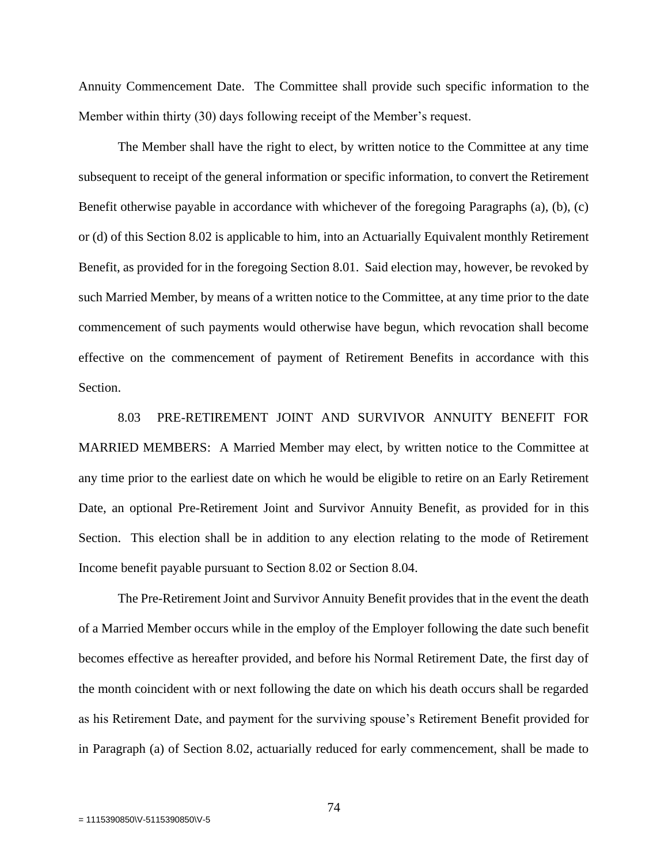Annuity Commencement Date. The Committee shall provide such specific information to the Member within thirty (30) days following receipt of the Member's request.

The Member shall have the right to elect, by written notice to the Committee at any time subsequent to receipt of the general information or specific information, to convert the Retirement Benefit otherwise payable in accordance with whichever of the foregoing Paragraphs (a), (b), (c) or (d) of this Section 8.02 is applicable to him, into an Actuarially Equivalent monthly Retirement Benefit, as provided for in the foregoing Section 8.01. Said election may, however, be revoked by such Married Member, by means of a written notice to the Committee, at any time prior to the date commencement of such payments would otherwise have begun, which revocation shall become effective on the commencement of payment of Retirement Benefits in accordance with this Section.

8.03 PRE-RETIREMENT JOINT AND SURVIVOR ANNUITY BENEFIT FOR MARRIED MEMBERS: A Married Member may elect, by written notice to the Committee at any time prior to the earliest date on which he would be eligible to retire on an Early Retirement Date, an optional Pre-Retirement Joint and Survivor Annuity Benefit, as provided for in this Section. This election shall be in addition to any election relating to the mode of Retirement Income benefit payable pursuant to Section 8.02 or Section 8.04.

The Pre-Retirement Joint and Survivor Annuity Benefit provides that in the event the death of a Married Member occurs while in the employ of the Employer following the date such benefit becomes effective as hereafter provided, and before his Normal Retirement Date, the first day of the month coincident with or next following the date on which his death occurs shall be regarded as his Retirement Date, and payment for the surviving spouse's Retirement Benefit provided for in Paragraph (a) of Section 8.02, actuarially reduced for early commencement, shall be made to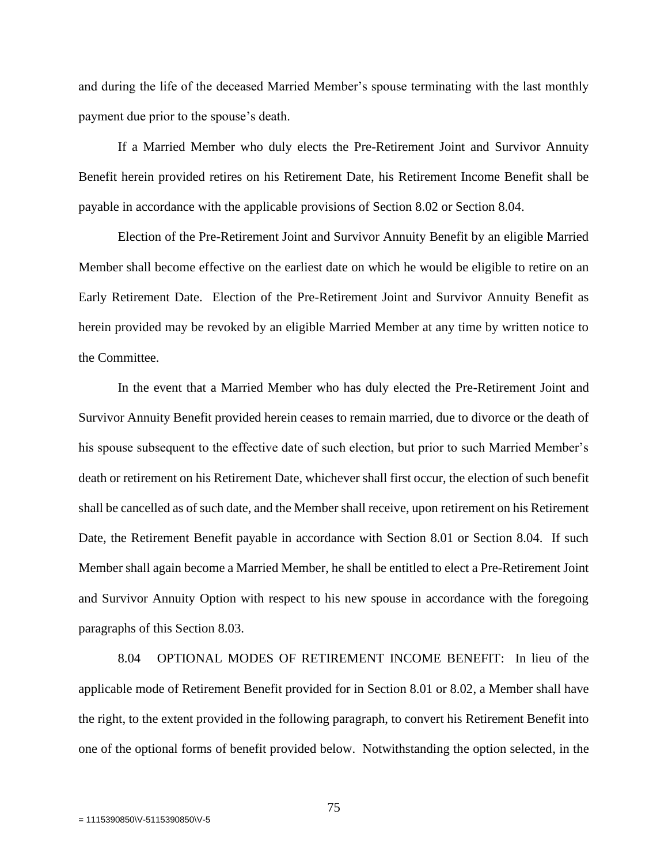and during the life of the deceased Married Member's spouse terminating with the last monthly payment due prior to the spouse's death.

If a Married Member who duly elects the Pre-Retirement Joint and Survivor Annuity Benefit herein provided retires on his Retirement Date, his Retirement Income Benefit shall be payable in accordance with the applicable provisions of Section 8.02 or Section 8.04.

Election of the Pre-Retirement Joint and Survivor Annuity Benefit by an eligible Married Member shall become effective on the earliest date on which he would be eligible to retire on an Early Retirement Date. Election of the Pre-Retirement Joint and Survivor Annuity Benefit as herein provided may be revoked by an eligible Married Member at any time by written notice to the Committee.

In the event that a Married Member who has duly elected the Pre-Retirement Joint and Survivor Annuity Benefit provided herein ceases to remain married, due to divorce or the death of his spouse subsequent to the effective date of such election, but prior to such Married Member's death or retirement on his Retirement Date, whichever shall first occur, the election of such benefit shall be cancelled as of such date, and the Member shall receive, upon retirement on his Retirement Date, the Retirement Benefit payable in accordance with Section 8.01 or Section 8.04. If such Member shall again become a Married Member, he shall be entitled to elect a Pre-Retirement Joint and Survivor Annuity Option with respect to his new spouse in accordance with the foregoing paragraphs of this Section 8.03.

8.04 OPTIONAL MODES OF RETIREMENT INCOME BENEFIT: In lieu of the applicable mode of Retirement Benefit provided for in Section 8.01 or 8.02, a Member shall have the right, to the extent provided in the following paragraph, to convert his Retirement Benefit into one of the optional forms of benefit provided below. Notwithstanding the option selected, in the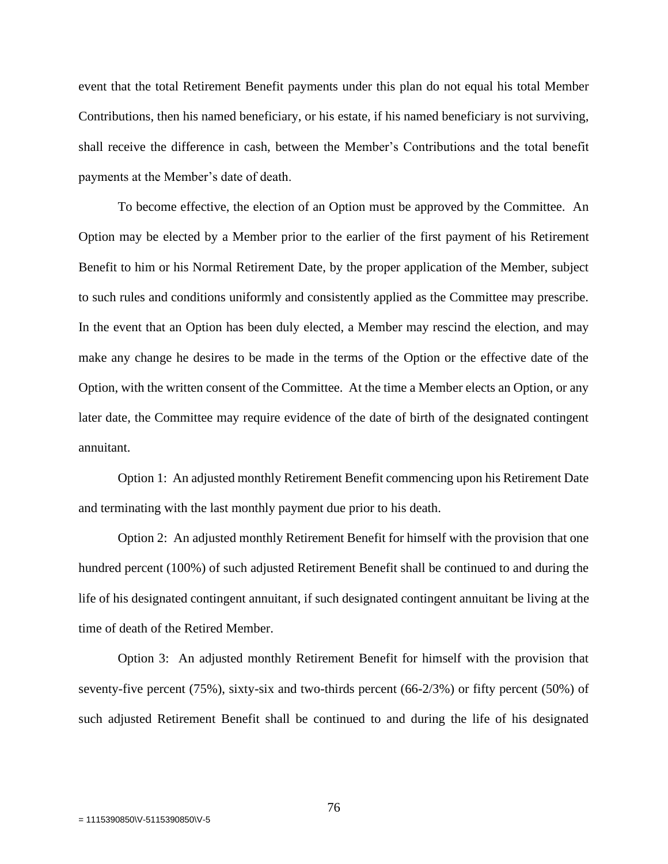event that the total Retirement Benefit payments under this plan do not equal his total Member Contributions, then his named beneficiary, or his estate, if his named beneficiary is not surviving, shall receive the difference in cash, between the Member's Contributions and the total benefit payments at the Member's date of death.

To become effective, the election of an Option must be approved by the Committee. An Option may be elected by a Member prior to the earlier of the first payment of his Retirement Benefit to him or his Normal Retirement Date, by the proper application of the Member, subject to such rules and conditions uniformly and consistently applied as the Committee may prescribe. In the event that an Option has been duly elected, a Member may rescind the election, and may make any change he desires to be made in the terms of the Option or the effective date of the Option, with the written consent of the Committee. At the time a Member elects an Option, or any later date, the Committee may require evidence of the date of birth of the designated contingent annuitant.

Option 1: An adjusted monthly Retirement Benefit commencing upon his Retirement Date and terminating with the last monthly payment due prior to his death.

Option 2: An adjusted monthly Retirement Benefit for himself with the provision that one hundred percent (100%) of such adjusted Retirement Benefit shall be continued to and during the life of his designated contingent annuitant, if such designated contingent annuitant be living at the time of death of the Retired Member.

Option 3: An adjusted monthly Retirement Benefit for himself with the provision that seventy-five percent (75%), sixty-six and two-thirds percent (66-2/3%) or fifty percent (50%) of such adjusted Retirement Benefit shall be continued to and during the life of his designated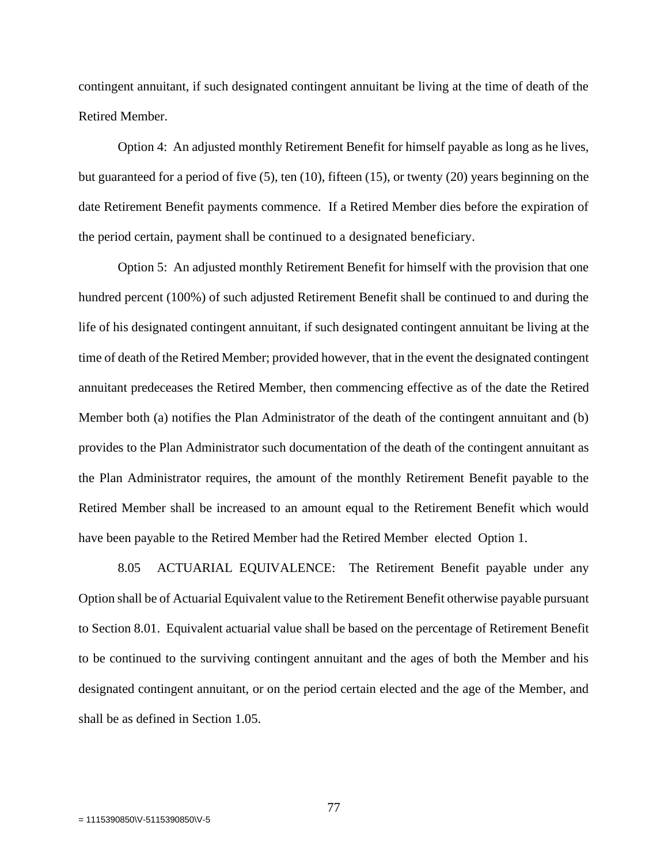contingent annuitant, if such designated contingent annuitant be living at the time of death of the Retired Member.

Option 4: An adjusted monthly Retirement Benefit for himself payable as long as he lives, but guaranteed for a period of five (5), ten (10), fifteen (15), or twenty (20) years beginning on the date Retirement Benefit payments commence. If a Retired Member dies before the expiration of the period certain, payment shall be continued to a designated beneficiary.

Option 5: An adjusted monthly Retirement Benefit for himself with the provision that one hundred percent (100%) of such adjusted Retirement Benefit shall be continued to and during the life of his designated contingent annuitant, if such designated contingent annuitant be living at the time of death of the Retired Member; provided however, that in the event the designated contingent annuitant predeceases the Retired Member, then commencing effective as of the date the Retired Member both (a) notifies the Plan Administrator of the death of the contingent annuitant and (b) provides to the Plan Administrator such documentation of the death of the contingent annuitant as the Plan Administrator requires, the amount of the monthly Retirement Benefit payable to the Retired Member shall be increased to an amount equal to the Retirement Benefit which would have been payable to the Retired Member had the Retired Member elected Option 1.

8.05 ACTUARIAL EQUIVALENCE: The Retirement Benefit payable under any Option shall be of Actuarial Equivalent value to the Retirement Benefit otherwise payable pursuant to Section 8.01. Equivalent actuarial value shall be based on the percentage of Retirement Benefit to be continued to the surviving contingent annuitant and the ages of both the Member and his designated contingent annuitant, or on the period certain elected and the age of the Member, and shall be as defined in Section 1.05.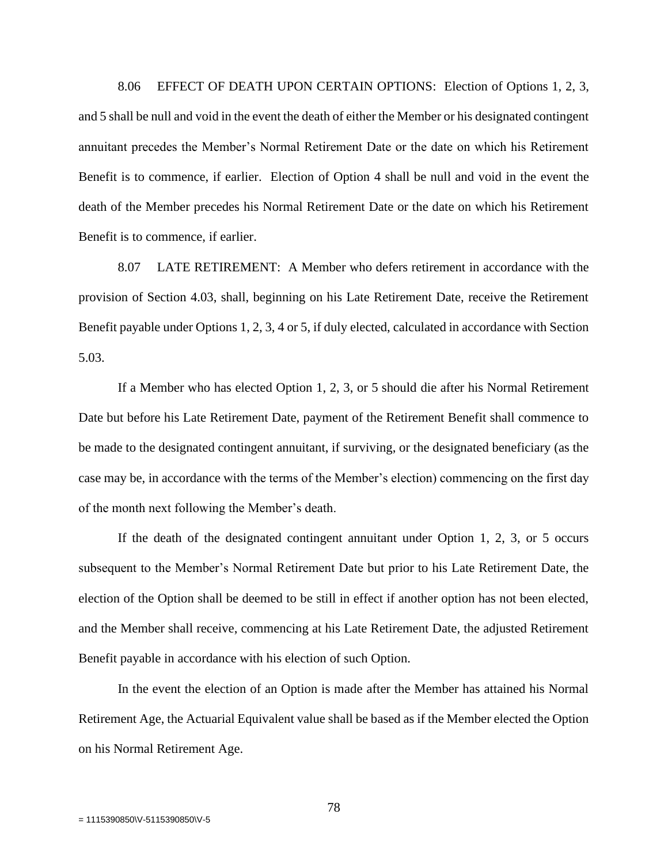8.06 EFFECT OF DEATH UPON CERTAIN OPTIONS: Election of Options 1, 2, 3, and 5 shall be null and void in the event the death of either the Member or his designated contingent annuitant precedes the Member's Normal Retirement Date or the date on which his Retirement Benefit is to commence, if earlier. Election of Option 4 shall be null and void in the event the death of the Member precedes his Normal Retirement Date or the date on which his Retirement Benefit is to commence, if earlier.

8.07 LATE RETIREMENT: A Member who defers retirement in accordance with the provision of Section 4.03, shall, beginning on his Late Retirement Date, receive the Retirement Benefit payable under Options 1, 2, 3, 4 or 5, if duly elected, calculated in accordance with Section 5.03.

If a Member who has elected Option 1, 2, 3, or 5 should die after his Normal Retirement Date but before his Late Retirement Date, payment of the Retirement Benefit shall commence to be made to the designated contingent annuitant, if surviving, or the designated beneficiary (as the case may be, in accordance with the terms of the Member's election) commencing on the first day of the month next following the Member's death.

If the death of the designated contingent annuitant under Option 1, 2, 3, or 5 occurs subsequent to the Member's Normal Retirement Date but prior to his Late Retirement Date, the election of the Option shall be deemed to be still in effect if another option has not been elected, and the Member shall receive, commencing at his Late Retirement Date, the adjusted Retirement Benefit payable in accordance with his election of such Option.

In the event the election of an Option is made after the Member has attained his Normal Retirement Age, the Actuarial Equivalent value shall be based as if the Member elected the Option on his Normal Retirement Age.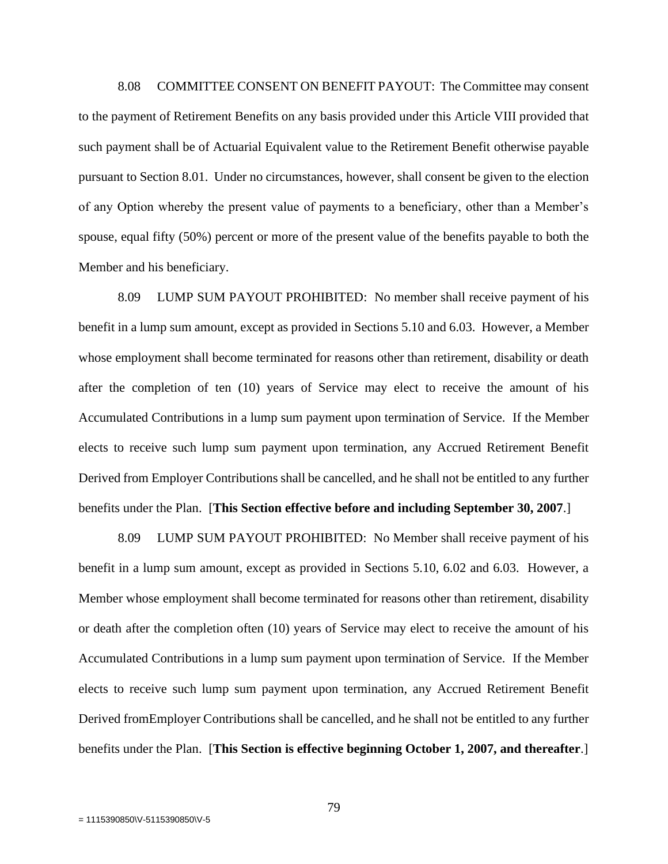8.08 COMMITTEE CONSENT ON BENEFIT PAYOUT: The Committee may consent to the payment of Retirement Benefits on any basis provided under this Article VIII provided that such payment shall be of Actuarial Equivalent value to the Retirement Benefit otherwise payable pursuant to Section 8.01. Under no circumstances, however, shall consent be given to the election of any Option whereby the present value of payments to a beneficiary, other than a Member's spouse, equal fifty (50%) percent or more of the present value of the benefits payable to both the Member and his beneficiary.

8.09 LUMP SUM PAYOUT PROHIBITED: No member shall receive payment of his benefit in a lump sum amount, except as provided in Sections 5.10 and 6.03. However, a Member whose employment shall become terminated for reasons other than retirement, disability or death after the completion of ten (10) years of Service may elect to receive the amount of his Accumulated Contributions in a lump sum payment upon termination of Service. If the Member elects to receive such lump sum payment upon termination, any Accrued Retirement Benefit Derived from Employer Contributions shall be cancelled, and he shall not be entitled to any further benefits under the Plan. [**This Section effective before and including September 30, 2007**.]

8.09 LUMP SUM PAYOUT PROHIBITED: No Member shall receive payment of his benefit in a lump sum amount, except as provided in Sections 5.10, 6.02 and 6.03. However, a Member whose employment shall become terminated for reasons other than retirement, disability or death after the completion often (10) years of Service may elect to receive the amount of his Accumulated Contributions in a lump sum payment upon termination of Service. If the Member elects to receive such lump sum payment upon termination, any Accrued Retirement Benefit Derived fromEmployer Contributions shall be cancelled, and he shall not be entitled to any further benefits under the Plan. [**This Section is effective beginning October 1, 2007, and thereafter**.]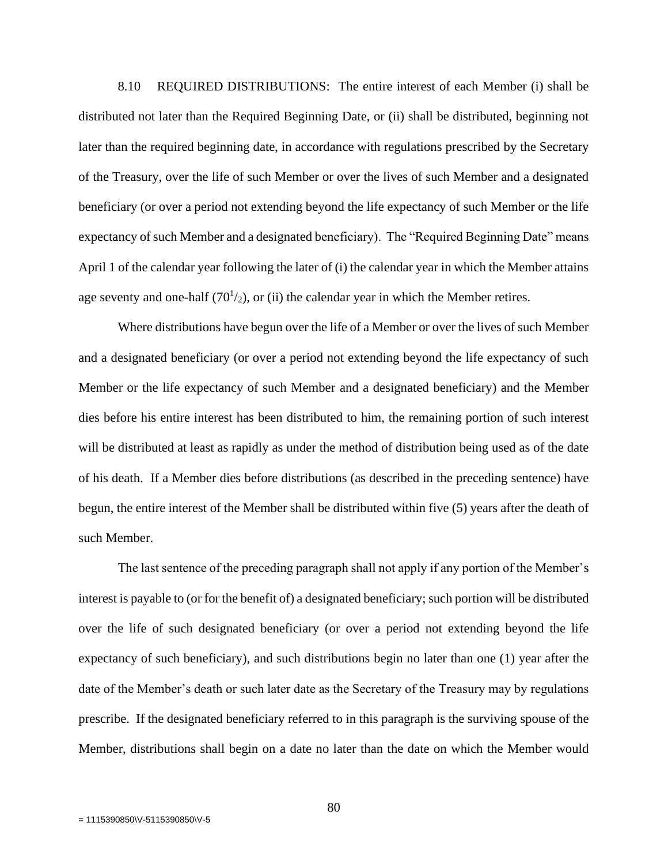8.10 REQUIRED DISTRIBUTIONS: The entire interest of each Member (i) shall be distributed not later than the Required Beginning Date, or (ii) shall be distributed, beginning not later than the required beginning date, in accordance with regulations prescribed by the Secretary of the Treasury, over the life of such Member or over the lives of such Member and a designated beneficiary (or over a period not extending beyond the life expectancy of such Member or the life expectancy of such Member and a designated beneficiary). The "Required Beginning Date" means April 1 of the calendar year following the later of (i) the calendar year in which the Member attains age seventy and one-half  $(70<sup>1</sup>/2)$ , or (ii) the calendar year in which the Member retires.

Where distributions have begun over the life of a Member or over the lives of such Member and a designated beneficiary (or over a period not extending beyond the life expectancy of such Member or the life expectancy of such Member and a designated beneficiary) and the Member dies before his entire interest has been distributed to him, the remaining portion of such interest will be distributed at least as rapidly as under the method of distribution being used as of the date of his death. If a Member dies before distributions (as described in the preceding sentence) have begun, the entire interest of the Member shall be distributed within five (5) years after the death of such Member.

The last sentence of the preceding paragraph shall not apply if any portion of the Member's interest is payable to (or for the benefit of) a designated beneficiary; such portion will be distributed over the life of such designated beneficiary (or over a period not extending beyond the life expectancy of such beneficiary), and such distributions begin no later than one (1) year after the date of the Member's death or such later date as the Secretary of the Treasury may by regulations prescribe. If the designated beneficiary referred to in this paragraph is the surviving spouse of the Member, distributions shall begin on a date no later than the date on which the Member would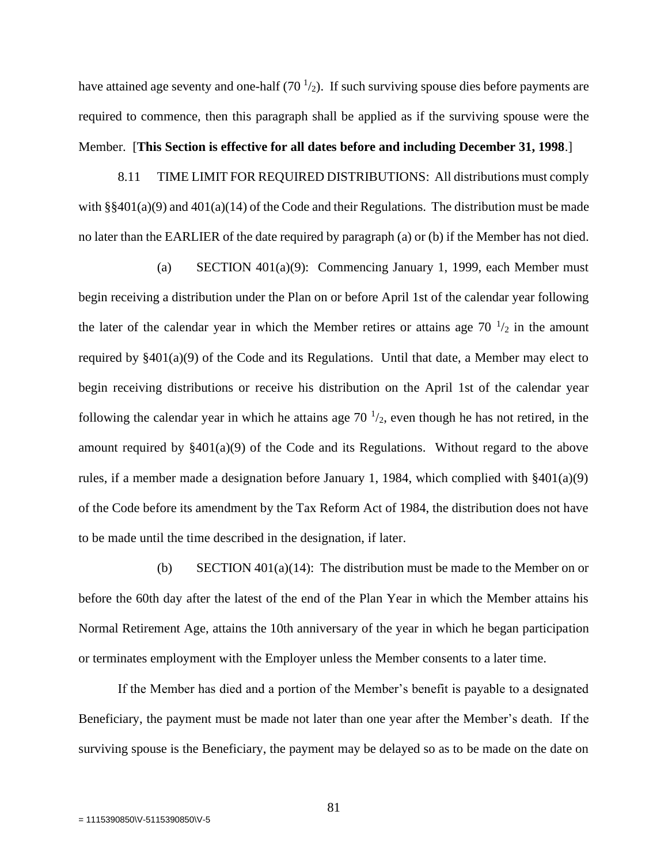have attained age seventy and one-half  $(70<sup>1</sup>/2)$ . If such surviving spouse dies before payments are required to commence, then this paragraph shall be applied as if the surviving spouse were the Member. [**This Section is effective for all dates before and including December 31, 1998**.]

8.11 TIME LIMIT FOR REQUIRED DISTRIBUTIONS: All distributions must comply with  $\S$ §401(a)(9) and 401(a)(14) of the Code and their Regulations. The distribution must be made no later than the EARLIER of the date required by paragraph (a) or (b) if the Member has not died.

(a) SECTION 401(a)(9): Commencing January 1, 1999, each Member must begin receiving a distribution under the Plan on or before April 1st of the calendar year following the later of the calendar year in which the Member retires or attains age  $70^{-1/2}$  in the amount required by §401(a)(9) of the Code and its Regulations. Until that date, a Member may elect to begin receiving distributions or receive his distribution on the April 1st of the calendar year following the calendar year in which he attains age  $70<sup>1</sup>/2$ , even though he has not retired, in the amount required by §401(a)(9) of the Code and its Regulations. Without regard to the above rules, if a member made a designation before January 1, 1984, which complied with  $\S 401(a)(9)$ of the Code before its amendment by the Tax Reform Act of 1984, the distribution does not have to be made until the time described in the designation, if later.

(b) SECTION  $401(a)(14)$ : The distribution must be made to the Member on or before the 60th day after the latest of the end of the Plan Year in which the Member attains his Normal Retirement Age, attains the 10th anniversary of the year in which he began participation or terminates employment with the Employer unless the Member consents to a later time.

If the Member has died and a portion of the Member's benefit is payable to a designated Beneficiary, the payment must be made not later than one year after the Member's death. If the surviving spouse is the Beneficiary, the payment may be delayed so as to be made on the date on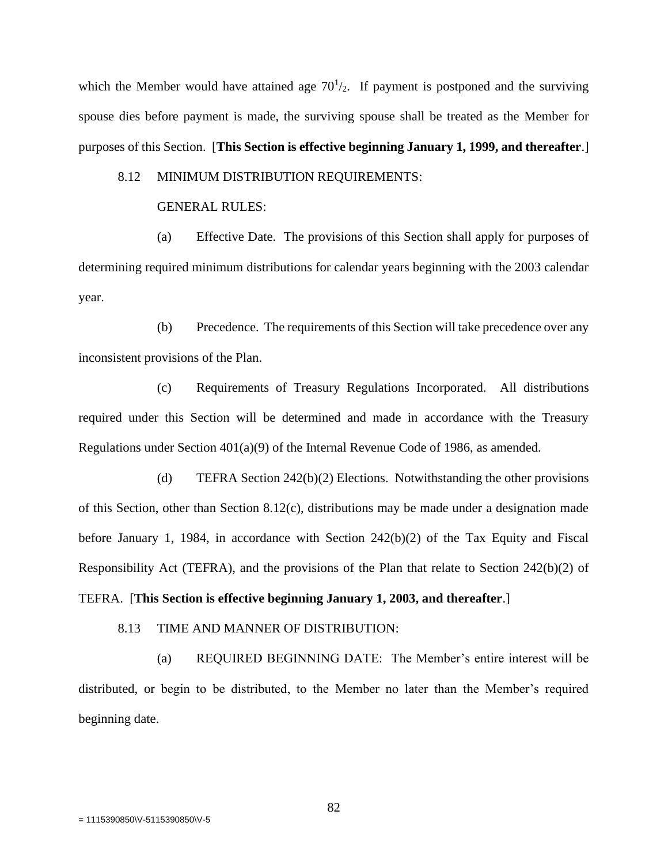which the Member would have attained age  $70<sup>1</sup>/2$ . If payment is postponed and the surviving spouse dies before payment is made, the surviving spouse shall be treated as the Member for purposes of this Section. [**This Section is effective beginning January 1, 1999, and thereafter**.]

## 8.12 MINIMUM DISTRIBUTION REQUIREMENTS:

#### GENERAL RULES:

(a) Effective Date. The provisions of this Section shall apply for purposes of determining required minimum distributions for calendar years beginning with the 2003 calendar year.

(b) Precedence. The requirements of this Section will take precedence over any inconsistent provisions of the Plan.

(c) Requirements of Treasury Regulations Incorporated. All distributions required under this Section will be determined and made in accordance with the Treasury Regulations under Section  $401(a)(9)$  of the Internal Revenue Code of 1986, as amended.

(d) TEFRA Section 242(b)(2) Elections. Notwithstanding the other provisions of this Section, other than Section 8.12(c), distributions may be made under a designation made before January 1, 1984, in accordance with Section  $242(b)(2)$  of the Tax Equity and Fiscal Responsibility Act (TEFRA), and the provisions of the Plan that relate to Section 242(b)(2) of

# TEFRA. [**This Section is effective beginning January 1, 2003, and thereafter**.]

#### 8.13 TIME AND MANNER OF DISTRIBUTION:

(a) REQUIRED BEGINNING DATE: The Member's entire interest will be distributed, or begin to be distributed, to the Member no later than the Member's required beginning date.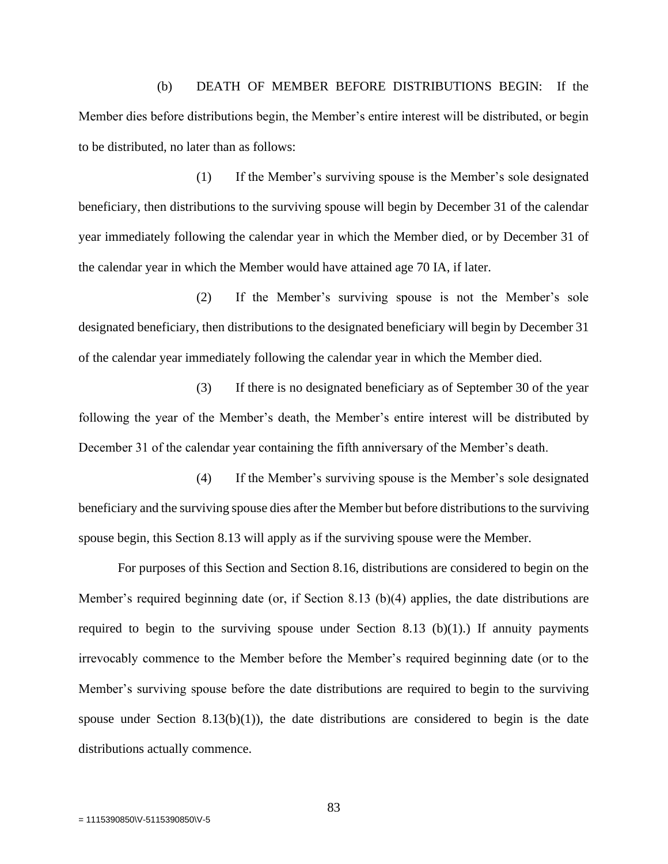(b) DEATH OF MEMBER BEFORE DISTRIBUTIONS BEGIN: If the Member dies before distributions begin, the Member's entire interest will be distributed, or begin to be distributed, no later than as follows:

(1) If the Member's surviving spouse is the Member's sole designated beneficiary, then distributions to the surviving spouse will begin by December 31 of the calendar year immediately following the calendar year in which the Member died, or by December 31 of the calendar year in which the Member would have attained age 70 IA, if later.

(2) If the Member's surviving spouse is not the Member's sole designated beneficiary, then distributions to the designated beneficiary will begin by December 31 of the calendar year immediately following the calendar year in which the Member died.

(3) If there is no designated beneficiary as of September 30 of the year following the year of the Member's death, the Member's entire interest will be distributed by December 31 of the calendar year containing the fifth anniversary of the Member's death.

(4) If the Member's surviving spouse is the Member's sole designated beneficiary and the surviving spouse dies after the Member but before distributions to the surviving spouse begin, this Section 8.13 will apply as if the surviving spouse were the Member.

For purposes of this Section and Section 8.16, distributions are considered to begin on the Member's required beginning date (or, if Section 8.13 (b)(4) applies, the date distributions are required to begin to the surviving spouse under Section 8.13 (b)(1).) If annuity payments irrevocably commence to the Member before the Member's required beginning date (or to the Member's surviving spouse before the date distributions are required to begin to the surviving spouse under Section 8.13(b)(1)), the date distributions are considered to begin is the date distributions actually commence.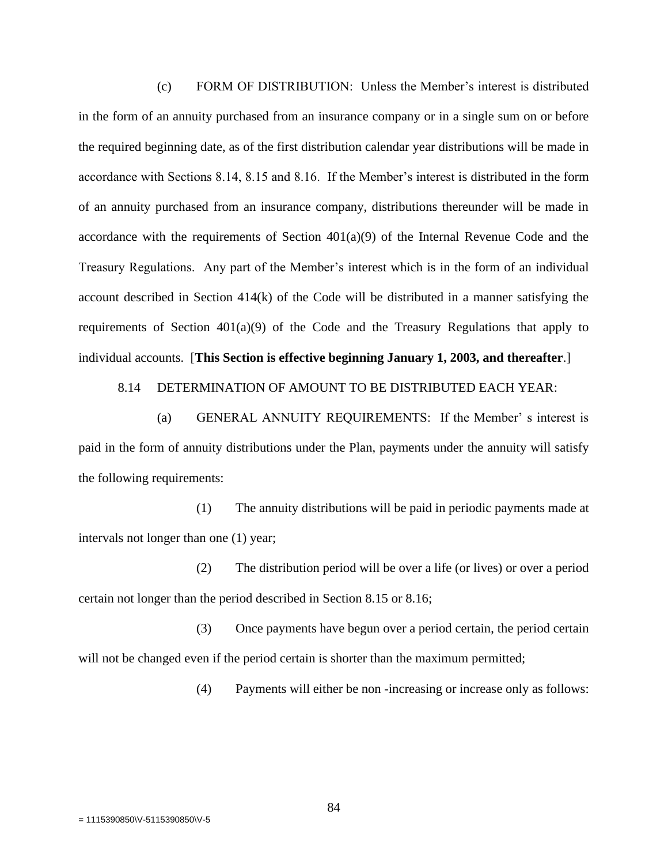(c) FORM OF DISTRIBUTION: Unless the Member's interest is distributed in the form of an annuity purchased from an insurance company or in a single sum on or before the required beginning date, as of the first distribution calendar year distributions will be made in accordance with Sections 8.14, 8.15 and 8.16. If the Member's interest is distributed in the form of an annuity purchased from an insurance company, distributions thereunder will be made in accordance with the requirements of Section 401(a)(9) of the Internal Revenue Code and the Treasury Regulations. Any part of the Member's interest which is in the form of an individual account described in Section 414(k) of the Code will be distributed in a manner satisfying the requirements of Section 401(a)(9) of the Code and the Treasury Regulations that apply to individual accounts. [**This Section is effective beginning January 1, 2003, and thereafter**.]

8.14 DETERMINATION OF AMOUNT TO BE DISTRIBUTED EACH YEAR:

(a) GENERAL ANNUITY REQUIREMENTS: If the Member' s interest is paid in the form of annuity distributions under the Plan, payments under the annuity will satisfy the following requirements:

(1) The annuity distributions will be paid in periodic payments made at intervals not longer than one (1) year;

(2) The distribution period will be over a life (or lives) or over a period certain not longer than the period described in Section 8.15 or 8.16;

(3) Once payments have begun over a period certain, the period certain will not be changed even if the period certain is shorter than the maximum permitted;

(4) Payments will either be non -increasing or increase only as follows: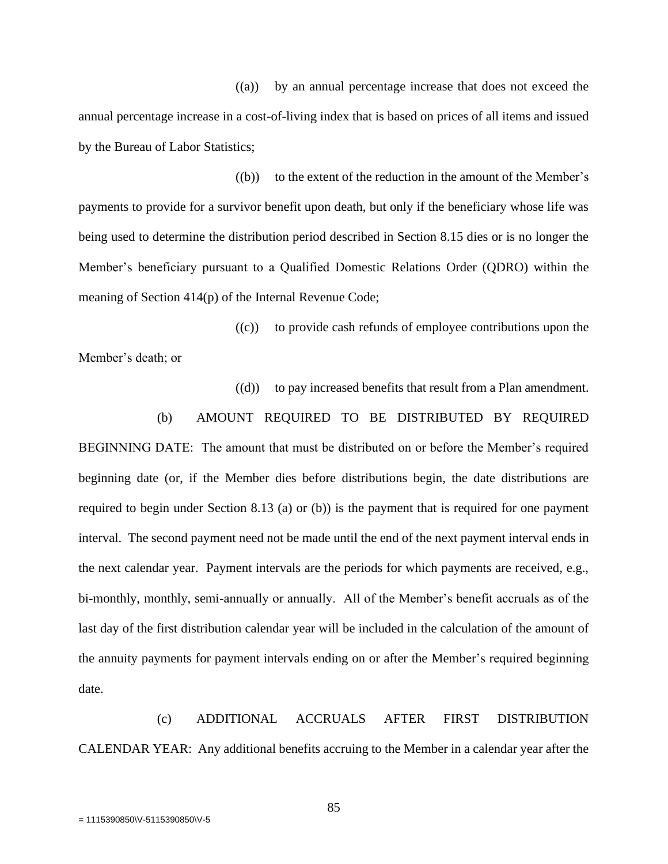((a)) by an annual percentage increase that does not exceed the annual percentage increase in a cost-of-living index that is based on prices of all items and issued by the Bureau of Labor Statistics;

 $(6)$  to the extent of the reduction in the amount of the Member's payments to provide for a survivor benefit upon death, but only if the beneficiary whose life was being used to determine the distribution period described in Section 8.15 dies or is no longer the Member's beneficiary pursuant to a Qualified Domestic Relations Order (QDRO) within the meaning of Section 414(p) of the Internal Revenue Code;

((c)) to provide cash refunds of employee contributions upon the

Member's death; or

((d)) to pay increased benefits that result from a Plan amendment.

## (b) AMOUNT REQUIRED TO BE DISTRIBUTED BY REQUIRED

BEGINNING DATE: The amount that must be distributed on or before the Member's required beginning date (or, if the Member dies before distributions begin, the date distributions are required to begin under Section 8.13 (a) or (b)) is the payment that is required for one payment interval. The second payment need not be made until the end of the next payment interval ends in the next calendar year. Payment intervals are the periods for which payments are received, e.g., bi-monthly, monthly, semi-annually or annually. All of the Member's benefit accruals as of the last day of the first distribution calendar year will be included in the calculation of the amount of the annuity payments for payment intervals ending on or after the Member's required beginning date.

(c) ADDITIONAL ACCRUALS AFTER FIRST DISTRIBUTION CALENDAR YEAR: Any additional benefits accruing to the Member in a calendar year after the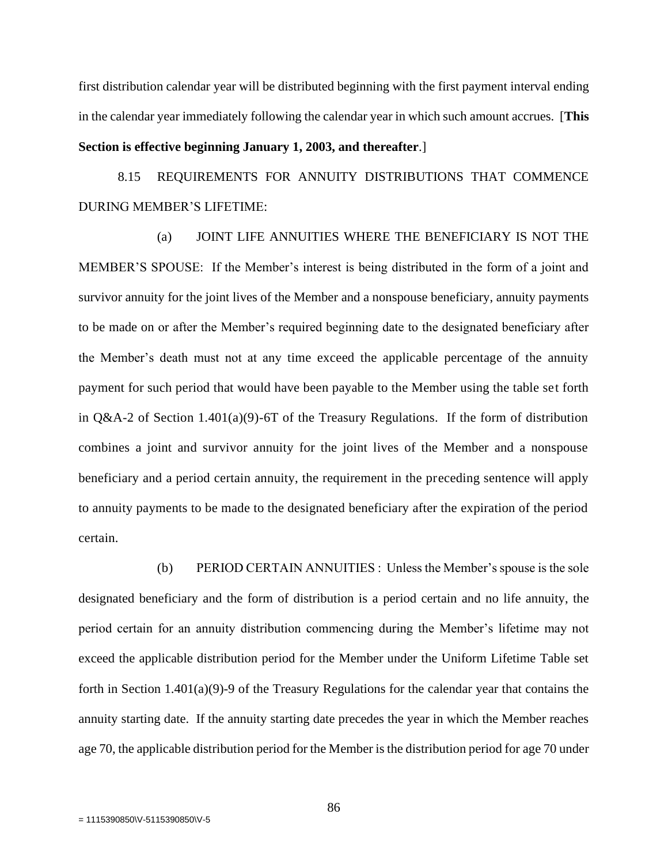first distribution calendar year will be distributed beginning with the first payment interval ending in the calendar year immediately following the calendar year in which such amount accrues. [**This Section is effective beginning January 1, 2003, and thereafter**.]

8.15 REQUIREMENTS FOR ANNUITY DISTRIBUTIONS THAT COMMENCE DURING MEMBER'S LIFETIME:

(a) JOINT LIFE ANNUITIES WHERE THE BENEFICIARY IS NOT THE MEMBER'S SPOUSE: If the Member's interest is being distributed in the form of a joint and survivor annuity for the joint lives of the Member and a nonspouse beneficiary, annuity payments to be made on or after the Member's required beginning date to the designated beneficiary after the Member's death must not at any time exceed the applicable percentage of the annuity payment for such period that would have been payable to the Member using the table set forth in Q&A-2 of Section 1.401(a)(9)-6T of the Treasury Regulations. If the form of distribution combines a joint and survivor annuity for the joint lives of the Member and a nonspouse beneficiary and a period certain annuity, the requirement in the preceding sentence will apply to annuity payments to be made to the designated beneficiary after the expiration of the period certain.

(b) PERIOD CERTAIN ANNUITIES : Unless the Member's spouse is the sole designated beneficiary and the form of distribution is a period certain and no life annuity, the period certain for an annuity distribution commencing during the Member's lifetime may not exceed the applicable distribution period for the Member under the Uniform Lifetime Table set forth in Section 1.401(a)(9)-9 of the Treasury Regulations for the calendar year that contains the annuity starting date. If the annuity starting date precedes the year in which the Member reaches age 70, the applicable distribution period for the Member is the distribution period for age 70 under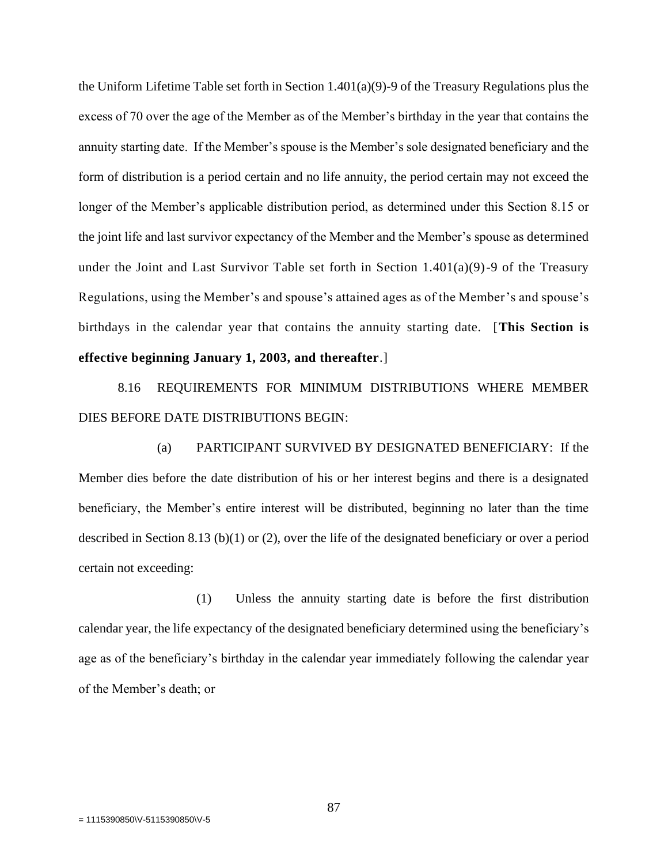the Uniform Lifetime Table set forth in Section 1.401(a)(9)-9 of the Treasury Regulations plus the excess of 70 over the age of the Member as of the Member's birthday in the year that contains the annuity starting date. If the Member's spouse is the Member's sole designated beneficiary and the form of distribution is a period certain and no life annuity, the period certain may not exceed the longer of the Member's applicable distribution period, as determined under this Section 8.15 or the joint life and last survivor expectancy of the Member and the Member's spouse as determined under the Joint and Last Survivor Table set forth in Section  $1.401(a)(9)-9$  of the Treasury Regulations, using the Member's and spouse's attained ages as of the Member's and spouse's birthdays in the calendar year that contains the annuity starting date. [**This Section is effective beginning January 1, 2003, and thereafter**.]

8.16 REQUIREMENTS FOR MINIMUM DISTRIBUTIONS WHERE MEMBER DIES BEFORE DATE DISTRIBUTIONS BEGIN:

(a) PARTICIPANT SURVIVED BY DESIGNATED BENEFICIARY: If the Member dies before the date distribution of his or her interest begins and there is a designated beneficiary, the Member's entire interest will be distributed, beginning no later than the time described in Section 8.13 (b)(1) or (2), over the life of the designated beneficiary or over a period certain not exceeding:

(1) Unless the annuity starting date is before the first distribution calendar year, the life expectancy of the designated beneficiary determined using the beneficiary's age as of the beneficiary's birthday in the calendar year immediately following the calendar year of the Member's death; or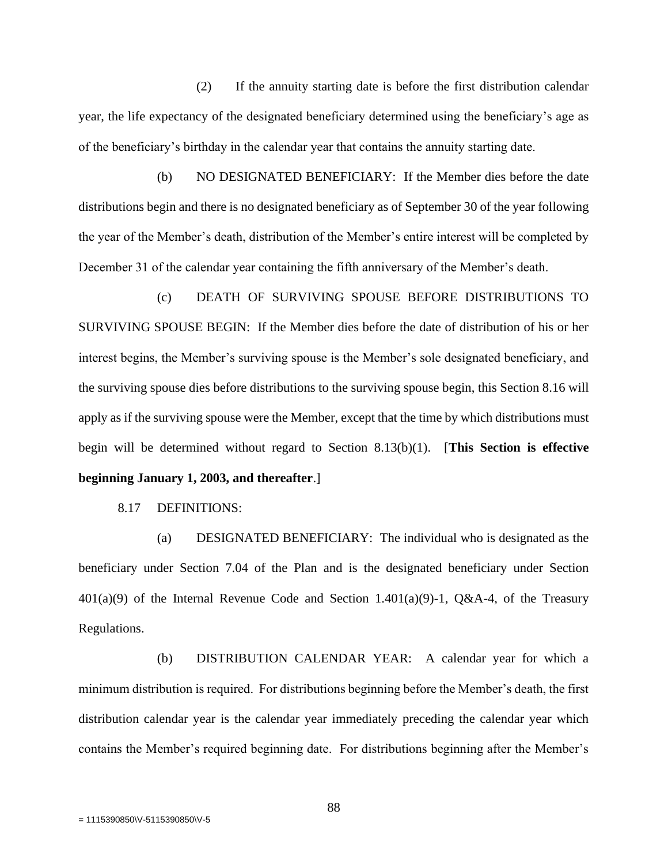(2) If the annuity starting date is before the first distribution calendar year, the life expectancy of the designated beneficiary determined using the beneficiary's age as of the beneficiary's birthday in the calendar year that contains the annuity starting date.

(b) NO DESIGNATED BENEFICIARY: If the Member dies before the date distributions begin and there is no designated beneficiary as of September 30 of the year following the year of the Member's death, distribution of the Member's entire interest will be completed by December 31 of the calendar year containing the fifth anniversary of the Member's death.

(c) DEATH OF SURVIVING SPOUSE BEFORE DISTRIBUTIONS TO SURVIVING SPOUSE BEGIN: If the Member dies before the date of distribution of his or her interest begins, the Member's surviving spouse is the Member's sole designated beneficiary, and the surviving spouse dies before distributions to the surviving spouse begin, this Section 8.16 will apply as if the surviving spouse were the Member, except that the time by which distributions must begin will be determined without regard to Section 8.13(b)(1). [**This Section is effective beginning January 1, 2003, and thereafter**.]

8.17 DEFINITIONS:

(a) DESIGNATED BENEFICIARY: The individual who is designated as the beneficiary under Section 7.04 of the Plan and is the designated beneficiary under Section  $401(a)(9)$  of the Internal Revenue Code and Section 1.401(a)(9)-1, Q&A-4, of the Treasury Regulations.

(b) DISTRIBUTION CALENDAR YEAR: A calendar year for which a minimum distribution is required. For distributions beginning before the Member's death, the first distribution calendar year is the calendar year immediately preceding the calendar year which contains the Member's required beginning date. For distributions beginning after the Member's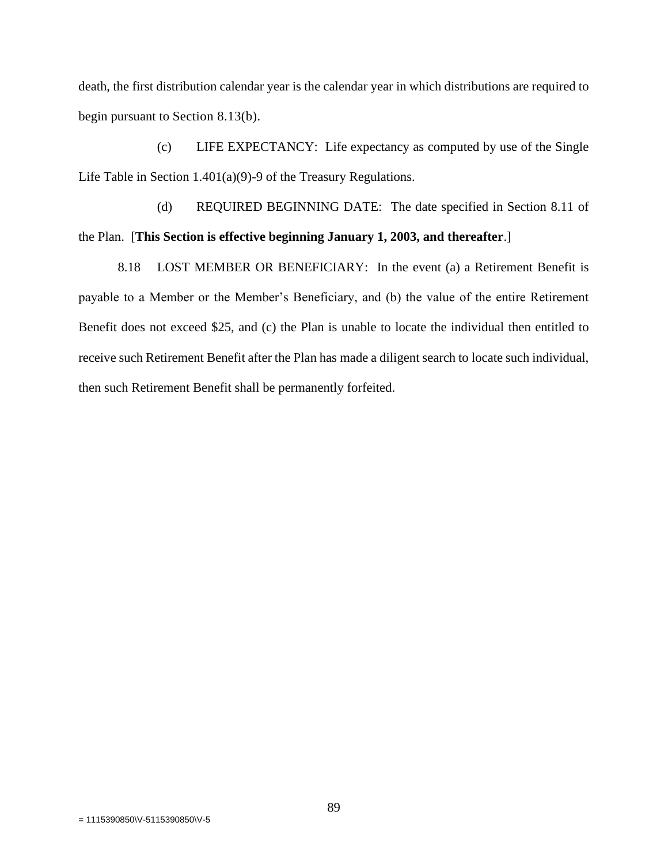death, the first distribution calendar year is the calendar year in which distributions are required to begin pursuant to Section 8.13(b).

(c) LIFE EXPECTANCY: Life expectancy as computed by use of the Single Life Table in Section 1.401(a)(9)-9 of the Treasury Regulations.

(d) REQUIRED BEGINNING DATE: The date specified in Section 8.11 of the Plan. [**This Section is effective beginning January 1, 2003, and thereafter**.]

8.18 LOST MEMBER OR BENEFICIARY: In the event (a) a Retirement Benefit is payable to a Member or the Member's Beneficiary, and (b) the value of the entire Retirement Benefit does not exceed \$25, and (c) the Plan is unable to locate the individual then entitled to receive such Retirement Benefit after the Plan has made a diligent search to locate such individual, then such Retirement Benefit shall be permanently forfeited.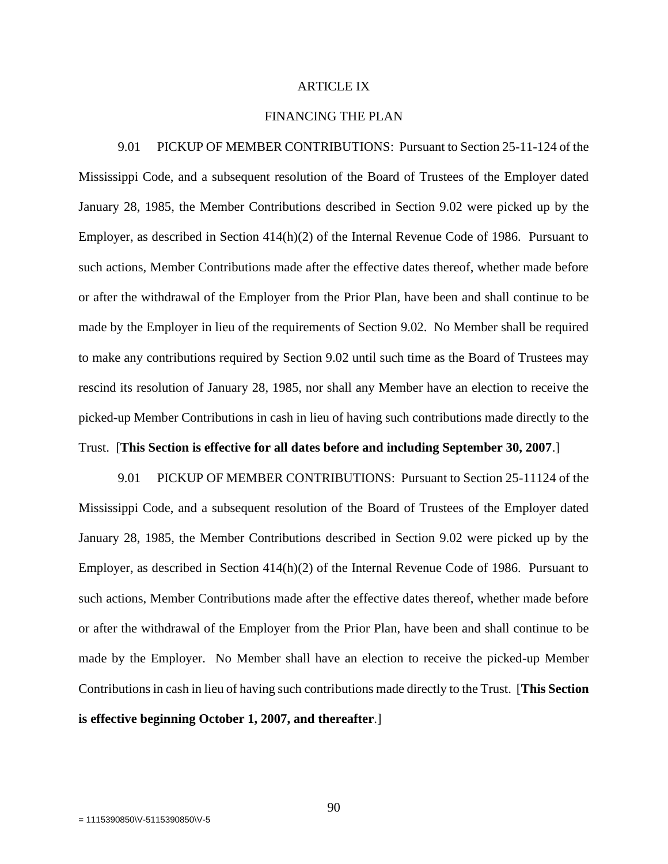## ARTICLE IX

#### FINANCING THE PLAN

9.01 PICKUP OF MEMBER CONTRIBUTIONS: Pursuant to Section 25-11-124 of the Mississippi Code, and a subsequent resolution of the Board of Trustees of the Employer dated January 28, 1985, the Member Contributions described in Section 9.02 were picked up by the Employer, as described in Section 414(h)(2) of the Internal Revenue Code of 1986. Pursuant to such actions, Member Contributions made after the effective dates thereof, whether made before or after the withdrawal of the Employer from the Prior Plan, have been and shall continue to be made by the Employer in lieu of the requirements of Section 9.02. No Member shall be required to make any contributions required by Section 9.02 until such time as the Board of Trustees may rescind its resolution of January 28, 1985, nor shall any Member have an election to receive the picked-up Member Contributions in cash in lieu of having such contributions made directly to the Trust. [**This Section is effective for all dates before and including September 30, 2007**.]

9.01 PICKUP OF MEMBER CONTRIBUTIONS: Pursuant to Section 25-11124 of the Mississippi Code, and a subsequent resolution of the Board of Trustees of the Employer dated January 28, 1985, the Member Contributions described in Section 9.02 were picked up by the Employer, as described in Section 414(h)(2) of the Internal Revenue Code of 1986. Pursuant to such actions, Member Contributions made after the effective dates thereof, whether made before or after the withdrawal of the Employer from the Prior Plan, have been and shall continue to be made by the Employer. No Member shall have an election to receive the picked-up Member Contributions in cash in lieu of having such contributions made directly to the Trust. [**This Section is effective beginning October 1, 2007, and thereafter**.]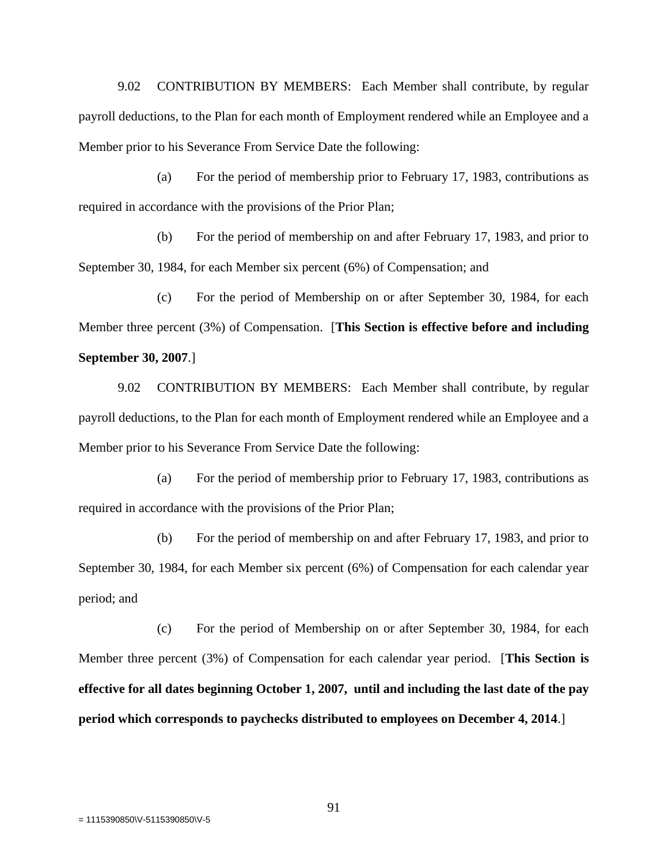9.02 CONTRIBUTION BY MEMBERS: Each Member shall contribute, by regular payroll deductions, to the Plan for each month of Employment rendered while an Employee and a Member prior to his Severance From Service Date the following:

(a) For the period of membership prior to February 17, 1983, contributions as required in accordance with the provisions of the Prior Plan;

(b) For the period of membership on and after February 17, 1983, and prior to September 30, 1984, for each Member six percent (6%) of Compensation; and

(c) For the period of Membership on or after September 30, 1984, for each Member three percent (3%) of Compensation. [**This Section is effective before and including September 30, 2007**.]

9.02 CONTRIBUTION BY MEMBERS: Each Member shall contribute, by regular payroll deductions, to the Plan for each month of Employment rendered while an Employee and a Member prior to his Severance From Service Date the following:

(a) For the period of membership prior to February 17, 1983, contributions as required in accordance with the provisions of the Prior Plan;

(b) For the period of membership on and after February 17, 1983, and prior to September 30, 1984, for each Member six percent (6%) of Compensation for each calendar year period; and

(c) For the period of Membership on or after September 30, 1984, for each Member three percent (3%) of Compensation for each calendar year period. [**This Section is effective for all dates beginning October 1, 2007, until and including the last date of the pay period which corresponds to paychecks distributed to employees on December 4, 2014**.]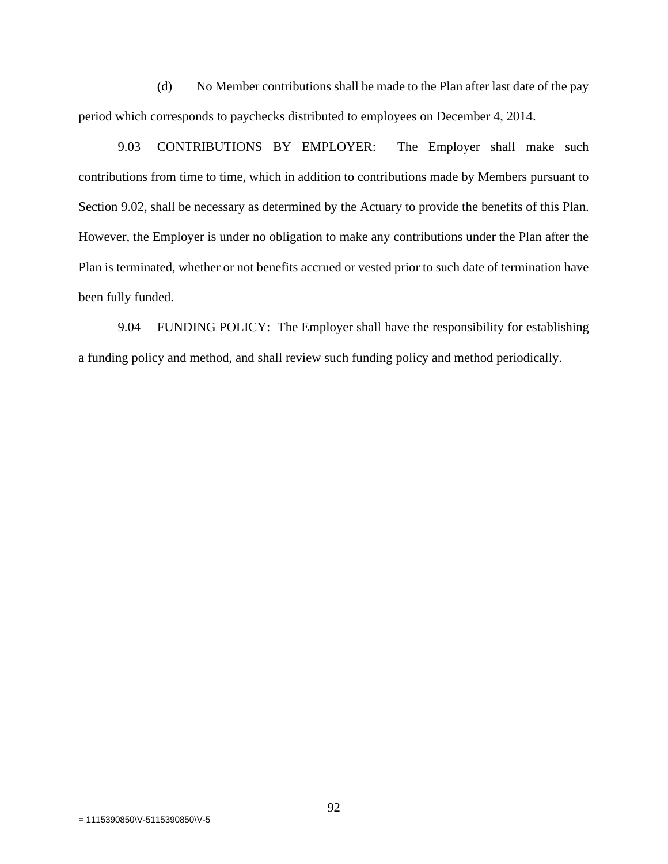(d) No Member contributions shall be made to the Plan after last date of the pay period which corresponds to paychecks distributed to employees on December 4, 2014.

9.03 CONTRIBUTIONS BY EMPLOYER: The Employer shall make such contributions from time to time, which in addition to contributions made by Members pursuant to Section 9.02, shall be necessary as determined by the Actuary to provide the benefits of this Plan. However, the Employer is under no obligation to make any contributions under the Plan after the Plan is terminated, whether or not benefits accrued or vested prior to such date of termination have been fully funded.

9.04 FUNDING POLICY: The Employer shall have the responsibility for establishing a funding policy and method, and shall review such funding policy and method periodically.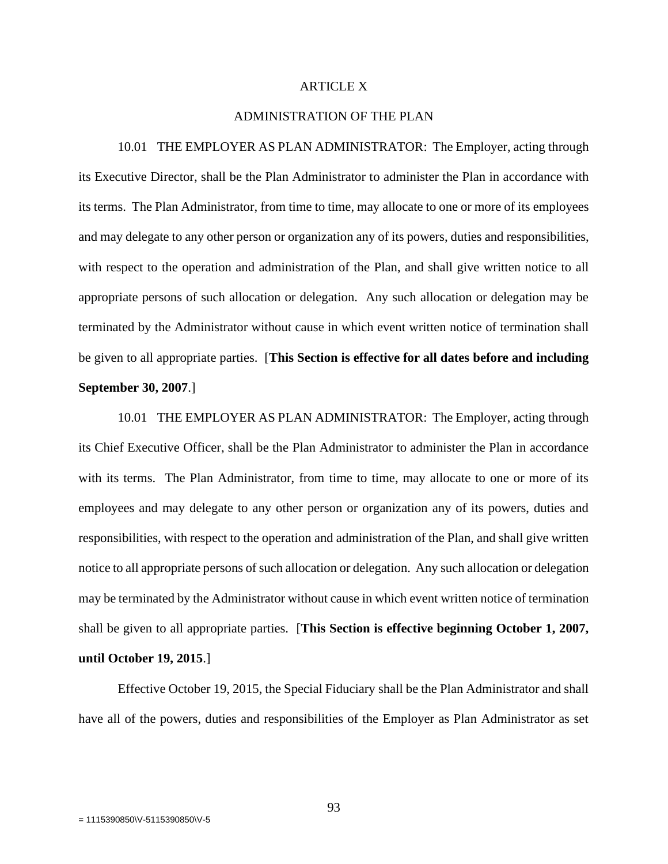#### ARTICLE X

#### ADMINISTRATION OF THE PLAN

10.01 THE EMPLOYER AS PLAN ADMINISTRATOR: The Employer, acting through its Executive Director, shall be the Plan Administrator to administer the Plan in accordance with its terms. The Plan Administrator, from time to time, may allocate to one or more of its employees and may delegate to any other person or organization any of its powers, duties and responsibilities, with respect to the operation and administration of the Plan, and shall give written notice to all appropriate persons of such allocation or delegation. Any such allocation or delegation may be terminated by the Administrator without cause in which event written notice of termination shall be given to all appropriate parties. [**This Section is effective for all dates before and including September 30, 2007**.]

10.01 THE EMPLOYER AS PLAN ADMINISTRATOR: The Employer, acting through its Chief Executive Officer, shall be the Plan Administrator to administer the Plan in accordance with its terms. The Plan Administrator, from time to time, may allocate to one or more of its employees and may delegate to any other person or organization any of its powers, duties and responsibilities, with respect to the operation and administration of the Plan, and shall give written notice to all appropriate persons of such allocation or delegation. Any such allocation or delegation may be terminated by the Administrator without cause in which event written notice of termination shall be given to all appropriate parties. [**This Section is effective beginning October 1, 2007, until October 19, 2015**.]

Effective October 19, 2015, the Special Fiduciary shall be the Plan Administrator and shall have all of the powers, duties and responsibilities of the Employer as Plan Administrator as set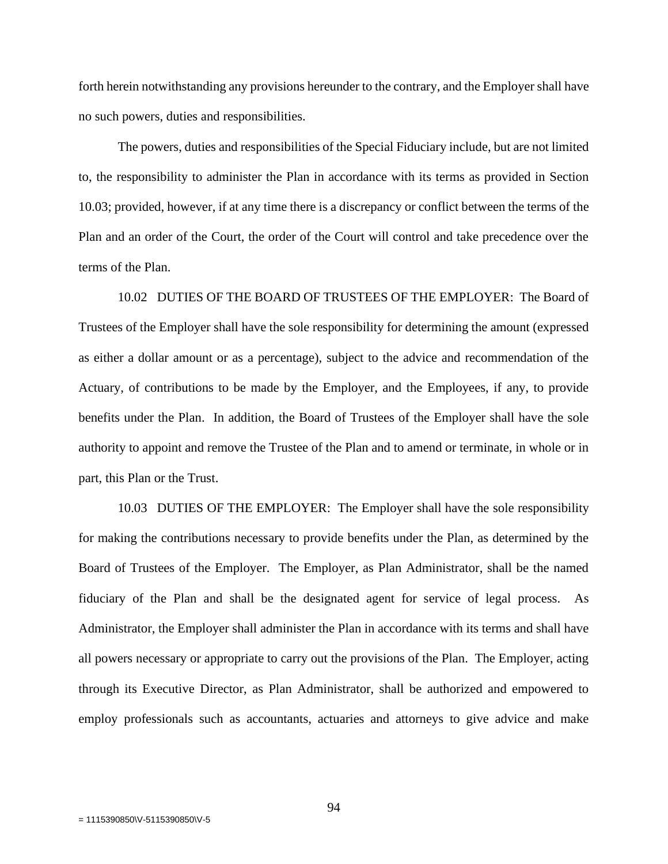forth herein notwithstanding any provisions hereunder to the contrary, and the Employer shall have no such powers, duties and responsibilities.

The powers, duties and responsibilities of the Special Fiduciary include, but are not limited to, the responsibility to administer the Plan in accordance with its terms as provided in Section 10.03; provided, however, if at any time there is a discrepancy or conflict between the terms of the Plan and an order of the Court, the order of the Court will control and take precedence over the terms of the Plan.

10.02 DUTIES OF THE BOARD OF TRUSTEES OF THE EMPLOYER: The Board of Trustees of the Employer shall have the sole responsibility for determining the amount (expressed as either a dollar amount or as a percentage), subject to the advice and recommendation of the Actuary, of contributions to be made by the Employer, and the Employees, if any, to provide benefits under the Plan. In addition, the Board of Trustees of the Employer shall have the sole authority to appoint and remove the Trustee of the Plan and to amend or terminate, in whole or in part, this Plan or the Trust.

10.03 DUTIES OF THE EMPLOYER: The Employer shall have the sole responsibility for making the contributions necessary to provide benefits under the Plan, as determined by the Board of Trustees of the Employer. The Employer, as Plan Administrator, shall be the named fiduciary of the Plan and shall be the designated agent for service of legal process. As Administrator, the Employer shall administer the Plan in accordance with its terms and shall have all powers necessary or appropriate to carry out the provisions of the Plan. The Employer, acting through its Executive Director, as Plan Administrator, shall be authorized and empowered to employ professionals such as accountants, actuaries and attorneys to give advice and make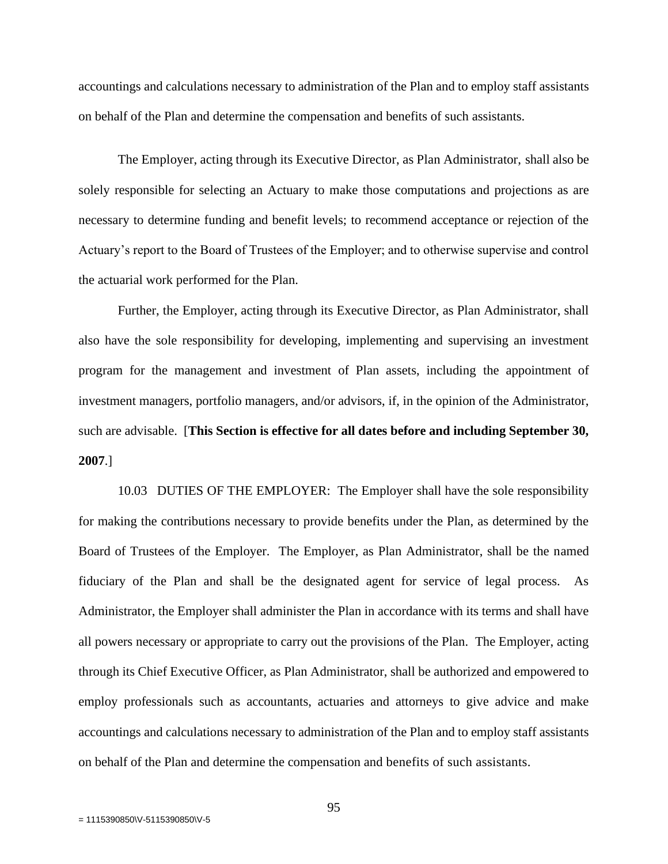accountings and calculations necessary to administration of the Plan and to employ staff assistants on behalf of the Plan and determine the compensation and benefits of such assistants.

The Employer, acting through its Executive Director, as Plan Administrator, shall also be solely responsible for selecting an Actuary to make those computations and projections as are necessary to determine funding and benefit levels; to recommend acceptance or rejection of the Actuary's report to the Board of Trustees of the Employer; and to otherwise supervise and control the actuarial work performed for the Plan.

Further, the Employer, acting through its Executive Director, as Plan Administrator, shall also have the sole responsibility for developing, implementing and supervising an investment program for the management and investment of Plan assets, including the appointment of investment managers, portfolio managers, and/or advisors, if, in the opinion of the Administrator, such are advisable. [**This Section is effective for all dates before and including September 30, 2007**.]

10.03 DUTIES OF THE EMPLOYER: The Employer shall have the sole responsibility for making the contributions necessary to provide benefits under the Plan, as determined by the Board of Trustees of the Employer. The Employer, as Plan Administrator, shall be the named fiduciary of the Plan and shall be the designated agent for service of legal process. As Administrator, the Employer shall administer the Plan in accordance with its terms and shall have all powers necessary or appropriate to carry out the provisions of the Plan. The Employer, acting through its Chief Executive Officer, as Plan Administrator, shall be authorized and empowered to employ professionals such as accountants, actuaries and attorneys to give advice and make accountings and calculations necessary to administration of the Plan and to employ staff assistants on behalf of the Plan and determine the compensation and benefits of such assistants.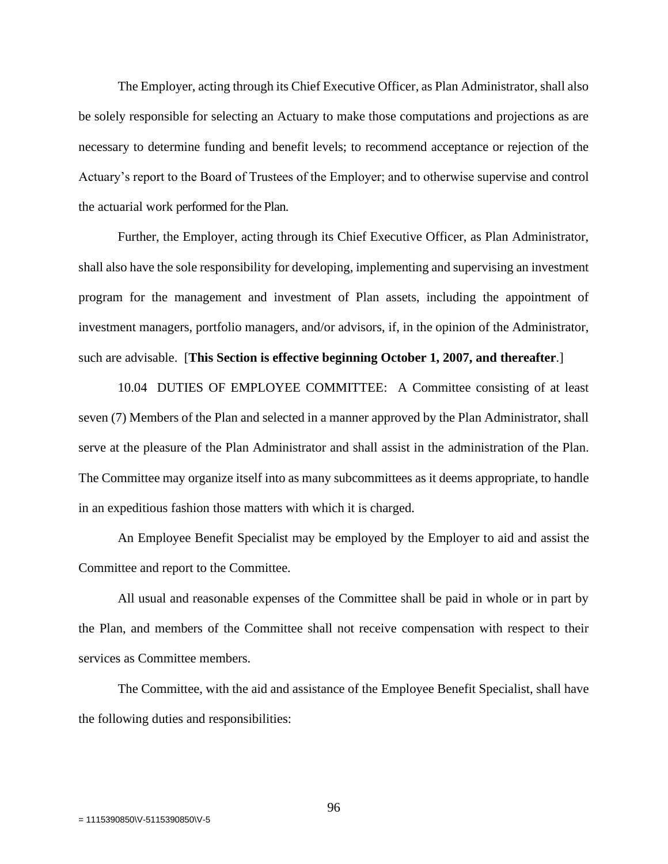The Employer, acting through its Chief Executive Officer, as Plan Administrator, shall also be solely responsible for selecting an Actuary to make those computations and projections as are necessary to determine funding and benefit levels; to recommend acceptance or rejection of the Actuary's report to the Board of Trustees of the Employer; and to otherwise supervise and control the actuarial work performed for the Plan.

Further, the Employer, acting through its Chief Executive Officer, as Plan Administrator, shall also have the sole responsibility for developing, implementing and supervising an investment program for the management and investment of Plan assets, including the appointment of investment managers, portfolio managers, and/or advisors, if, in the opinion of the Administrator, such are advisable. [**This Section is effective beginning October 1, 2007, and thereafter**.]

10.04 DUTIES OF EMPLOYEE COMMITTEE: A Committee consisting of at least seven (7) Members of the Plan and selected in a manner approved by the Plan Administrator, shall serve at the pleasure of the Plan Administrator and shall assist in the administration of the Plan. The Committee may organize itself into as many subcommittees as it deems appropriate, to handle in an expeditious fashion those matters with which it is charged.

An Employee Benefit Specialist may be employed by the Employer to aid and assist the Committee and report to the Committee.

All usual and reasonable expenses of the Committee shall be paid in whole or in part by the Plan, and members of the Committee shall not receive compensation with respect to their services as Committee members.

The Committee, with the aid and assistance of the Employee Benefit Specialist, shall have the following duties and responsibilities: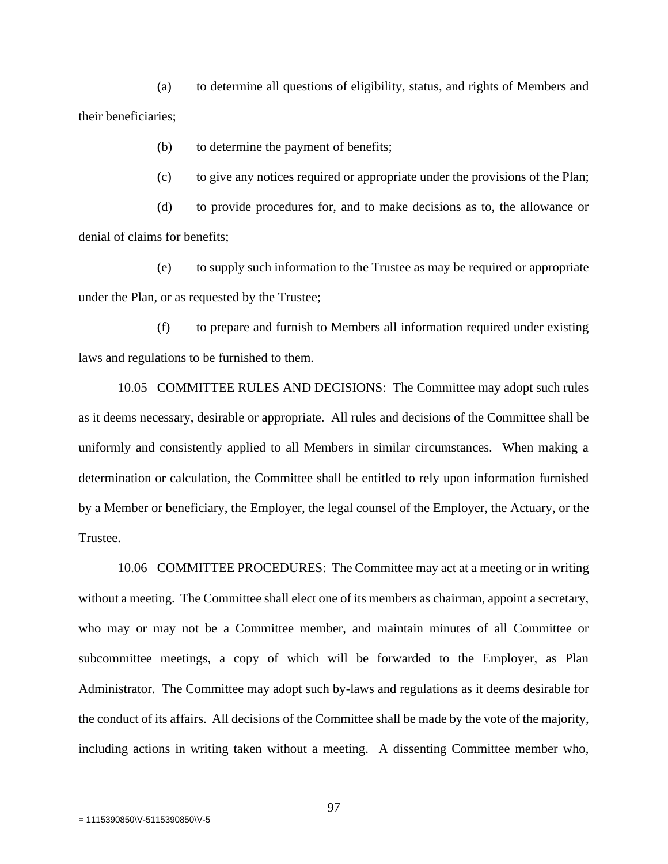(a) to determine all questions of eligibility, status, and rights of Members and their beneficiaries;

(b) to determine the payment of benefits;

(c) to give any notices required or appropriate under the provisions of the Plan;

(d) to provide procedures for, and to make decisions as to, the allowance or denial of claims for benefits;

(e) to supply such information to the Trustee as may be required or appropriate under the Plan, or as requested by the Trustee;

(f) to prepare and furnish to Members all information required under existing laws and regulations to be furnished to them.

10.05 COMMITTEE RULES AND DECISIONS: The Committee may adopt such rules as it deems necessary, desirable or appropriate. All rules and decisions of the Committee shall be uniformly and consistently applied to all Members in similar circumstances. When making a determination or calculation, the Committee shall be entitled to rely upon information furnished by a Member or beneficiary, the Employer, the legal counsel of the Employer, the Actuary, or the Trustee.

10.06 COMMITTEE PROCEDURES: The Committee may act at a meeting or in writing without a meeting. The Committee shall elect one of its members as chairman, appoint a secretary, who may or may not be a Committee member, and maintain minutes of all Committee or subcommittee meetings, a copy of which will be forwarded to the Employer, as Plan Administrator. The Committee may adopt such by-laws and regulations as it deems desirable for the conduct of its affairs. All decisions of the Committee shall be made by the vote of the majority, including actions in writing taken without a meeting. A dissenting Committee member who,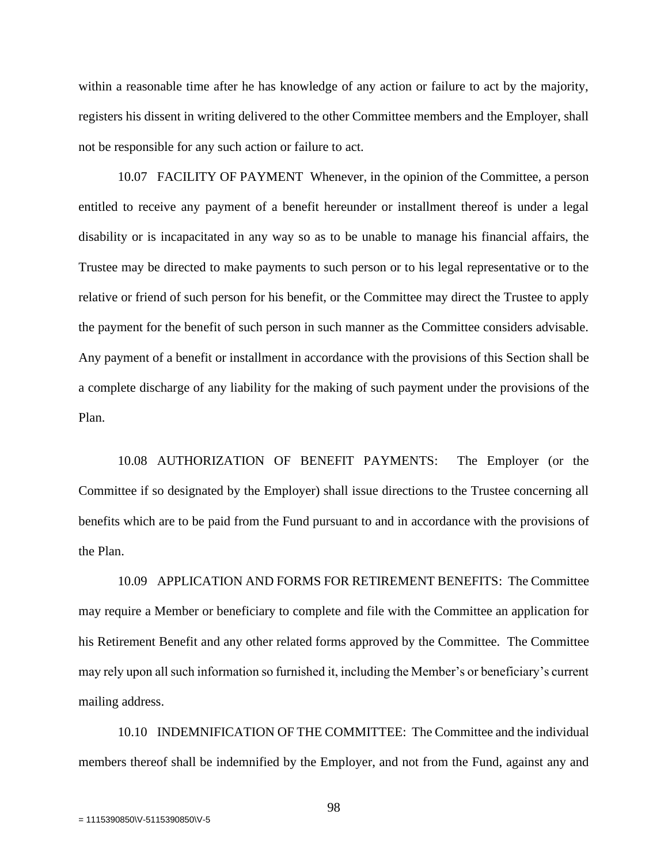within a reasonable time after he has knowledge of any action or failure to act by the majority, registers his dissent in writing delivered to the other Committee members and the Employer, shall not be responsible for any such action or failure to act.

10.07 FACILITY OF PAYMENT Whenever, in the opinion of the Committee, a person entitled to receive any payment of a benefit hereunder or installment thereof is under a legal disability or is incapacitated in any way so as to be unable to manage his financial affairs, the Trustee may be directed to make payments to such person or to his legal representative or to the relative or friend of such person for his benefit, or the Committee may direct the Trustee to apply the payment for the benefit of such person in such manner as the Committee considers advisable. Any payment of a benefit or installment in accordance with the provisions of this Section shall be a complete discharge of any liability for the making of such payment under the provisions of the Plan.

10.08 AUTHORIZATION OF BENEFIT PAYMENTS: The Employer (or the Committee if so designated by the Employer) shall issue directions to the Trustee concerning all benefits which are to be paid from the Fund pursuant to and in accordance with the provisions of the Plan.

10.09 APPLICATION AND FORMS FOR RETIREMENT BENEFITS: The Committee may require a Member or beneficiary to complete and file with the Committee an application for his Retirement Benefit and any other related forms approved by the Committee. The Committee may rely upon all such information so furnished it, including the Member's or beneficiary's current mailing address.

10.10 INDEMNIFICATION OF THE COMMITTEE: The Committee and the individual members thereof shall be indemnified by the Employer, and not from the Fund, against any and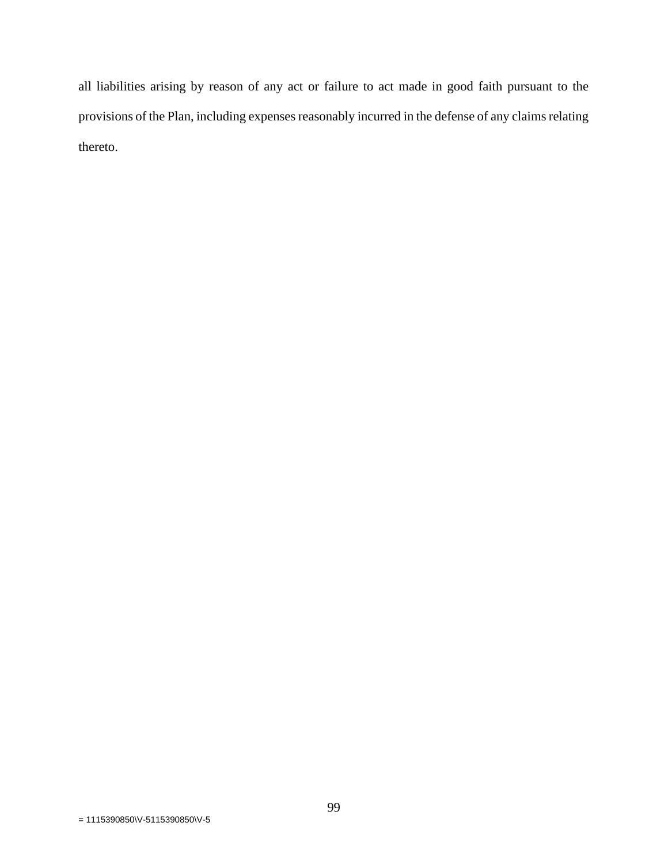all liabilities arising by reason of any act or failure to act made in good faith pursuant to the provisions of the Plan, including expenses reasonably incurred in the defense of any claims relating thereto.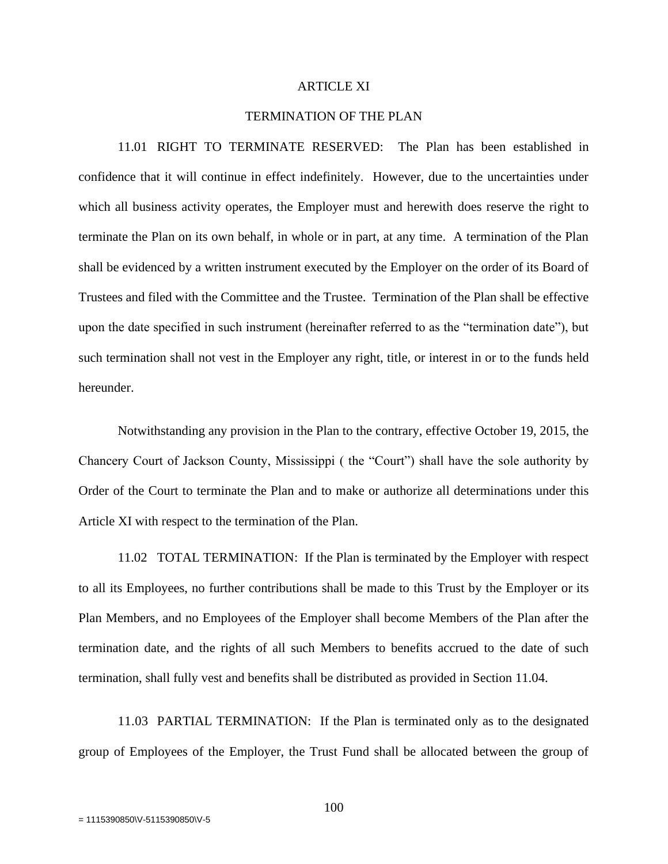#### ARTICLE XI

#### TERMINATION OF THE PLAN

11.01 RIGHT TO TERMINATE RESERVED: The Plan has been established in confidence that it will continue in effect indefinitely. However, due to the uncertainties under which all business activity operates, the Employer must and herewith does reserve the right to terminate the Plan on its own behalf, in whole or in part, at any time. A termination of the Plan shall be evidenced by a written instrument executed by the Employer on the order of its Board of Trustees and filed with the Committee and the Trustee. Termination of the Plan shall be effective upon the date specified in such instrument (hereinafter referred to as the "termination date"), but such termination shall not vest in the Employer any right, title, or interest in or to the funds held hereunder.

Notwithstanding any provision in the Plan to the contrary, effective October 19, 2015, the Chancery Court of Jackson County, Mississippi ( the "Court") shall have the sole authority by Order of the Court to terminate the Plan and to make or authorize all determinations under this Article XI with respect to the termination of the Plan.

11.02 TOTAL TERMINATION: If the Plan is terminated by the Employer with respect to all its Employees, no further contributions shall be made to this Trust by the Employer or its Plan Members, and no Employees of the Employer shall become Members of the Plan after the termination date, and the rights of all such Members to benefits accrued to the date of such termination, shall fully vest and benefits shall be distributed as provided in Section 11.04.

11.03 PARTIAL TERMINATION: If the Plan is terminated only as to the designated group of Employees of the Employer, the Trust Fund shall be allocated between the group of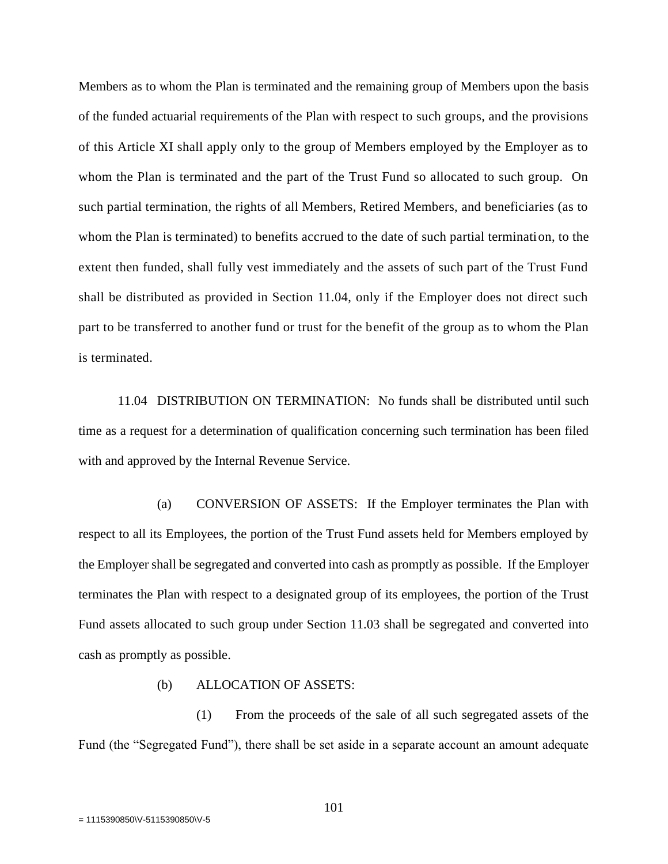Members as to whom the Plan is terminated and the remaining group of Members upon the basis of the funded actuarial requirements of the Plan with respect to such groups, and the provisions of this Article XI shall apply only to the group of Members employed by the Employer as to whom the Plan is terminated and the part of the Trust Fund so allocated to such group. On such partial termination, the rights of all Members, Retired Members, and beneficiaries (as to whom the Plan is terminated) to benefits accrued to the date of such partial termination, to the extent then funded, shall fully vest immediately and the assets of such part of the Trust Fund shall be distributed as provided in Section 11.04, only if the Employer does not direct such part to be transferred to another fund or trust for the benefit of the group as to whom the Plan is terminated.

11.04 DISTRIBUTION ON TERMINATION: No funds shall be distributed until such time as a request for a determination of qualification concerning such termination has been filed with and approved by the Internal Revenue Service.

(a) CONVERSION OF ASSETS: If the Employer terminates the Plan with respect to all its Employees, the portion of the Trust Fund assets held for Members employed by the Employer shall be segregated and converted into cash as promptly as possible. If the Employer terminates the Plan with respect to a designated group of its employees, the portion of the Trust Fund assets allocated to such group under Section 11.03 shall be segregated and converted into cash as promptly as possible.

### (b) ALLOCATION OF ASSETS:

(1) From the proceeds of the sale of all such segregated assets of the Fund (the "Segregated Fund"), there shall be set aside in a separate account an amount adequate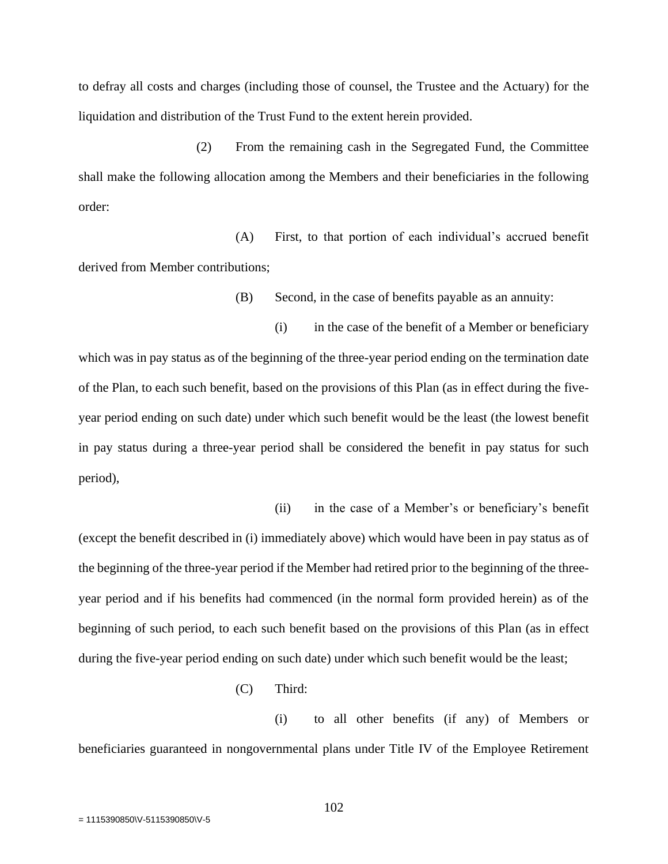to defray all costs and charges (including those of counsel, the Trustee and the Actuary) for the liquidation and distribution of the Trust Fund to the extent herein provided.

(2) From the remaining cash in the Segregated Fund, the Committee shall make the following allocation among the Members and their beneficiaries in the following order:

(A) First, to that portion of each individual's accrued benefit derived from Member contributions;

(B) Second, in the case of benefits payable as an annuity:

(i) in the case of the benefit of a Member or beneficiary which was in pay status as of the beginning of the three-year period ending on the termination date of the Plan, to each such benefit, based on the provisions of this Plan (as in effect during the fiveyear period ending on such date) under which such benefit would be the least (the lowest benefit in pay status during a three-year period shall be considered the benefit in pay status for such period),

(ii) in the case of a Member's or beneficiary's benefit (except the benefit described in (i) immediately above) which would have been in pay status as of the beginning of the three-year period if the Member had retired prior to the beginning of the threeyear period and if his benefits had commenced (in the normal form provided herein) as of the beginning of such period, to each such benefit based on the provisions of this Plan (as in effect during the five-year period ending on such date) under which such benefit would be the least;

(C) Third:

(i) to all other benefits (if any) of Members or beneficiaries guaranteed in nongovernmental plans under Title IV of the Employee Retirement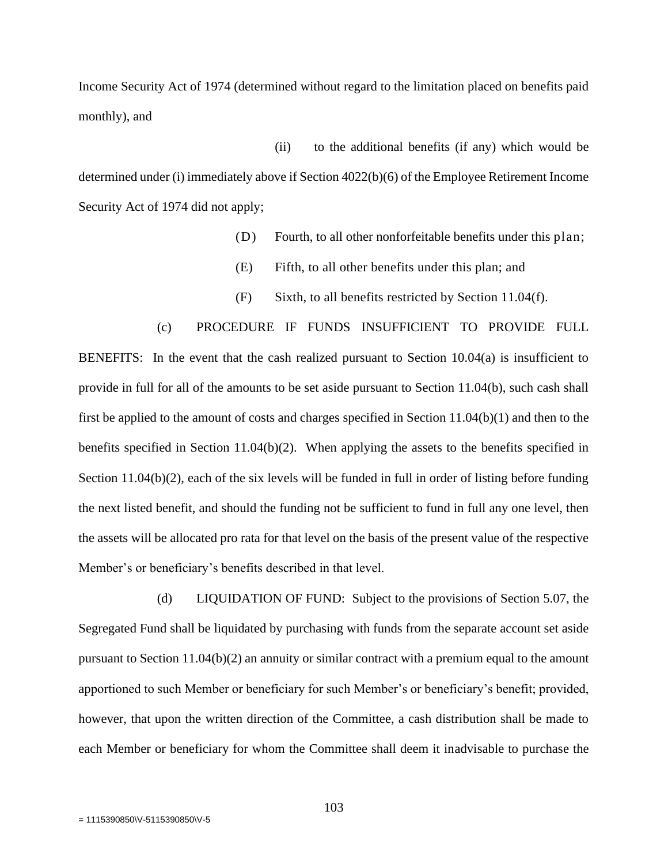Income Security Act of 1974 (determined without regard to the limitation placed on benefits paid monthly), and

(ii) to the additional benefits (if any) which would be determined under (i) immediately above if Section 4022(b)(6) of the Employee Retirement Income Security Act of 1974 did not apply;

- (D) Fourth, to all other nonforfeitable benefits under this plan;
- (E) Fifth, to all other benefits under this plan; and
- (F) Sixth, to all benefits restricted by Section 11.04(f).

(c) PROCEDURE IF FUNDS INSUFFICIENT TO PROVIDE FULL BENEFITS: In the event that the cash realized pursuant to Section 10.04(a) is insufficient to provide in full for all of the amounts to be set aside pursuant to Section 11.04(b), such cash shall first be applied to the amount of costs and charges specified in Section 11.04(b)(1) and then to the benefits specified in Section 11.04(b)(2). When applying the assets to the benefits specified in Section 11.04(b)(2), each of the six levels will be funded in full in order of listing before funding the next listed benefit, and should the funding not be sufficient to fund in full any one level, then the assets will be allocated pro rata for that level on the basis of the present value of the respective Member's or beneficiary's benefits described in that level.

(d) LIQUIDATION OF FUND: Subject to the provisions of Section 5.07, the Segregated Fund shall be liquidated by purchasing with funds from the separate account set aside pursuant to Section  $11.04(b)(2)$  an annuity or similar contract with a premium equal to the amount apportioned to such Member or beneficiary for such Member's or beneficiary's benefit; provided, however, that upon the written direction of the Committee, a cash distribution shall be made to each Member or beneficiary for whom the Committee shall deem it inadvisable to purchase the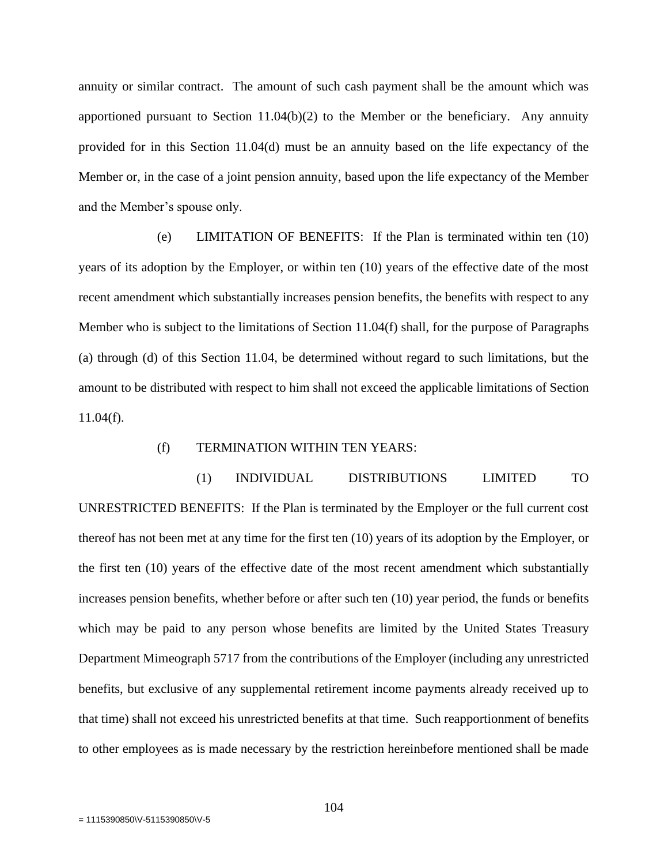annuity or similar contract. The amount of such cash payment shall be the amount which was apportioned pursuant to Section  $11.04(b)(2)$  to the Member or the beneficiary. Any annuity provided for in this Section 11.04(d) must be an annuity based on the life expectancy of the Member or, in the case of a joint pension annuity, based upon the life expectancy of the Member and the Member's spouse only.

(e) LIMITATION OF BENEFITS: If the Plan is terminated within ten (10) years of its adoption by the Employer, or within ten (10) years of the effective date of the most recent amendment which substantially increases pension benefits, the benefits with respect to any Member who is subject to the limitations of Section 11.04(f) shall, for the purpose of Paragraphs (a) through (d) of this Section 11.04, be determined without regard to such limitations, but the amount to be distributed with respect to him shall not exceed the applicable limitations of Section  $11.04(f)$ .

#### (f) TERMINATION WITHIN TEN YEARS:

(1) INDIVIDUAL DISTRIBUTIONS LIMITED TO UNRESTRICTED BENEFITS: If the Plan is terminated by the Employer or the full current cost thereof has not been met at any time for the first ten (10) years of its adoption by the Employer, or the first ten (10) years of the effective date of the most recent amendment which substantially increases pension benefits, whether before or after such ten (10) year period, the funds or benefits which may be paid to any person whose benefits are limited by the United States Treasury Department Mimeograph 5717 from the contributions of the Employer (including any unrestricted benefits, but exclusive of any supplemental retirement income payments already received up to that time) shall not exceed his unrestricted benefits at that time. Such reapportionment of benefits to other employees as is made necessary by the restriction hereinbefore mentioned shall be made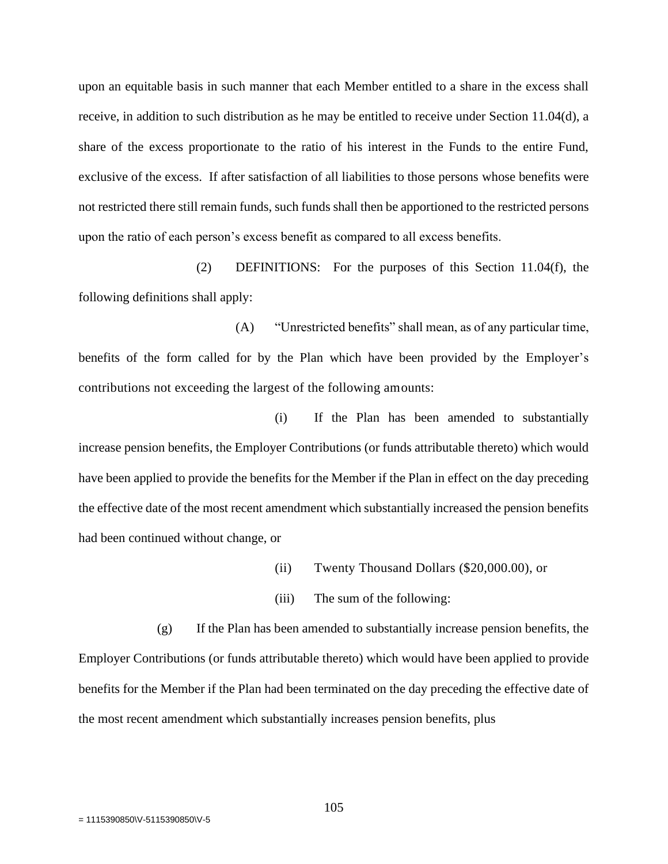upon an equitable basis in such manner that each Member entitled to a share in the excess shall receive, in addition to such distribution as he may be entitled to receive under Section 11.04(d), a share of the excess proportionate to the ratio of his interest in the Funds to the entire Fund, exclusive of the excess. If after satisfaction of all liabilities to those persons whose benefits were not restricted there still remain funds, such funds shall then be apportioned to the restricted persons upon the ratio of each person's excess benefit as compared to all excess benefits.

(2) DEFINITIONS: For the purposes of this Section 11.04(f), the following definitions shall apply:

(A) "Unrestricted benefits" shall mean, as of any particular time, benefits of the form called for by the Plan which have been provided by the Employer's contributions not exceeding the largest of the following amounts:

(i) If the Plan has been amended to substantially increase pension benefits, the Employer Contributions (or funds attributable thereto) which would have been applied to provide the benefits for the Member if the Plan in effect on the day preceding the effective date of the most recent amendment which substantially increased the pension benefits had been continued without change, or

- (ii) Twenty Thousand Dollars (\$20,000.00), or
- (iii) The sum of the following:

(g) If the Plan has been amended to substantially increase pension benefits, the Employer Contributions (or funds attributable thereto) which would have been applied to provide benefits for the Member if the Plan had been terminated on the day preceding the effective date of the most recent amendment which substantially increases pension benefits, plus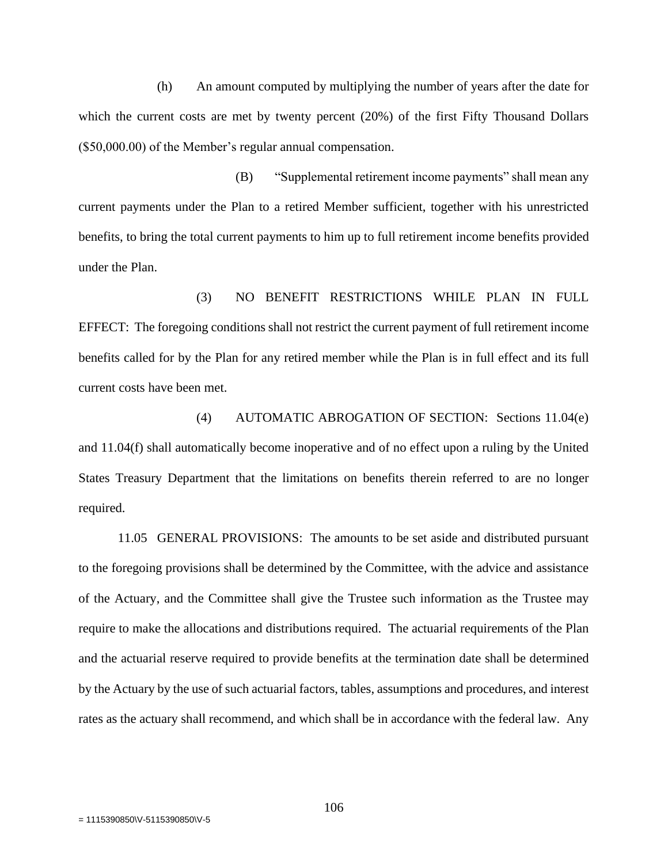(h) An amount computed by multiplying the number of years after the date for which the current costs are met by twenty percent (20%) of the first Fifty Thousand Dollars (\$50,000.00) of the Member's regular annual compensation.

(B) "Supplemental retirement income payments" shall mean any current payments under the Plan to a retired Member sufficient, together with his unrestricted benefits, to bring the total current payments to him up to full retirement income benefits provided under the Plan.

(3) NO BENEFIT RESTRICTIONS WHILE PLAN IN FULL EFFECT: The foregoing conditions shall not restrict the current payment of full retirement income benefits called for by the Plan for any retired member while the Plan is in full effect and its full current costs have been met.

(4) AUTOMATIC ABROGATION OF SECTION: Sections 11.04(e) and 11.04(f) shall automatically become inoperative and of no effect upon a ruling by the United States Treasury Department that the limitations on benefits therein referred to are no longer required.

11.05 GENERAL PROVISIONS: The amounts to be set aside and distributed pursuant to the foregoing provisions shall be determined by the Committee, with the advice and assistance of the Actuary, and the Committee shall give the Trustee such information as the Trustee may require to make the allocations and distributions required. The actuarial requirements of the Plan and the actuarial reserve required to provide benefits at the termination date shall be determined by the Actuary by the use of such actuarial factors, tables, assumptions and procedures, and interest rates as the actuary shall recommend, and which shall be in accordance with the federal law. Any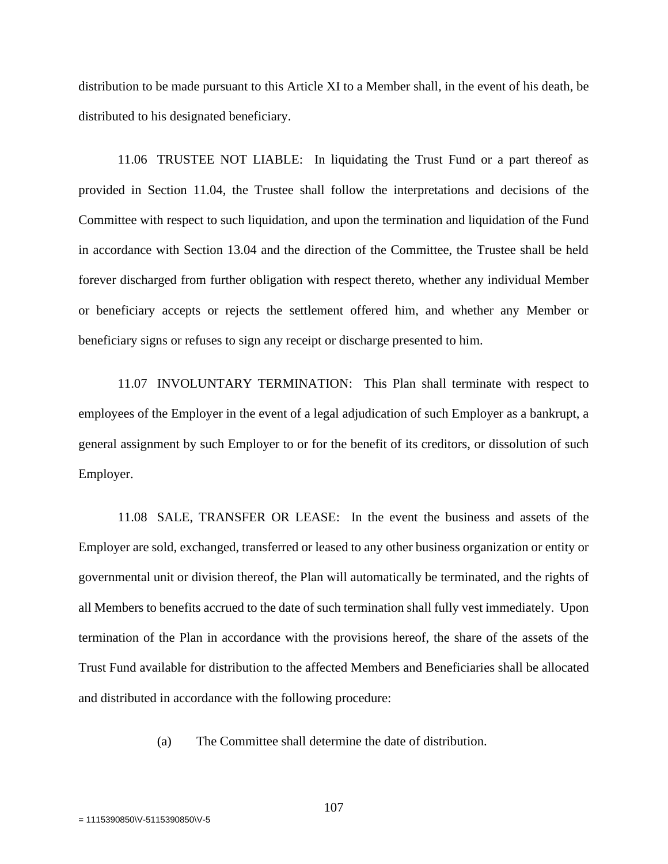distribution to be made pursuant to this Article XI to a Member shall, in the event of his death, be distributed to his designated beneficiary.

11.06 TRUSTEE NOT LIABLE: In liquidating the Trust Fund or a part thereof as provided in Section 11.04, the Trustee shall follow the interpretations and decisions of the Committee with respect to such liquidation, and upon the termination and liquidation of the Fund in accordance with Section 13.04 and the direction of the Committee, the Trustee shall be held forever discharged from further obligation with respect thereto, whether any individual Member or beneficiary accepts or rejects the settlement offered him, and whether any Member or beneficiary signs or refuses to sign any receipt or discharge presented to him.

11.07 INVOLUNTARY TERMINATION: This Plan shall terminate with respect to employees of the Employer in the event of a legal adjudication of such Employer as a bankrupt, a general assignment by such Employer to or for the benefit of its creditors, or dissolution of such Employer.

11.08 SALE, TRANSFER OR LEASE: In the event the business and assets of the Employer are sold, exchanged, transferred or leased to any other business organization or entity or governmental unit or division thereof, the Plan will automatically be terminated, and the rights of all Members to benefits accrued to the date of such termination shall fully vest immediately. Upon termination of the Plan in accordance with the provisions hereof, the share of the assets of the Trust Fund available for distribution to the affected Members and Beneficiaries shall be allocated and distributed in accordance with the following procedure:

(a) The Committee shall determine the date of distribution.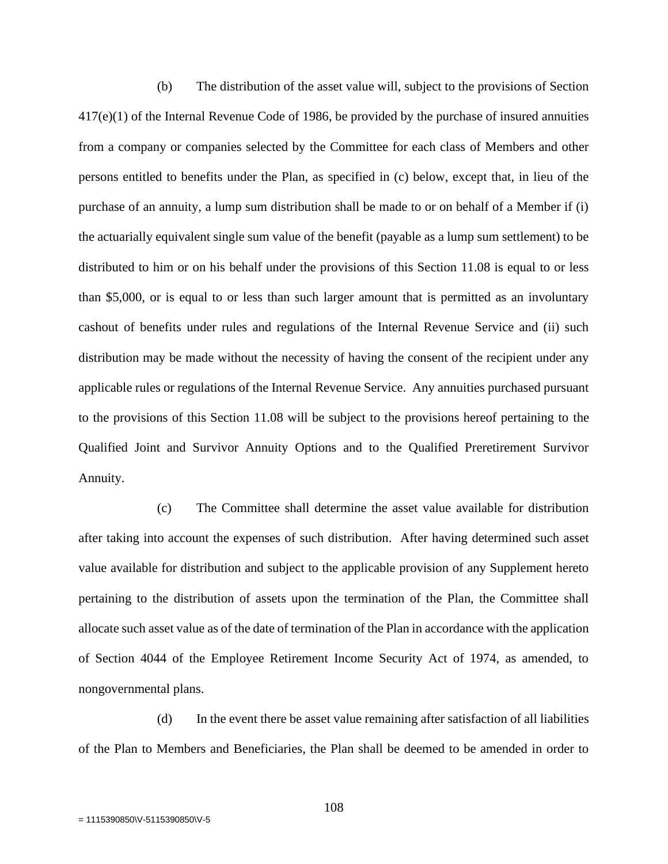(b) The distribution of the asset value will, subject to the provisions of Section 417(e)(1) of the Internal Revenue Code of 1986, be provided by the purchase of insured annuities from a company or companies selected by the Committee for each class of Members and other persons entitled to benefits under the Plan, as specified in (c) below, except that, in lieu of the purchase of an annuity, a lump sum distribution shall be made to or on behalf of a Member if (i) the actuarially equivalent single sum value of the benefit (payable as a lump sum settlement) to be distributed to him or on his behalf under the provisions of this Section 11.08 is equal to or less than \$5,000, or is equal to or less than such larger amount that is permitted as an involuntary cashout of benefits under rules and regulations of the Internal Revenue Service and (ii) such distribution may be made without the necessity of having the consent of the recipient under any applicable rules or regulations of the Internal Revenue Service. Any annuities purchased pursuant to the provisions of this Section 11.08 will be subject to the provisions hereof pertaining to the Qualified Joint and Survivor Annuity Options and to the Qualified Preretirement Survivor Annuity.

(c) The Committee shall determine the asset value available for distribution after taking into account the expenses of such distribution. After having determined such asset value available for distribution and subject to the applicable provision of any Supplement hereto pertaining to the distribution of assets upon the termination of the Plan, the Committee shall allocate such asset value as of the date of termination of the Plan in accordance with the application of Section 4044 of the Employee Retirement Income Security Act of 1974, as amended, to nongovernmental plans.

(d) In the event there be asset value remaining after satisfaction of all liabilities of the Plan to Members and Beneficiaries, the Plan shall be deemed to be amended in order to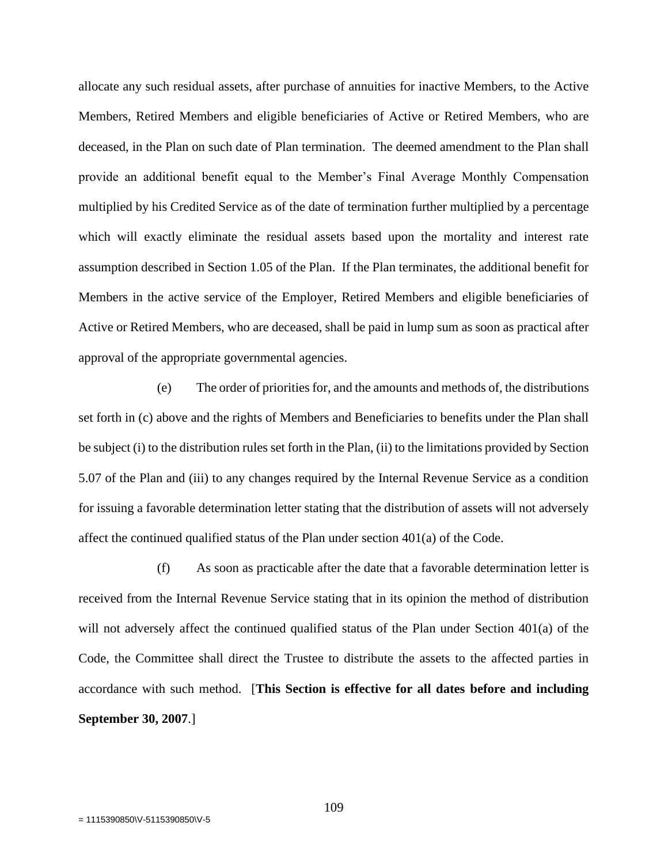allocate any such residual assets, after purchase of annuities for inactive Members, to the Active Members, Retired Members and eligible beneficiaries of Active or Retired Members, who are deceased, in the Plan on such date of Plan termination. The deemed amendment to the Plan shall provide an additional benefit equal to the Member's Final Average Monthly Compensation multiplied by his Credited Service as of the date of termination further multiplied by a percentage which will exactly eliminate the residual assets based upon the mortality and interest rate assumption described in Section 1.05 of the Plan. If the Plan terminates, the additional benefit for Members in the active service of the Employer, Retired Members and eligible beneficiaries of Active or Retired Members, who are deceased, shall be paid in lump sum as soon as practical after approval of the appropriate governmental agencies.

(e) The order of priorities for, and the amounts and methods of, the distributions set forth in (c) above and the rights of Members and Beneficiaries to benefits under the Plan shall be subject (i) to the distribution rules set forth in the Plan, (ii) to the limitations provided by Section 5.07 of the Plan and (iii) to any changes required by the Internal Revenue Service as a condition for issuing a favorable determination letter stating that the distribution of assets will not adversely affect the continued qualified status of the Plan under section 401(a) of the Code.

(f) As soon as practicable after the date that a favorable determination letter is received from the Internal Revenue Service stating that in its opinion the method of distribution will not adversely affect the continued qualified status of the Plan under Section 401(a) of the Code, the Committee shall direct the Trustee to distribute the assets to the affected parties in accordance with such method. [**This Section is effective for all dates before and including September 30, 2007**.]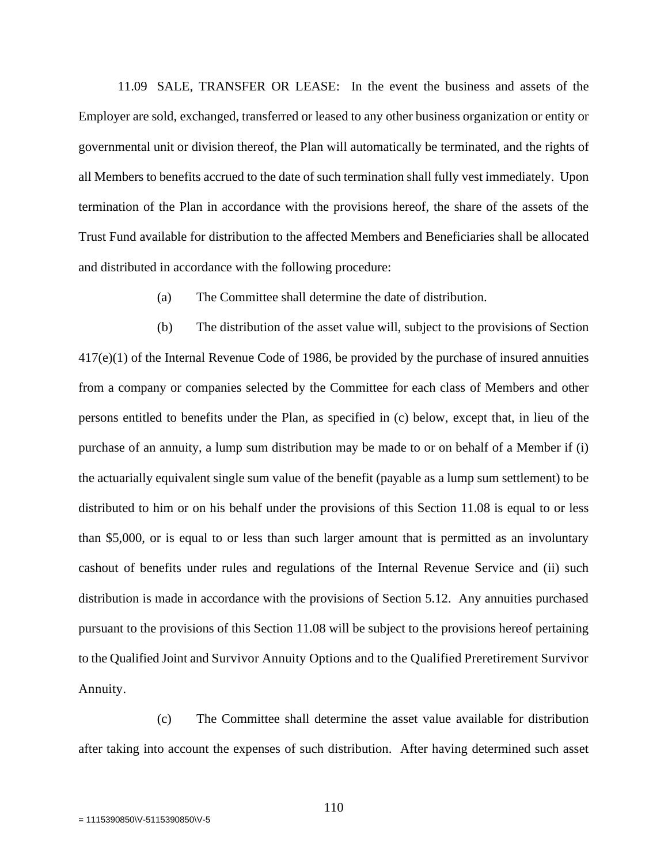11.09 SALE, TRANSFER OR LEASE: In the event the business and assets of the Employer are sold, exchanged, transferred or leased to any other business organization or entity or governmental unit or division thereof, the Plan will automatically be terminated, and the rights of all Members to benefits accrued to the date of such termination shall fully vest immediately. Upon termination of the Plan in accordance with the provisions hereof, the share of the assets of the Trust Fund available for distribution to the affected Members and Beneficiaries shall be allocated and distributed in accordance with the following procedure:

(a) The Committee shall determine the date of distribution.

(b) The distribution of the asset value will, subject to the provisions of Section 417(e)(1) of the Internal Revenue Code of 1986, be provided by the purchase of insured annuities from a company or companies selected by the Committee for each class of Members and other persons entitled to benefits under the Plan, as specified in (c) below, except that, in lieu of the purchase of an annuity, a lump sum distribution may be made to or on behalf of a Member if (i) the actuarially equivalent single sum value of the benefit (payable as a lump sum settlement) to be distributed to him or on his behalf under the provisions of this Section 11.08 is equal to or less than \$5,000, or is equal to or less than such larger amount that is permitted as an involuntary cashout of benefits under rules and regulations of the Internal Revenue Service and (ii) such distribution is made in accordance with the provisions of Section 5.12. Any annuities purchased pursuant to the provisions of this Section 11.08 will be subject to the provisions hereof pertaining to the Qualified Joint and Survivor Annuity Options and to the Qualified Preretirement Survivor Annuity.

(c) The Committee shall determine the asset value available for distribution after taking into account the expenses of such distribution. After having determined such asset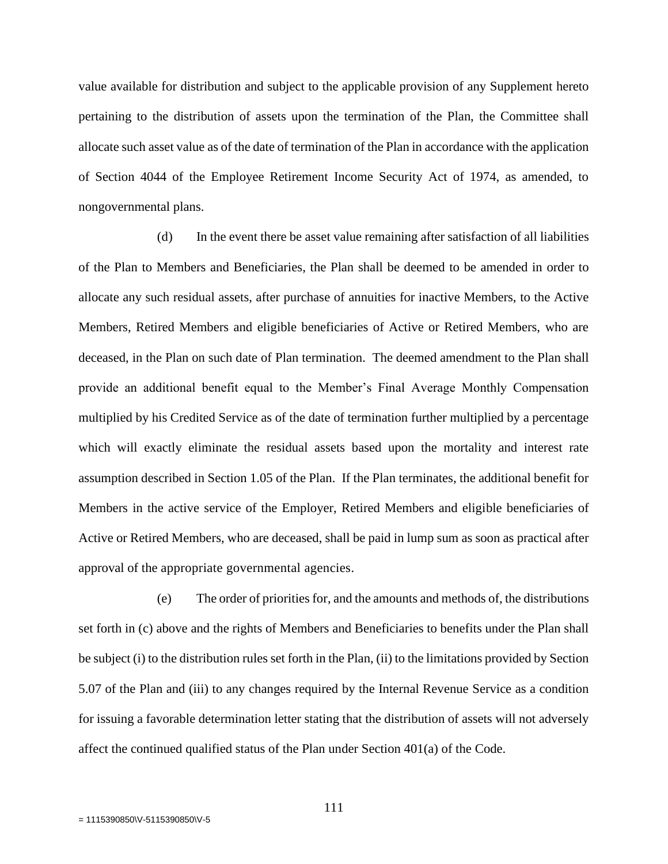value available for distribution and subject to the applicable provision of any Supplement hereto pertaining to the distribution of assets upon the termination of the Plan, the Committee shall allocate such asset value as of the date of termination of the Plan in accordance with the application of Section 4044 of the Employee Retirement Income Security Act of 1974, as amended, to nongovernmental plans.

(d) In the event there be asset value remaining after satisfaction of all liabilities of the Plan to Members and Beneficiaries, the Plan shall be deemed to be amended in order to allocate any such residual assets, after purchase of annuities for inactive Members, to the Active Members, Retired Members and eligible beneficiaries of Active or Retired Members, who are deceased, in the Plan on such date of Plan termination. The deemed amendment to the Plan shall provide an additional benefit equal to the Member's Final Average Monthly Compensation multiplied by his Credited Service as of the date of termination further multiplied by a percentage which will exactly eliminate the residual assets based upon the mortality and interest rate assumption described in Section 1.05 of the Plan. If the Plan terminates, the additional benefit for Members in the active service of the Employer, Retired Members and eligible beneficiaries of Active or Retired Members, who are deceased, shall be paid in lump sum as soon as practical after approval of the appropriate governmental agencies.

(e) The order of priorities for, and the amounts and methods of, the distributions set forth in (c) above and the rights of Members and Beneficiaries to benefits under the Plan shall be subject (i) to the distribution rules set forth in the Plan, (ii) to the limitations provided by Section 5.07 of the Plan and (iii) to any changes required by the Internal Revenue Service as a condition for issuing a favorable determination letter stating that the distribution of assets will not adversely affect the continued qualified status of the Plan under Section 401(a) of the Code.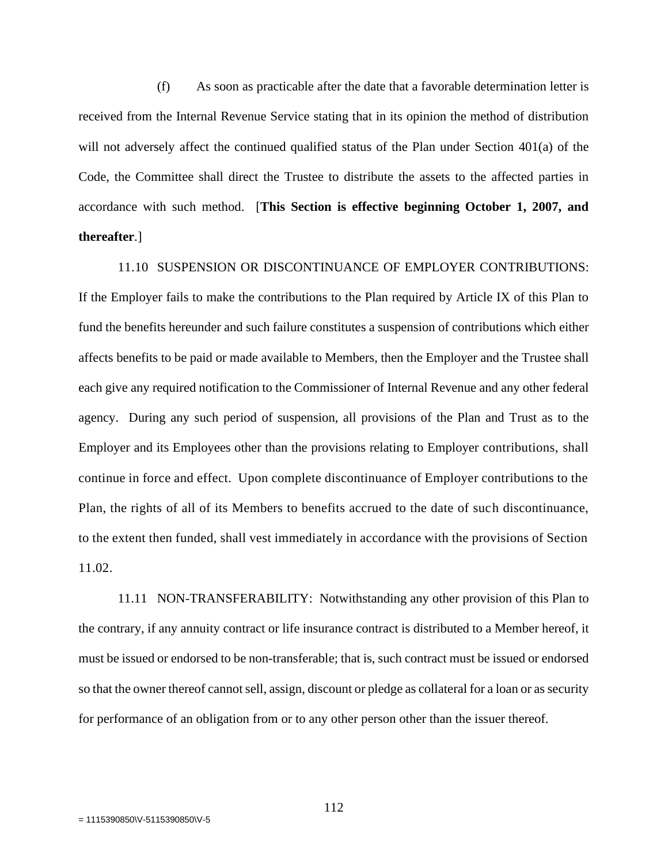(f) As soon as practicable after the date that a favorable determination letter is received from the Internal Revenue Service stating that in its opinion the method of distribution will not adversely affect the continued qualified status of the Plan under Section 401(a) of the Code, the Committee shall direct the Trustee to distribute the assets to the affected parties in accordance with such method. [**This Section is effective beginning October 1, 2007, and thereafter**.]

11.10 SUSPENSION OR DISCONTINUANCE OF EMPLOYER CONTRIBUTIONS: If the Employer fails to make the contributions to the Plan required by Article IX of this Plan to fund the benefits hereunder and such failure constitutes a suspension of contributions which either affects benefits to be paid or made available to Members, then the Employer and the Trustee shall each give any required notification to the Commissioner of Internal Revenue and any other federal agency. During any such period of suspension, all provisions of the Plan and Trust as to the Employer and its Employees other than the provisions relating to Employer contributions, shall continue in force and effect. Upon complete discontinuance of Employer contributions to the Plan, the rights of all of its Members to benefits accrued to the date of such discontinuance, to the extent then funded, shall vest immediately in accordance with the provisions of Section 11.02.

11.11 NON-TRANSFERABILITY: Notwithstanding any other provision of this Plan to the contrary, if any annuity contract or life insurance contract is distributed to a Member hereof, it must be issued or endorsed to be non-transferable; that is, such contract must be issued or endorsed so that the owner thereof cannot sell, assign, discount or pledge as collateral for a loan or as security for performance of an obligation from or to any other person other than the issuer thereof.

112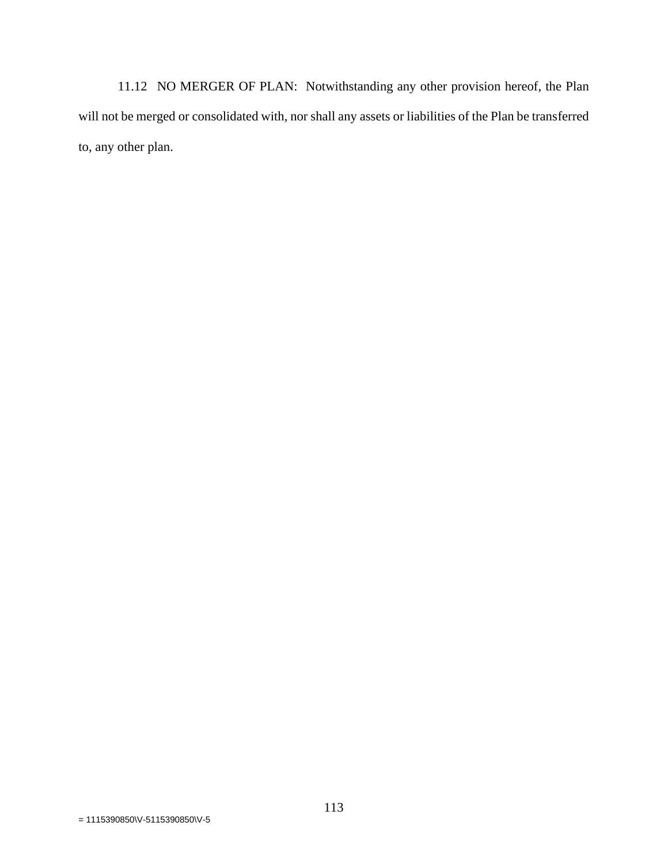11.12 NO MERGER OF PLAN: Notwithstanding any other provision hereof, the Plan will not be merged or consolidated with, nor shall any assets or liabilities of the Plan be transferred to, any other plan.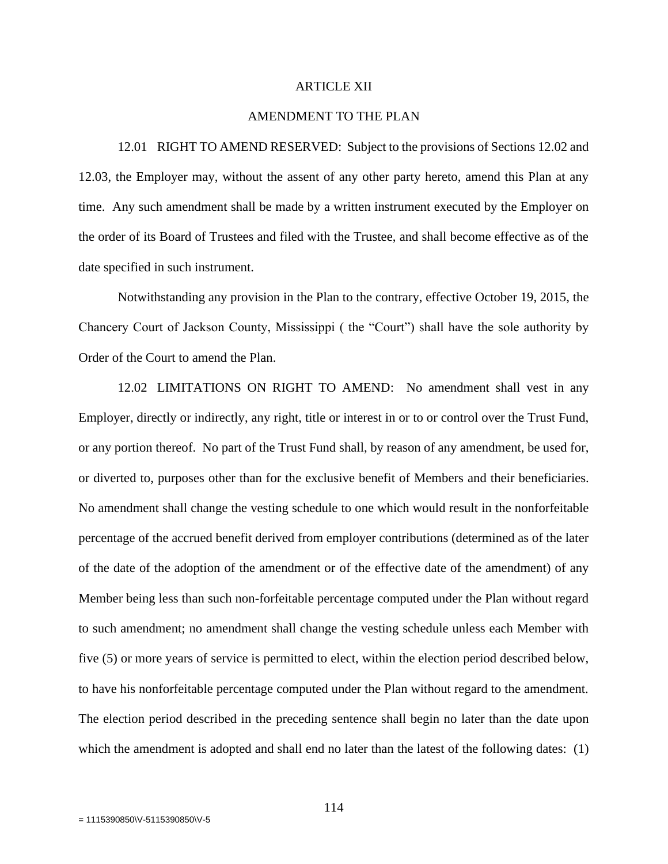#### ARTICLE XII

## AMENDMENT TO THE PLAN

12.01 RIGHT TO AMEND RESERVED: Subject to the provisions of Sections 12.02 and 12.03, the Employer may, without the assent of any other party hereto, amend this Plan at any time. Any such amendment shall be made by a written instrument executed by the Employer on the order of its Board of Trustees and filed with the Trustee, and shall become effective as of the date specified in such instrument.

Notwithstanding any provision in the Plan to the contrary, effective October 19, 2015, the Chancery Court of Jackson County, Mississippi ( the "Court") shall have the sole authority by Order of the Court to amend the Plan.

12.02 LIMITATIONS ON RIGHT TO AMEND: No amendment shall vest in any Employer, directly or indirectly, any right, title or interest in or to or control over the Trust Fund, or any portion thereof. No part of the Trust Fund shall, by reason of any amendment, be used for, or diverted to, purposes other than for the exclusive benefit of Members and their beneficiaries. No amendment shall change the vesting schedule to one which would result in the nonforfeitable percentage of the accrued benefit derived from employer contributions (determined as of the later of the date of the adoption of the amendment or of the effective date of the amendment) of any Member being less than such non-forfeitable percentage computed under the Plan without regard to such amendment; no amendment shall change the vesting schedule unless each Member with five (5) or more years of service is permitted to elect, within the election period described below, to have his nonforfeitable percentage computed under the Plan without regard to the amendment. The election period described in the preceding sentence shall begin no later than the date upon which the amendment is adopted and shall end no later than the latest of the following dates: (1)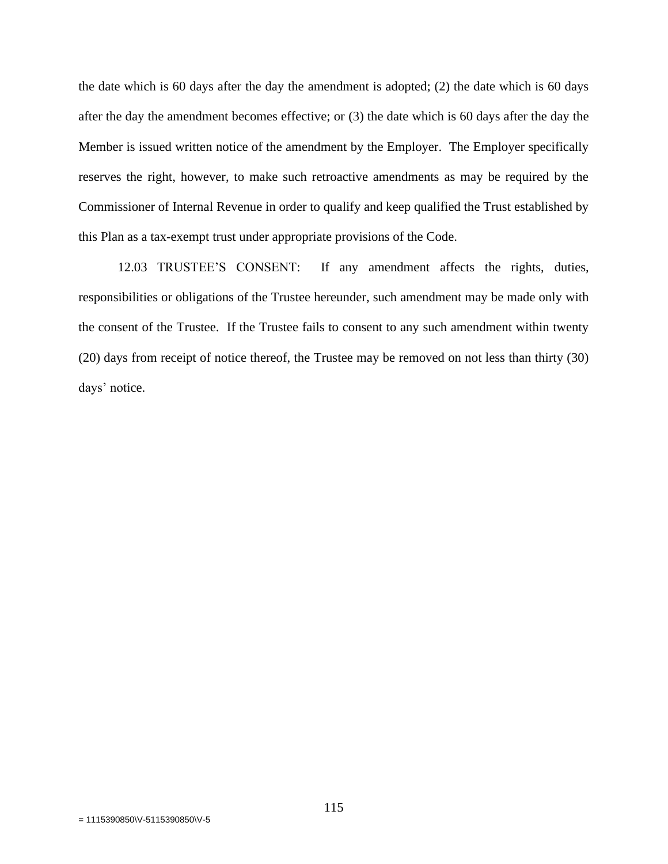the date which is 60 days after the day the amendment is adopted; (2) the date which is 60 days after the day the amendment becomes effective; or (3) the date which is 60 days after the day the Member is issued written notice of the amendment by the Employer. The Employer specifically reserves the right, however, to make such retroactive amendments as may be required by the Commissioner of Internal Revenue in order to qualify and keep qualified the Trust established by this Plan as a tax-exempt trust under appropriate provisions of the Code.

12.03 TRUSTEE'S CONSENT: If any amendment affects the rights, duties, responsibilities or obligations of the Trustee hereunder, such amendment may be made only with the consent of the Trustee. If the Trustee fails to consent to any such amendment within twenty (20) days from receipt of notice thereof, the Trustee may be removed on not less than thirty (30) days' notice.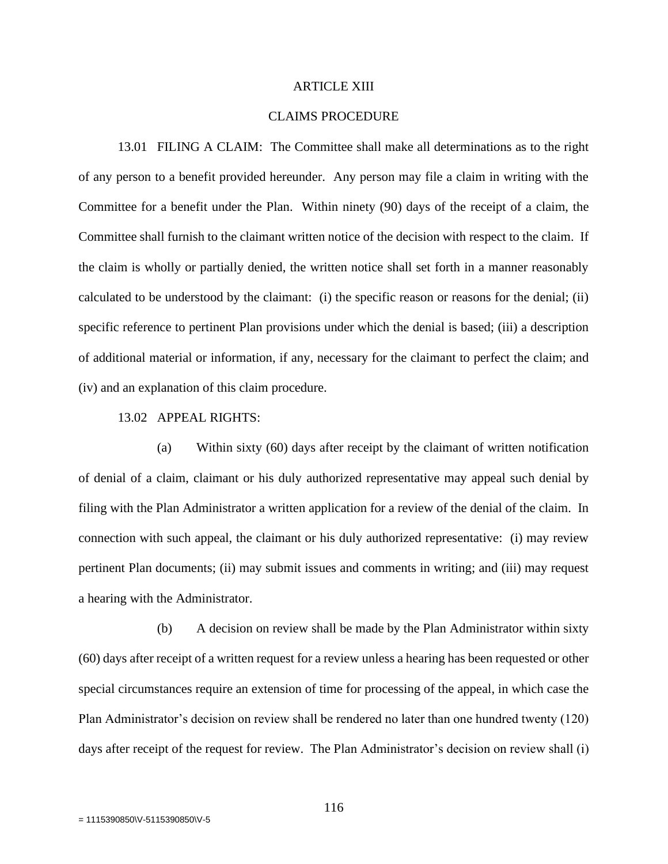#### ARTICLE XIII

# CLAIMS PROCEDURE

13.01 FILING A CLAIM: The Committee shall make all determinations as to the right of any person to a benefit provided hereunder. Any person may file a claim in writing with the Committee for a benefit under the Plan. Within ninety (90) days of the receipt of a claim, the Committee shall furnish to the claimant written notice of the decision with respect to the claim. If the claim is wholly or partially denied, the written notice shall set forth in a manner reasonably calculated to be understood by the claimant: (i) the specific reason or reasons for the denial; (ii) specific reference to pertinent Plan provisions under which the denial is based; (iii) a description of additional material or information, if any, necessary for the claimant to perfect the claim; and (iv) and an explanation of this claim procedure.

## 13.02 APPEAL RIGHTS:

(a) Within sixty (60) days after receipt by the claimant of written notification of denial of a claim, claimant or his duly authorized representative may appeal such denial by filing with the Plan Administrator a written application for a review of the denial of the claim. In connection with such appeal, the claimant or his duly authorized representative: (i) may review pertinent Plan documents; (ii) may submit issues and comments in writing; and (iii) may request a hearing with the Administrator.

(b) A decision on review shall be made by the Plan Administrator within sixty (60) days after receipt of a written request for a review unless a hearing has been requested or other special circumstances require an extension of time for processing of the appeal, in which case the Plan Administrator's decision on review shall be rendered no later than one hundred twenty (120) days after receipt of the request for review. The Plan Administrator's decision on review shall (i)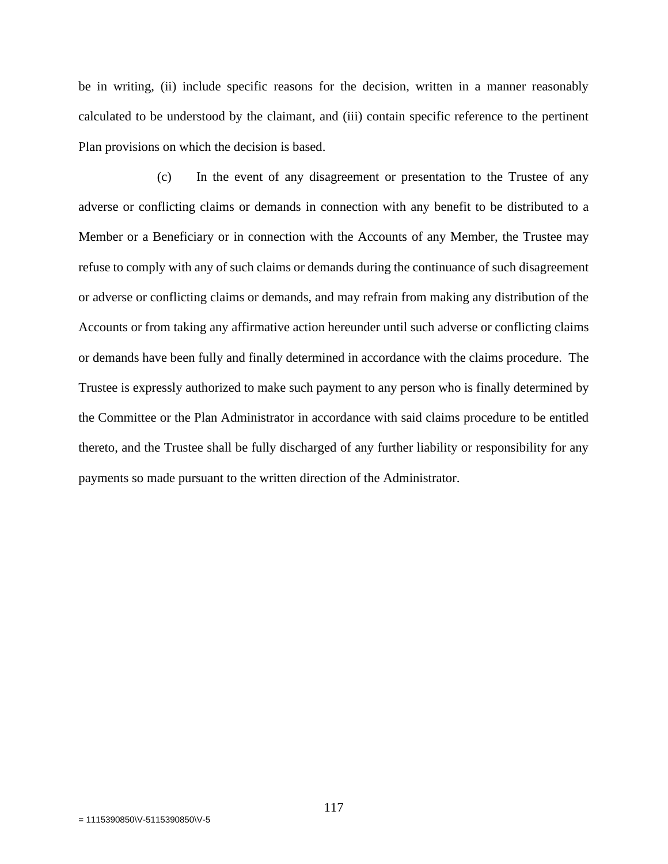be in writing, (ii) include specific reasons for the decision, written in a manner reasonably calculated to be understood by the claimant, and (iii) contain specific reference to the pertinent Plan provisions on which the decision is based.

(c) In the event of any disagreement or presentation to the Trustee of any adverse or conflicting claims or demands in connection with any benefit to be distributed to a Member or a Beneficiary or in connection with the Accounts of any Member, the Trustee may refuse to comply with any of such claims or demands during the continuance of such disagreement or adverse or conflicting claims or demands, and may refrain from making any distribution of the Accounts or from taking any affirmative action hereunder until such adverse or conflicting claims or demands have been fully and finally determined in accordance with the claims procedure. The Trustee is expressly authorized to make such payment to any person who is finally determined by the Committee or the Plan Administrator in accordance with said claims procedure to be entitled thereto, and the Trustee shall be fully discharged of any further liability or responsibility for any payments so made pursuant to the written direction of the Administrator.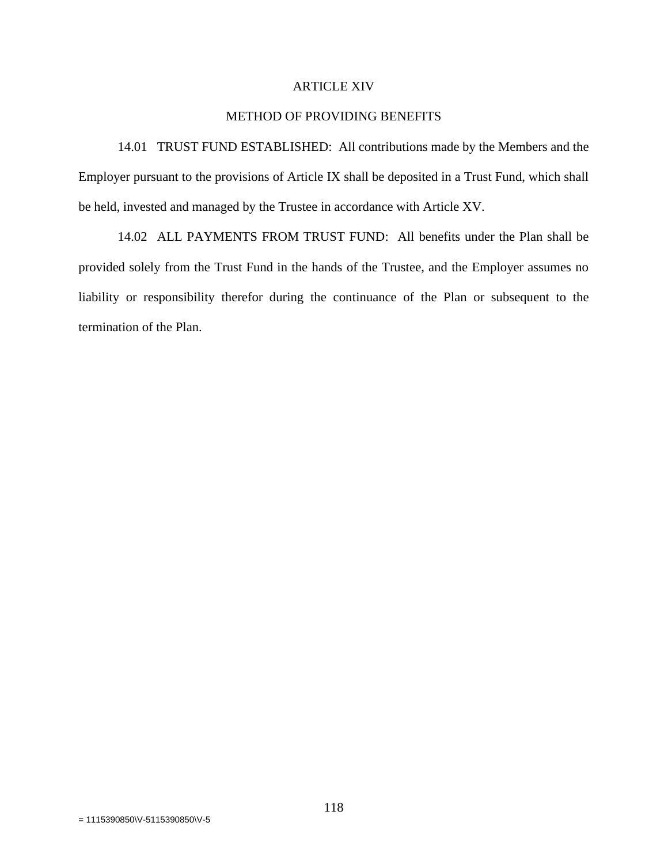## ARTICLE XIV

# METHOD OF PROVIDING BENEFITS

14.01 TRUST FUND ESTABLISHED: All contributions made by the Members and the Employer pursuant to the provisions of Article IX shall be deposited in a Trust Fund, which shall be held, invested and managed by the Trustee in accordance with Article XV.

14.02 ALL PAYMENTS FROM TRUST FUND: All benefits under the Plan shall be provided solely from the Trust Fund in the hands of the Trustee, and the Employer assumes no liability or responsibility therefor during the continuance of the Plan or subsequent to the termination of the Plan.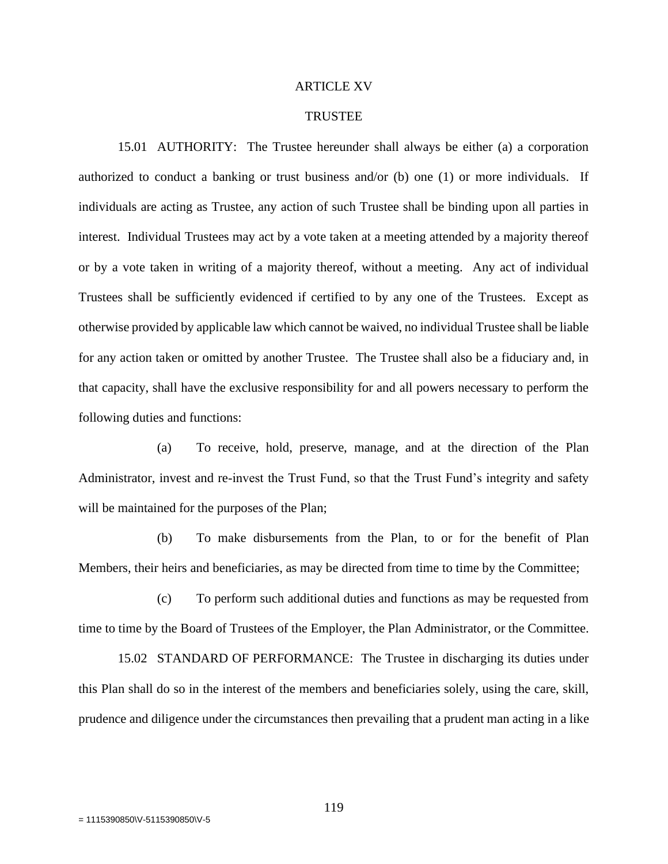#### ARTICLE XV

#### TRUSTEE

15.01 AUTHORITY: The Trustee hereunder shall always be either (a) a corporation authorized to conduct a banking or trust business and/or (b) one (1) or more individuals. If individuals are acting as Trustee, any action of such Trustee shall be binding upon all parties in interest. Individual Trustees may act by a vote taken at a meeting attended by a majority thereof or by a vote taken in writing of a majority thereof, without a meeting. Any act of individual Trustees shall be sufficiently evidenced if certified to by any one of the Trustees. Except as otherwise provided by applicable law which cannot be waived, no individual Trustee shall be liable for any action taken or omitted by another Trustee. The Trustee shall also be a fiduciary and, in that capacity, shall have the exclusive responsibility for and all powers necessary to perform the following duties and functions:

(a) To receive, hold, preserve, manage, and at the direction of the Plan Administrator, invest and re-invest the Trust Fund, so that the Trust Fund's integrity and safety will be maintained for the purposes of the Plan;

(b) To make disbursements from the Plan, to or for the benefit of Plan Members, their heirs and beneficiaries, as may be directed from time to time by the Committee;

(c) To perform such additional duties and functions as may be requested from time to time by the Board of Trustees of the Employer, the Plan Administrator, or the Committee.

15.02 STANDARD OF PERFORMANCE: The Trustee in discharging its duties under this Plan shall do so in the interest of the members and beneficiaries solely, using the care, skill, prudence and diligence under the circumstances then prevailing that a prudent man acting in a like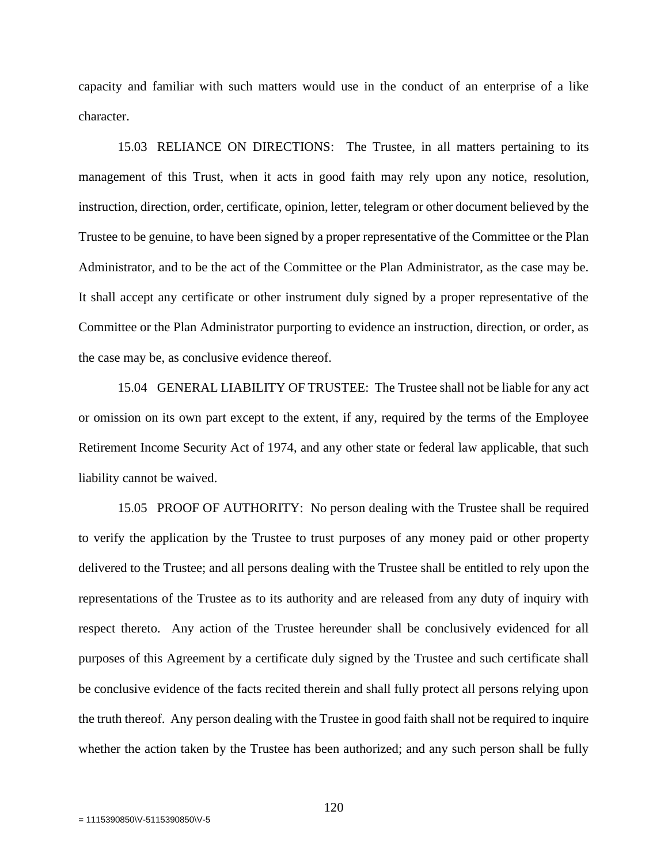capacity and familiar with such matters would use in the conduct of an enterprise of a like character.

15.03 RELIANCE ON DIRECTIONS: The Trustee, in all matters pertaining to its management of this Trust, when it acts in good faith may rely upon any notice, resolution, instruction, direction, order, certificate, opinion, letter, telegram or other document believed by the Trustee to be genuine, to have been signed by a proper representative of the Committee or the Plan Administrator, and to be the act of the Committee or the Plan Administrator, as the case may be. It shall accept any certificate or other instrument duly signed by a proper representative of the Committee or the Plan Administrator purporting to evidence an instruction, direction, or order, as the case may be, as conclusive evidence thereof.

15.04 GENERAL LIABILITY OF TRUSTEE: The Trustee shall not be liable for any act or omission on its own part except to the extent, if any, required by the terms of the Employee Retirement Income Security Act of 1974, and any other state or federal law applicable, that such liability cannot be waived.

15.05 PROOF OF AUTHORITY: No person dealing with the Trustee shall be required to verify the application by the Trustee to trust purposes of any money paid or other property delivered to the Trustee; and all persons dealing with the Trustee shall be entitled to rely upon the representations of the Trustee as to its authority and are released from any duty of inquiry with respect thereto. Any action of the Trustee hereunder shall be conclusively evidenced for all purposes of this Agreement by a certificate duly signed by the Trustee and such certificate shall be conclusive evidence of the facts recited therein and shall fully protect all persons relying upon the truth thereof. Any person dealing with the Trustee in good faith shall not be required to inquire whether the action taken by the Trustee has been authorized; and any such person shall be fully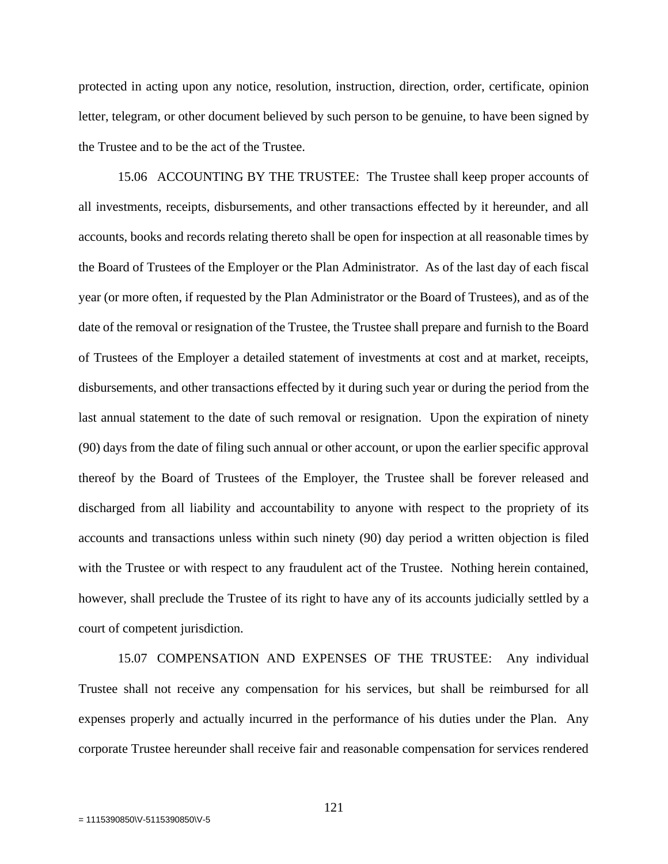protected in acting upon any notice, resolution, instruction, direction, order, certificate, opinion letter, telegram, or other document believed by such person to be genuine, to have been signed by the Trustee and to be the act of the Trustee.

15.06 ACCOUNTING BY THE TRUSTEE: The Trustee shall keep proper accounts of all investments, receipts, disbursements, and other transactions effected by it hereunder, and all accounts, books and records relating thereto shall be open for inspection at all reasonable times by the Board of Trustees of the Employer or the Plan Administrator. As of the last day of each fiscal year (or more often, if requested by the Plan Administrator or the Board of Trustees), and as of the date of the removal or resignation of the Trustee, the Trustee shall prepare and furnish to the Board of Trustees of the Employer a detailed statement of investments at cost and at market, receipts, disbursements, and other transactions effected by it during such year or during the period from the last annual statement to the date of such removal or resignation. Upon the expiration of ninety (90) days from the date of filing such annual or other account, or upon the earlier specific approval thereof by the Board of Trustees of the Employer, the Trustee shall be forever released and discharged from all liability and accountability to anyone with respect to the propriety of its accounts and transactions unless within such ninety (90) day period a written objection is filed with the Trustee or with respect to any fraudulent act of the Trustee. Nothing herein contained, however, shall preclude the Trustee of its right to have any of its accounts judicially settled by a court of competent jurisdiction.

15.07 COMPENSATION AND EXPENSES OF THE TRUSTEE: Any individual Trustee shall not receive any compensation for his services, but shall be reimbursed for all expenses properly and actually incurred in the performance of his duties under the Plan. Any corporate Trustee hereunder shall receive fair and reasonable compensation for services rendered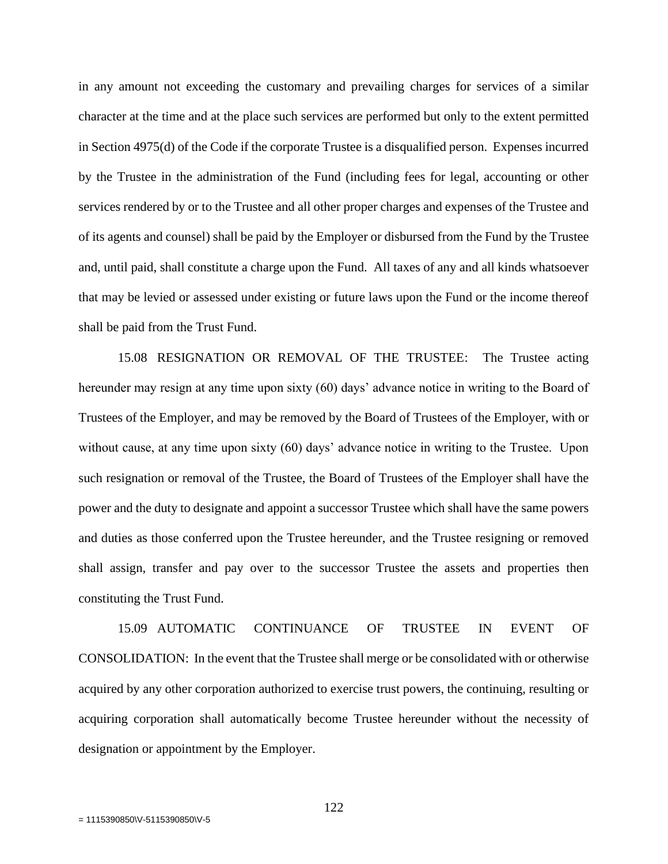in any amount not exceeding the customary and prevailing charges for services of a similar character at the time and at the place such services are performed but only to the extent permitted in Section 4975(d) of the Code if the corporate Trustee is a disqualified person. Expenses incurred by the Trustee in the administration of the Fund (including fees for legal, accounting or other services rendered by or to the Trustee and all other proper charges and expenses of the Trustee and of its agents and counsel) shall be paid by the Employer or disbursed from the Fund by the Trustee and, until paid, shall constitute a charge upon the Fund. All taxes of any and all kinds whatsoever that may be levied or assessed under existing or future laws upon the Fund or the income thereof shall be paid from the Trust Fund.

15.08 RESIGNATION OR REMOVAL OF THE TRUSTEE: The Trustee acting hereunder may resign at any time upon sixty (60) days' advance notice in writing to the Board of Trustees of the Employer, and may be removed by the Board of Trustees of the Employer, with or without cause, at any time upon sixty (60) days' advance notice in writing to the Trustee. Upon such resignation or removal of the Trustee, the Board of Trustees of the Employer shall have the power and the duty to designate and appoint a successor Trustee which shall have the same powers and duties as those conferred upon the Trustee hereunder, and the Trustee resigning or removed shall assign, transfer and pay over to the successor Trustee the assets and properties then constituting the Trust Fund.

15.09 AUTOMATIC CONTINUANCE OF TRUSTEE IN EVENT OF CONSOLIDATION: In the event that the Trustee shall merge or be consolidated with or otherwise acquired by any other corporation authorized to exercise trust powers, the continuing, resulting or acquiring corporation shall automatically become Trustee hereunder without the necessity of designation or appointment by the Employer.

122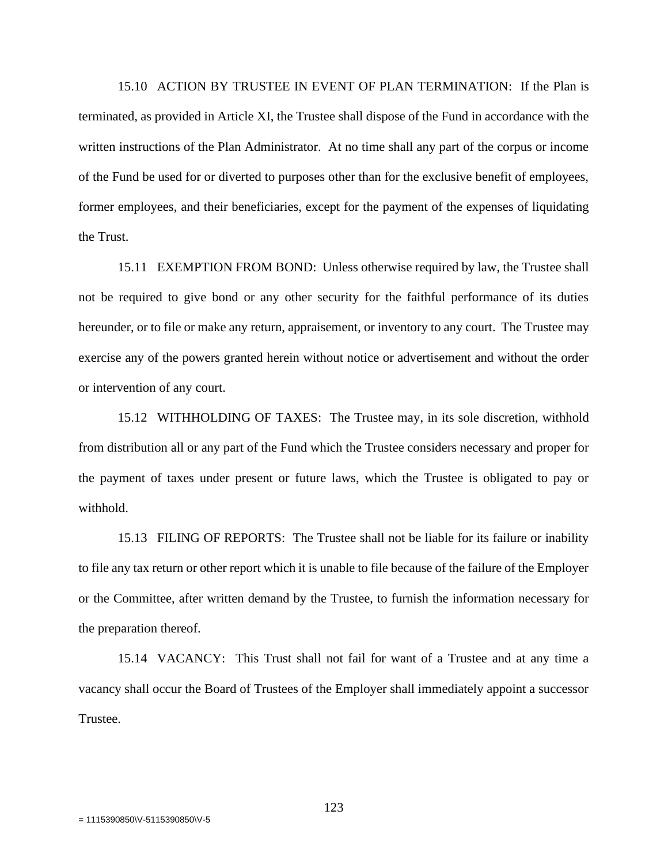15.10 ACTION BY TRUSTEE IN EVENT OF PLAN TERMINATION: If the Plan is terminated, as provided in Article XI, the Trustee shall dispose of the Fund in accordance with the written instructions of the Plan Administrator. At no time shall any part of the corpus or income of the Fund be used for or diverted to purposes other than for the exclusive benefit of employees, former employees, and their beneficiaries, except for the payment of the expenses of liquidating the Trust.

15.11 EXEMPTION FROM BOND: Unless otherwise required by law, the Trustee shall not be required to give bond or any other security for the faithful performance of its duties hereunder, or to file or make any return, appraisement, or inventory to any court. The Trustee may exercise any of the powers granted herein without notice or advertisement and without the order or intervention of any court.

15.12 WITHHOLDING OF TAXES: The Trustee may, in its sole discretion, withhold from distribution all or any part of the Fund which the Trustee considers necessary and proper for the payment of taxes under present or future laws, which the Trustee is obligated to pay or withhold.

15.13 FILING OF REPORTS: The Trustee shall not be liable for its failure or inability to file any tax return or other report which it is unable to file because of the failure of the Employer or the Committee, after written demand by the Trustee, to furnish the information necessary for the preparation thereof.

15.14 VACANCY: This Trust shall not fail for want of a Trustee and at any time a vacancy shall occur the Board of Trustees of the Employer shall immediately appoint a successor Trustee.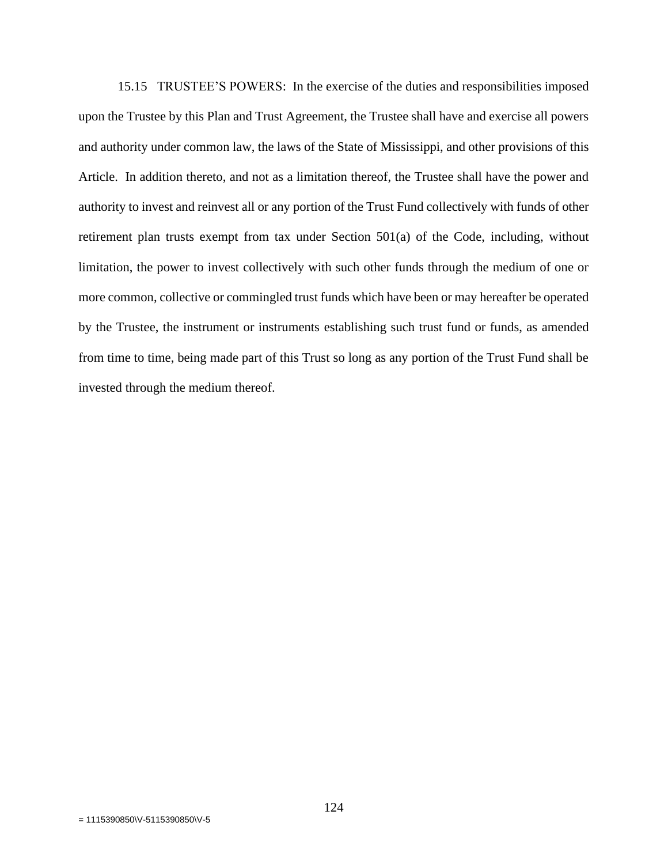15.15 TRUSTEE'S POWERS: In the exercise of the duties and responsibilities imposed upon the Trustee by this Plan and Trust Agreement, the Trustee shall have and exercise all powers and authority under common law, the laws of the State of Mississippi, and other provisions of this Article. In addition thereto, and not as a limitation thereof, the Trustee shall have the power and authority to invest and reinvest all or any portion of the Trust Fund collectively with funds of other retirement plan trusts exempt from tax under Section 501(a) of the Code, including, without limitation, the power to invest collectively with such other funds through the medium of one or more common, collective or commingled trust funds which have been or may hereafter be operated by the Trustee, the instrument or instruments establishing such trust fund or funds, as amended from time to time, being made part of this Trust so long as any portion of the Trust Fund shall be invested through the medium thereof.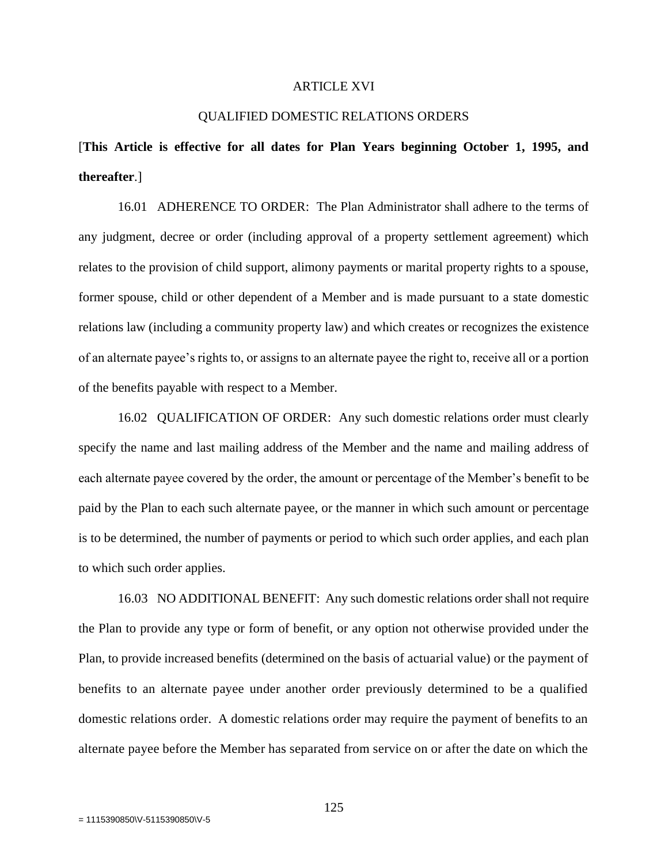#### ARTICLE XVI

#### QUALIFIED DOMESTIC RELATIONS ORDERS

# [**This Article is effective for all dates for Plan Years beginning October 1, 1995, and thereafter**.]

16.01 ADHERENCE TO ORDER: The Plan Administrator shall adhere to the terms of any judgment, decree or order (including approval of a property settlement agreement) which relates to the provision of child support, alimony payments or marital property rights to a spouse, former spouse, child or other dependent of a Member and is made pursuant to a state domestic relations law (including a community property law) and which creates or recognizes the existence of an alternate payee's rights to, or assigns to an alternate payee the right to, receive all or a portion of the benefits payable with respect to a Member.

16.02 QUALIFICATION OF ORDER: Any such domestic relations order must clearly specify the name and last mailing address of the Member and the name and mailing address of each alternate payee covered by the order, the amount or percentage of the Member's benefit to be paid by the Plan to each such alternate payee, or the manner in which such amount or percentage is to be determined, the number of payments or period to which such order applies, and each plan to which such order applies.

16.03 NO ADDITIONAL BENEFIT: Any such domestic relations order shall not require the Plan to provide any type or form of benefit, or any option not otherwise provided under the Plan, to provide increased benefits (determined on the basis of actuarial value) or the payment of benefits to an alternate payee under another order previously determined to be a qualified domestic relations order. A domestic relations order may require the payment of benefits to an alternate payee before the Member has separated from service on or after the date on which the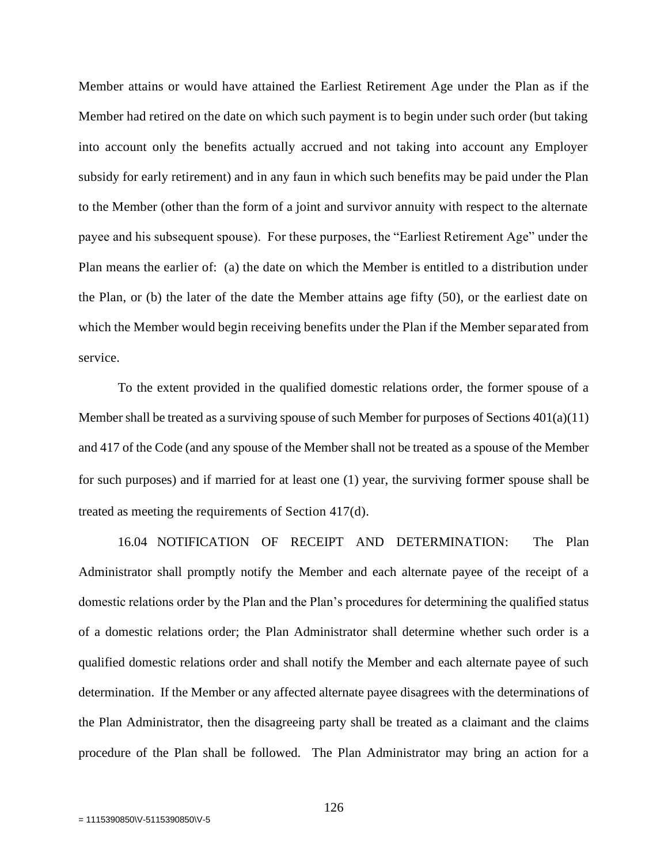Member attains or would have attained the Earliest Retirement Age under the Plan as if the Member had retired on the date on which such payment is to begin under such order (but taking into account only the benefits actually accrued and not taking into account any Employer subsidy for early retirement) and in any faun in which such benefits may be paid under the Plan to the Member (other than the form of a joint and survivor annuity with respect to the alternate payee and his subsequent spouse). For these purposes, the "Earliest Retirement Age" under the Plan means the earlier of: (a) the date on which the Member is entitled to a distribution under the Plan, or (b) the later of the date the Member attains age fifty (50), or the earliest date on which the Member would begin receiving benefits under the Plan if the Member separated from service.

To the extent provided in the qualified domestic relations order, the former spouse of a Member shall be treated as a surviving spouse of such Member for purposes of Sections 401(a)(11) and 417 of the Code (and any spouse of the Member shall not be treated as a spouse of the Member for such purposes) and if married for at least one (1) year, the surviving former spouse shall be treated as meeting the requirements of Section 417(d).

16.04 NOTIFICATION OF RECEIPT AND DETERMINATION: The Plan Administrator shall promptly notify the Member and each alternate payee of the receipt of a domestic relations order by the Plan and the Plan's procedures for determining the qualified status of a domestic relations order; the Plan Administrator shall determine whether such order is a qualified domestic relations order and shall notify the Member and each alternate payee of such determination. If the Member or any affected alternate payee disagrees with the determinations of the Plan Administrator, then the disagreeing party shall be treated as a claimant and the claims procedure of the Plan shall be followed. The Plan Administrator may bring an action for a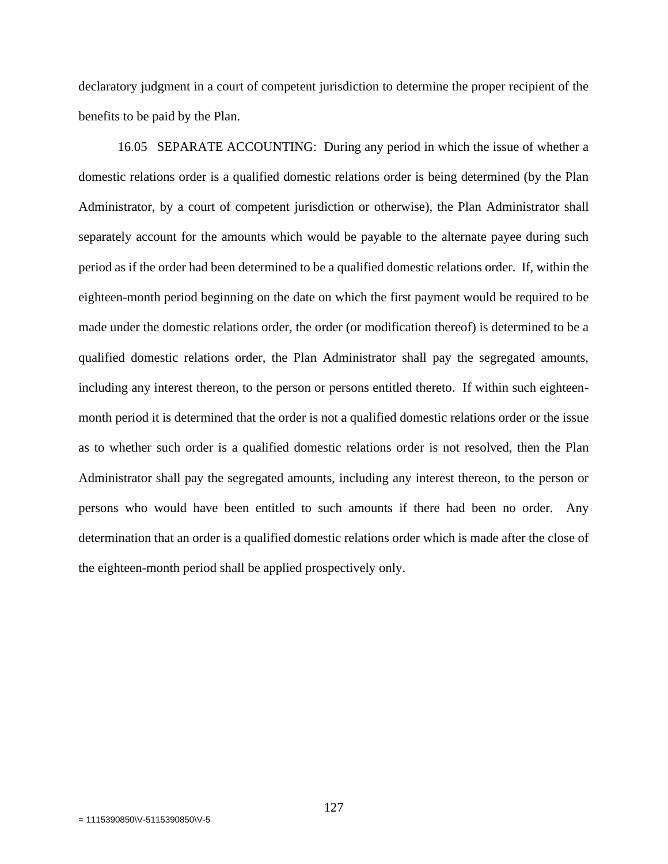declaratory judgment in a court of competent jurisdiction to determine the proper recipient of the benefits to be paid by the Plan.

16.05 SEPARATE ACCOUNTING: During any period in which the issue of whether a domestic relations order is a qualified domestic relations order is being determined (by the Plan Administrator, by a court of competent jurisdiction or otherwise), the Plan Administrator shall separately account for the amounts which would be payable to the alternate payee during such period as if the order had been determined to be a qualified domestic relations order. If, within the eighteen-month period beginning on the date on which the first payment would be required to be made under the domestic relations order, the order (or modification thereof) is determined to be a qualified domestic relations order, the Plan Administrator shall pay the segregated amounts, including any interest thereon, to the person or persons entitled thereto. If within such eighteenmonth period it is determined that the order is not a qualified domestic relations order or the issue as to whether such order is a qualified domestic relations order is not resolved, then the Plan Administrator shall pay the segregated amounts, including any interest thereon, to the person or persons who would have been entitled to such amounts if there had been no order. Any determination that an order is a qualified domestic relations order which is made after the close of the eighteen-month period shall be applied prospectively only.

127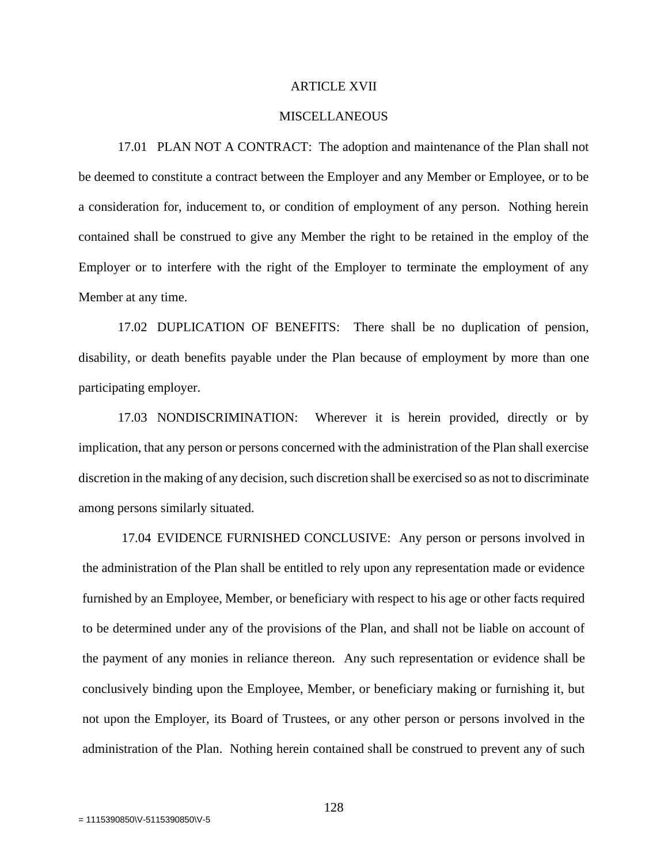#### ARTICLE XVII

#### MISCELLANEOUS

17.01 PLAN NOT A CONTRACT: The adoption and maintenance of the Plan shall not be deemed to constitute a contract between the Employer and any Member or Employee, or to be a consideration for, inducement to, or condition of employment of any person. Nothing herein contained shall be construed to give any Member the right to be retained in the employ of the Employer or to interfere with the right of the Employer to terminate the employment of any Member at any time.

17.02 DUPLICATION OF BENEFITS: There shall be no duplication of pension, disability, or death benefits payable under the Plan because of employment by more than one participating employer.

17.03 NONDISCRIMINATION: Wherever it is herein provided, directly or by implication, that any person or persons concerned with the administration of the Plan shall exercise discretion in the making of any decision, such discretion shall be exercised so as not to discriminate among persons similarly situated.

17.04 EVIDENCE FURNISHED CONCLUSIVE: Any person or persons involved in the administration of the Plan shall be entitled to rely upon any representation made or evidence furnished by an Employee, Member, or beneficiary with respect to his age or other facts required to be determined under any of the provisions of the Plan, and shall not be liable on account of the payment of any monies in reliance thereon. Any such representation or evidence shall be conclusively binding upon the Employee, Member, or beneficiary making or furnishing it, but not upon the Employer, its Board of Trustees, or any other person or persons involved in the administration of the Plan. Nothing herein contained shall be construed to prevent any of such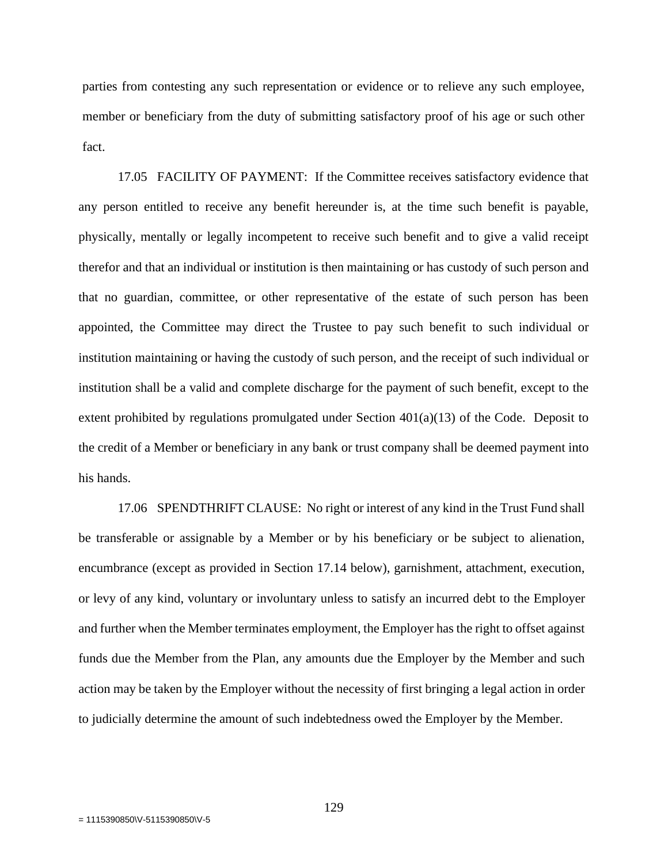parties from contesting any such representation or evidence or to relieve any such employee, member or beneficiary from the duty of submitting satisfactory proof of his age or such other fact.

17.05 FACILITY OF PAYMENT: If the Committee receives satisfactory evidence that any person entitled to receive any benefit hereunder is, at the time such benefit is payable, physically, mentally or legally incompetent to receive such benefit and to give a valid receipt therefor and that an individual or institution is then maintaining or has custody of such person and that no guardian, committee, or other representative of the estate of such person has been appointed, the Committee may direct the Trustee to pay such benefit to such individual or institution maintaining or having the custody of such person, and the receipt of such individual or institution shall be a valid and complete discharge for the payment of such benefit, except to the extent prohibited by regulations promulgated under Section  $401(a)(13)$  of the Code. Deposit to the credit of a Member or beneficiary in any bank or trust company shall be deemed payment into his hands.

17.06 SPENDTHRIFT CLAUSE: No right or interest of any kind in the Trust Fund shall be transferable or assignable by a Member or by his beneficiary or be subject to alienation, encumbrance (except as provided in Section 17.14 below), garnishment, attachment, execution, or levy of any kind, voluntary or involuntary unless to satisfy an incurred debt to the Employer and further when the Member terminates employment, the Employer has the right to offset against funds due the Member from the Plan, any amounts due the Employer by the Member and such action may be taken by the Employer without the necessity of first bringing a legal action in order to judicially determine the amount of such indebtedness owed the Employer by the Member.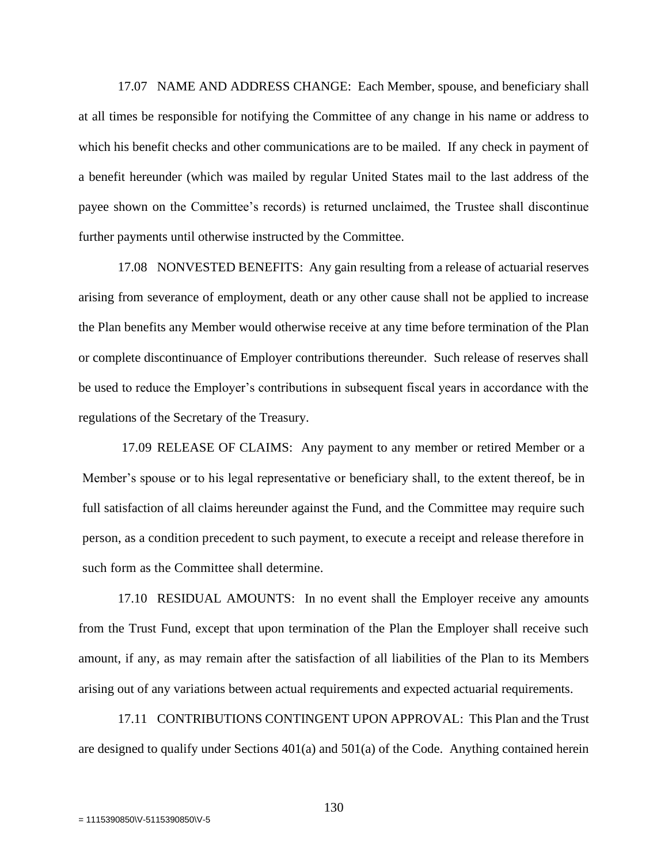17.07 NAME AND ADDRESS CHANGE: Each Member, spouse, and beneficiary shall at all times be responsible for notifying the Committee of any change in his name or address to which his benefit checks and other communications are to be mailed. If any check in payment of a benefit hereunder (which was mailed by regular United States mail to the last address of the payee shown on the Committee's records) is returned unclaimed, the Trustee shall discontinue further payments until otherwise instructed by the Committee.

17.08 NONVESTED BENEFITS: Any gain resulting from a release of actuarial reserves arising from severance of employment, death or any other cause shall not be applied to increase the Plan benefits any Member would otherwise receive at any time before termination of the Plan or complete discontinuance of Employer contributions thereunder. Such release of reserves shall be used to reduce the Employer's contributions in subsequent fiscal years in accordance with the regulations of the Secretary of the Treasury.

17.09 RELEASE OF CLAIMS: Any payment to any member or retired Member or a Member's spouse or to his legal representative or beneficiary shall, to the extent thereof, be in full satisfaction of all claims hereunder against the Fund, and the Committee may require such person, as a condition precedent to such payment, to execute a receipt and release therefore in such form as the Committee shall determine.

17.10 RESIDUAL AMOUNTS: In no event shall the Employer receive any amounts from the Trust Fund, except that upon termination of the Plan the Employer shall receive such amount, if any, as may remain after the satisfaction of all liabilities of the Plan to its Members arising out of any variations between actual requirements and expected actuarial requirements.

17.11 CONTRIBUTIONS CONTINGENT UPON APPROVAL: This Plan and the Trust are designed to qualify under Sections 401(a) and 501(a) of the Code. Anything contained herein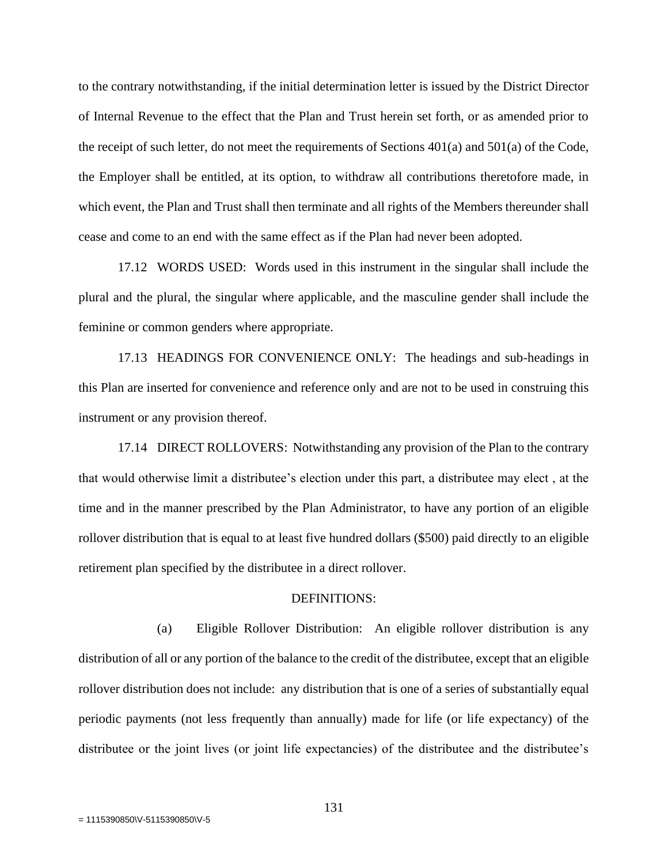to the contrary notwithstanding, if the initial determination letter is issued by the District Director of Internal Revenue to the effect that the Plan and Trust herein set forth, or as amended prior to the receipt of such letter, do not meet the requirements of Sections  $401(a)$  and  $501(a)$  of the Code, the Employer shall be entitled, at its option, to withdraw all contributions theretofore made, in which event, the Plan and Trust shall then terminate and all rights of the Members thereunder shall cease and come to an end with the same effect as if the Plan had never been adopted.

17.12 WORDS USED: Words used in this instrument in the singular shall include the plural and the plural, the singular where applicable, and the masculine gender shall include the feminine or common genders where appropriate.

17.13 HEADINGS FOR CONVENIENCE ONLY: The headings and sub-headings in this Plan are inserted for convenience and reference only and are not to be used in construing this instrument or any provision thereof.

17.14 DIRECT ROLLOVERS: Notwithstanding any provision of the Plan to the contrary that would otherwise limit a distributee's election under this part, a distributee may elect , at the time and in the manner prescribed by the Plan Administrator, to have any portion of an eligible rollover distribution that is equal to at least five hundred dollars (\$500) paid directly to an eligible retirement plan specified by the distributee in a direct rollover.

#### DEFINITIONS:

(a) Eligible Rollover Distribution: An eligible rollover distribution is any distribution of all or any portion of the balance to the credit of the distributee, except that an eligible rollover distribution does not include: any distribution that is one of a series of substantially equal periodic payments (not less frequently than annually) made for life (or life expectancy) of the distributee or the joint lives (or joint life expectancies) of the distributee and the distributee's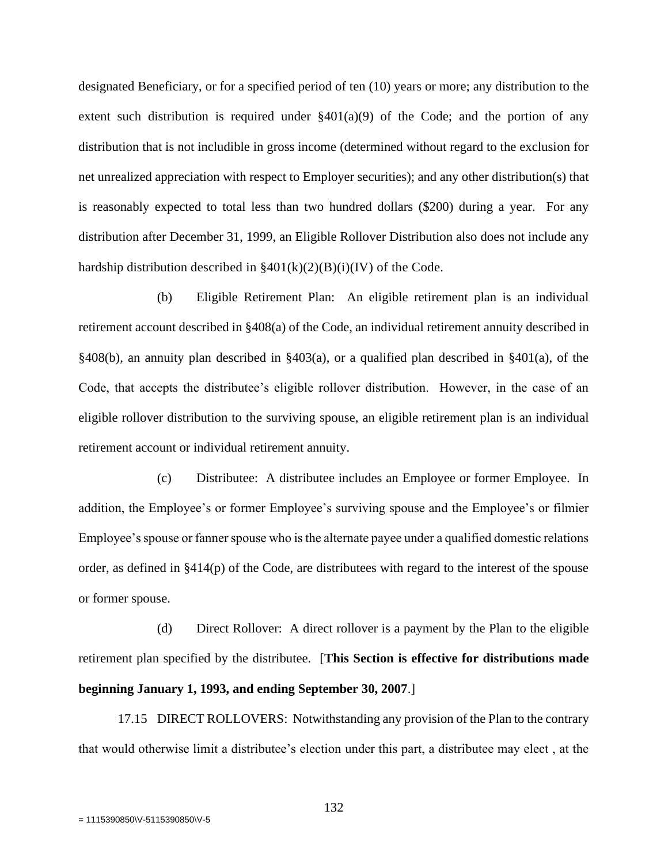designated Beneficiary, or for a specified period of ten (10) years or more; any distribution to the extent such distribution is required under  $\S 401(a)(9)$  of the Code; and the portion of any distribution that is not includible in gross income (determined without regard to the exclusion for net unrealized appreciation with respect to Employer securities); and any other distribution(s) that is reasonably expected to total less than two hundred dollars (\$200) during a year. For any distribution after December 31, 1999, an Eligible Rollover Distribution also does not include any hardship distribution described in  $\S 401(k)(2)(B)(i)(IV)$  of the Code.

(b) Eligible Retirement Plan: An eligible retirement plan is an individual retirement account described in §408(a) of the Code, an individual retirement annuity described in §408(b), an annuity plan described in §403(a), or a qualified plan described in §401(a), of the Code, that accepts the distributee's eligible rollover distribution. However, in the case of an eligible rollover distribution to the surviving spouse, an eligible retirement plan is an individual retirement account or individual retirement annuity.

(c) Distributee: A distributee includes an Employee or former Employee. In addition, the Employee's or former Employee's surviving spouse and the Employee's or filmier Employee's spouse or fanner spouse who is the alternate payee under a qualified domestic relations order, as defined in §414(p) of the Code, are distributees with regard to the interest of the spouse or former spouse.

(d) Direct Rollover: A direct rollover is a payment by the Plan to the eligible retirement plan specified by the distributee. [**This Section is effective for distributions made beginning January 1, 1993, and ending September 30, 2007**.]

17.15 DIRECT ROLLOVERS: Notwithstanding any provision of the Plan to the contrary that would otherwise limit a distributee's election under this part, a distributee may elect , at the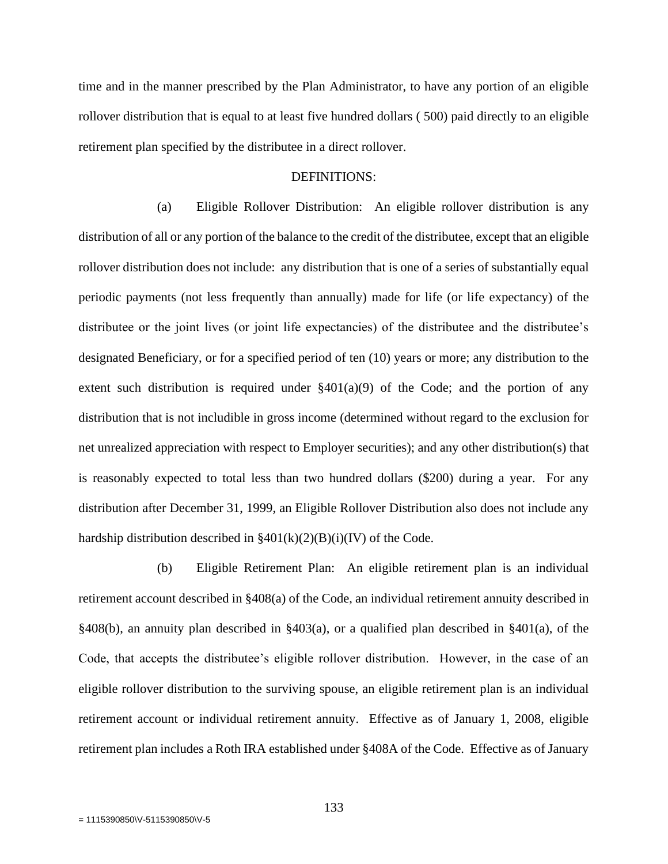time and in the manner prescribed by the Plan Administrator, to have any portion of an eligible rollover distribution that is equal to at least five hundred dollars ( 500) paid directly to an eligible retirement plan specified by the distributee in a direct rollover.

#### DEFINITIONS:

(a) Eligible Rollover Distribution: An eligible rollover distribution is any distribution of all or any portion of the balance to the credit of the distributee, except that an eligible rollover distribution does not include: any distribution that is one of a series of substantially equal periodic payments (not less frequently than annually) made for life (or life expectancy) of the distributee or the joint lives (or joint life expectancies) of the distributee and the distributee's designated Beneficiary, or for a specified period of ten (10) years or more; any distribution to the extent such distribution is required under  $\S 401(a)(9)$  of the Code; and the portion of any distribution that is not includible in gross income (determined without regard to the exclusion for net unrealized appreciation with respect to Employer securities); and any other distribution(s) that is reasonably expected to total less than two hundred dollars (\$200) during a year. For any distribution after December 31, 1999, an Eligible Rollover Distribution also does not include any hardship distribution described in  $\frac{2401(k)(2)(B)(i)}{IV}$  of the Code.

(b) Eligible Retirement Plan: An eligible retirement plan is an individual retirement account described in §408(a) of the Code, an individual retirement annuity described in §408(b), an annuity plan described in §403(a), or a qualified plan described in §401(a), of the Code, that accepts the distributee's eligible rollover distribution. However, in the case of an eligible rollover distribution to the surviving spouse, an eligible retirement plan is an individual retirement account or individual retirement annuity. Effective as of January 1, 2008, eligible retirement plan includes a Roth IRA established under §408A of the Code. Effective as of January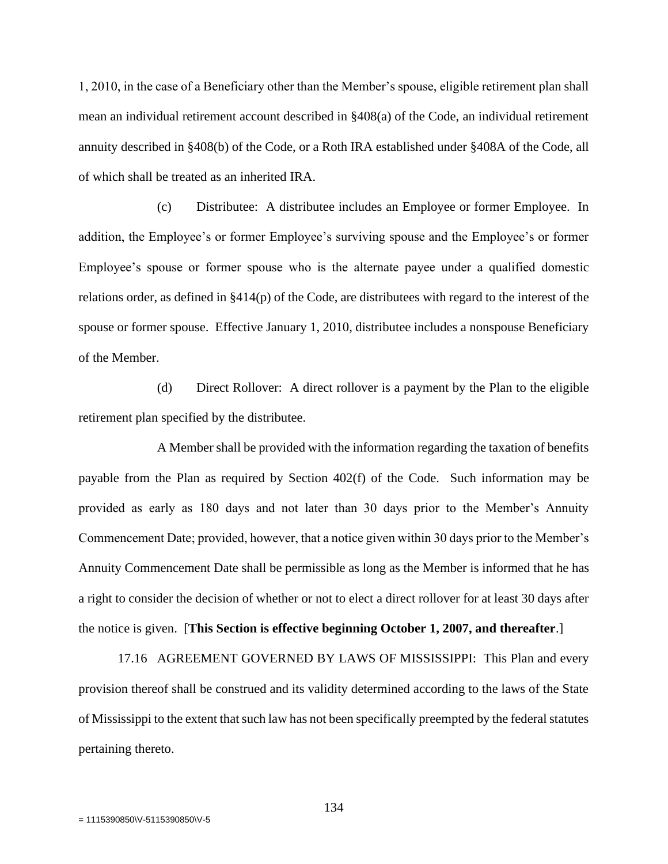1, 2010, in the case of a Beneficiary other than the Member's spouse, eligible retirement plan shall mean an individual retirement account described in §408(a) of the Code, an individual retirement annuity described in §408(b) of the Code, or a Roth IRA established under §408A of the Code, all of which shall be treated as an inherited IRA.

(c) Distributee: A distributee includes an Employee or former Employee. In addition, the Employee's or former Employee's surviving spouse and the Employee's or former Employee's spouse or former spouse who is the alternate payee under a qualified domestic relations order, as defined in §414(p) of the Code, are distributees with regard to the interest of the spouse or former spouse. Effective January 1, 2010, distributee includes a nonspouse Beneficiary of the Member.

(d) Direct Rollover: A direct rollover is a payment by the Plan to the eligible retirement plan specified by the distributee.

A Member shall be provided with the information regarding the taxation of benefits payable from the Plan as required by Section 402(f) of the Code. Such information may be provided as early as 180 days and not later than 30 days prior to the Member's Annuity Commencement Date; provided, however, that a notice given within 30 days prior to the Member's Annuity Commencement Date shall be permissible as long as the Member is informed that he has a right to consider the decision of whether or not to elect a direct rollover for at least 30 days after the notice is given. [**This Section is effective beginning October 1, 2007, and thereafter**.]

17.16 AGREEMENT GOVERNED BY LAWS OF MISSISSIPPI: This Plan and every provision thereof shall be construed and its validity determined according to the laws of the State of Mississippi to the extent that such law has not been specifically preempted by the federal statutes pertaining thereto.

134